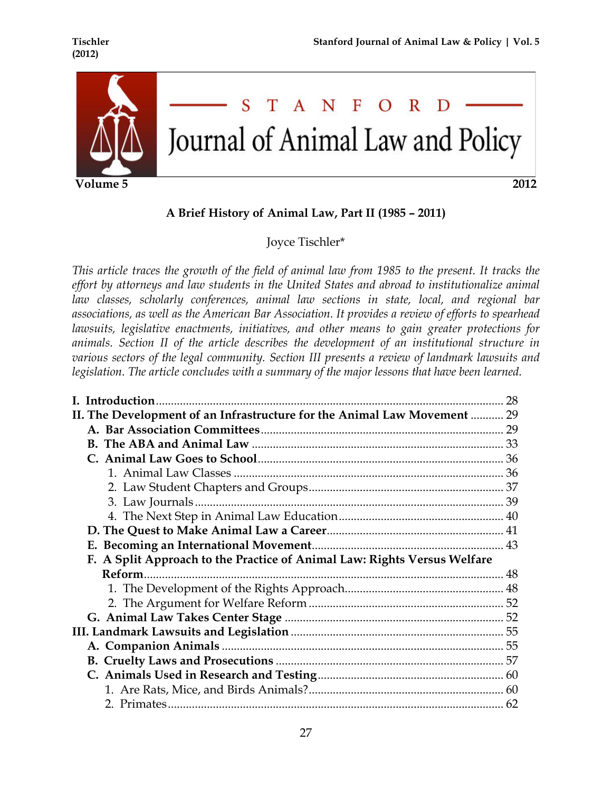

 **Volume 5 2012**

# S T A N F  $\Omega$ R Journal of Animal Law and Policy

# **A Brief History of Animal Law, Part II (1985 – 2011)**

Joyce Tischler\*

*This article traces the growth of the field of animal law from 1985 to the present. It tracks the effort by attorneys and law students in the United States and abroad to institutionalize animal law classes, scholarly conferences, animal law sections in state, local, and regional bar associations, as well as the American Bar Association. It provides a review of efforts to spearhead lawsuits, legislative enactments, initiatives, and other means to gain greater protections for animals. Section II of the article describes the development of an institutional structure in various sectors of the legal community. Section III presents a review of landmark lawsuits and legislation. The article concludes with a summary of the major lessons that have been learned.*

|                                                                          | 28 |
|--------------------------------------------------------------------------|----|
| II. The Development of an Infrastructure for the Animal Law Movement  29 |    |
|                                                                          |    |
|                                                                          |    |
|                                                                          |    |
|                                                                          |    |
|                                                                          |    |
|                                                                          |    |
|                                                                          |    |
|                                                                          |    |
|                                                                          |    |
| F. A Split Approach to the Practice of Animal Law: Rights Versus Welfare |    |
|                                                                          |    |
|                                                                          |    |
|                                                                          |    |
|                                                                          |    |
|                                                                          |    |
|                                                                          |    |
|                                                                          |    |
|                                                                          |    |
|                                                                          |    |
|                                                                          |    |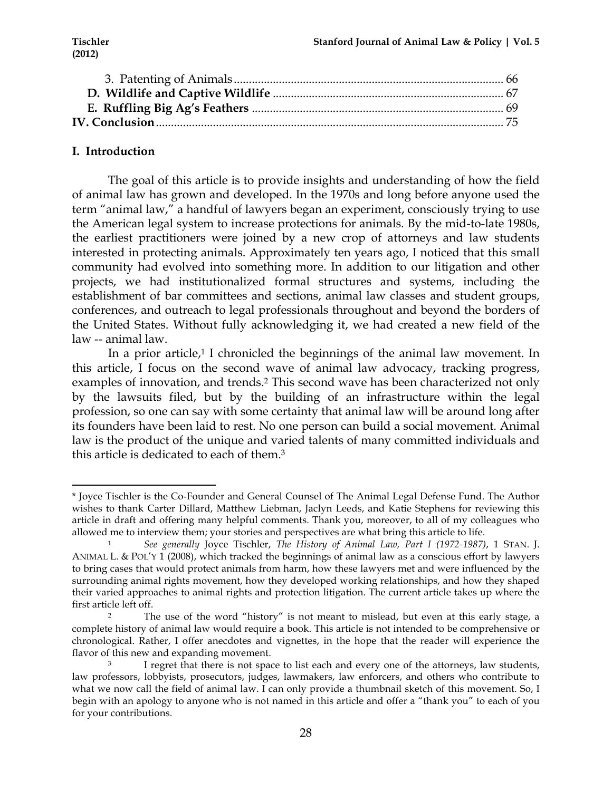# **I. Introduction**

!!!!!!!!!!!!!!!!!!!!!!!!!!!!!!!!!!!!!!!!!!!!!!!!!!!!!!!!!!!!

The goal of this article is to provide insights and understanding of how the field of animal law has grown and developed. In the 1970s and long before anyone used the term "animal law," a handful of lawyers began an experiment, consciously trying to use the American legal system to increase protections for animals. By the mid-to-late 1980s, the earliest practitioners were joined by a new crop of attorneys and law students interested in protecting animals. Approximately ten years ago, I noticed that this small community had evolved into something more. In addition to our litigation and other projects, we had institutionalized formal structures and systems, including the establishment of bar committees and sections, animal law classes and student groups, conferences, and outreach to legal professionals throughout and beyond the borders of the United States. Without fully acknowledging it, we had created a new field of the law -- animal law.

In a prior article, $1$  I chronicled the beginnings of the animal law movement. In this article, I focus on the second wave of animal law advocacy, tracking progress, examples of innovation, and trends.<sup>2</sup> This second wave has been characterized not only by the lawsuits filed, but by the building of an infrastructure within the legal profession, so one can say with some certainty that animal law will be around long after its founders have been laid to rest. No one person can build a social movement. Animal law is the product of the unique and varied talents of many committed individuals and this article is dedicated to each of them.3

<sup>\*</sup> Joyce Tischler is the Co-Founder and General Counsel of The Animal Legal Defense Fund. The Author wishes to thank Carter Dillard, Matthew Liebman, Jaclyn Leeds, and Katie Stephens for reviewing this article in draft and offering many helpful comments. Thank you, moreover, to all of my colleagues who allowed me to interview them; your stories and perspectives are what bring this article to life.

<sup>1</sup> *See generally* Joyce Tischler, *The History of Animal Law, Part I (1972-1987)*, 1 STAN. J. ANIMAL L. & POL'Y 1 (2008), which tracked the beginnings of animal law as a conscious effort by lawyers to bring cases that would protect animals from harm, how these lawyers met and were influenced by the surrounding animal rights movement, how they developed working relationships, and how they shaped their varied approaches to animal rights and protection litigation. The current article takes up where the first article left off.

<sup>&</sup>lt;sup>2</sup> The use of the word "history" is not meant to mislead, but even at this early stage, a complete history of animal law would require a book. This article is not intended to be comprehensive or chronological. Rather, I offer anecdotes and vignettes, in the hope that the reader will experience the flavor of this new and expanding movement.

I regret that there is not space to list each and every one of the attorneys, law students, law professors, lobbyists, prosecutors, judges, lawmakers, law enforcers, and others who contribute to what we now call the field of animal law. I can only provide a thumbnail sketch of this movement. So, I begin with an apology to anyone who is not named in this article and offer a "thank you" to each of you for your contributions.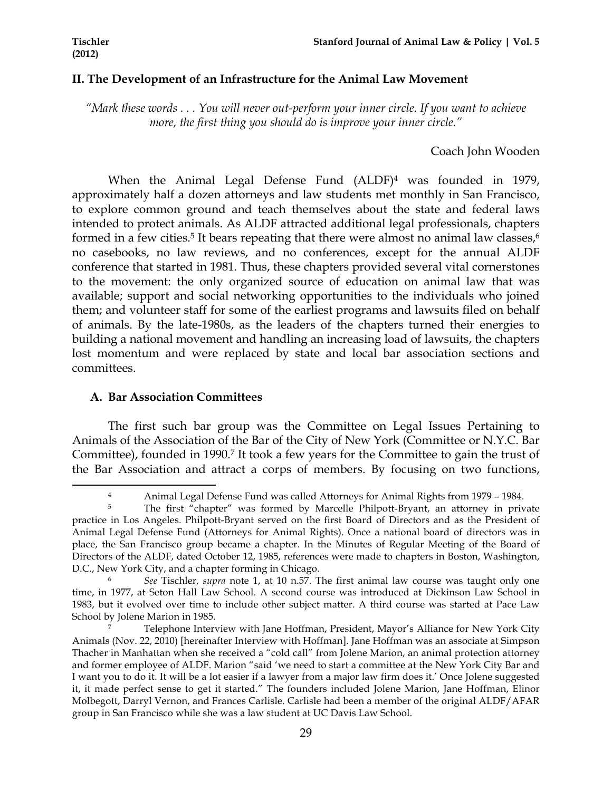# **II. The Development of an Infrastructure for the Animal Law Movement**

*"Mark these words . . . You will never out-perform your inner circle. If you want to achieve more, the first thing you should do is improve your inner circle."*

## Coach John Wooden

When the Animal Legal Defense Fund (ALDF)<sup>4</sup> was founded in 1979, approximately half a dozen attorneys and law students met monthly in San Francisco, to explore common ground and teach themselves about the state and federal laws intended to protect animals. As ALDF attracted additional legal professionals, chapters formed in a few cities.<sup>5</sup> It bears repeating that there were almost no animal law classes,<sup>6</sup> no casebooks, no law reviews, and no conferences, except for the annual ALDF conference that started in 1981. Thus, these chapters provided several vital cornerstones to the movement: the only organized source of education on animal law that was available; support and social networking opportunities to the individuals who joined them; and volunteer staff for some of the earliest programs and lawsuits filed on behalf of animals. By the late-1980s, as the leaders of the chapters turned their energies to building a national movement and handling an increasing load of lawsuits, the chapters lost momentum and were replaced by state and local bar association sections and committees.

## **A. Bar Association Committees**

!!!!!!!!!!!!!!!!!!!!!!!!!!!!!!!!!!!!!!!!!!!!!!!!!!!!!!!!!!!!

The first such bar group was the Committee on Legal Issues Pertaining to Animals of the Association of the Bar of the City of New York (Committee or N.Y.C. Bar Committee), founded in 1990.7 It took a few years for the Committee to gain the trust of the Bar Association and attract a corps of members. By focusing on two functions,

<sup>4</sup> Animal Legal Defense Fund was called Attorneys for Animal Rights from 1979 – 1984.

<sup>&</sup>lt;sup>5</sup> The first "chapter" was formed by Marcelle Philpott-Bryant, an attorney in private practice in Los Angeles. Philpott-Bryant served on the first Board of Directors and as the President of Animal Legal Defense Fund (Attorneys for Animal Rights). Once a national board of directors was in place, the San Francisco group became a chapter. In the Minutes of Regular Meeting of the Board of Directors of the ALDF, dated October 12, 1985, references were made to chapters in Boston, Washington, D.C., New York City, and a chapter forming in Chicago.

<sup>6</sup> *See* Tischler, *supra* note 1, at 10 n.57. The first animal law course was taught only one time, in 1977, at Seton Hall Law School. A second course was introduced at Dickinson Law School in 1983, but it evolved over time to include other subject matter. A third course was started at Pace Law School by Jolene Marion in 1985.

<sup>7</sup> Telephone Interview with Jane Hoffman, President, Mayor's Alliance for New York City Animals (Nov. 22, 2010) [hereinafter Interview with Hoffman]. Jane Hoffman was an associate at Simpson Thacher in Manhattan when she received a "cold call" from Jolene Marion, an animal protection attorney and former employee of ALDF. Marion "said 'we need to start a committee at the New York City Bar and I want you to do it. It will be a lot easier if a lawyer from a major law firm does it.' Once Jolene suggested it, it made perfect sense to get it started." The founders included Jolene Marion, Jane Hoffman, Elinor Molbegott, Darryl Vernon, and Frances Carlisle. Carlisle had been a member of the original ALDF/AFAR group in San Francisco while she was a law student at UC Davis Law School.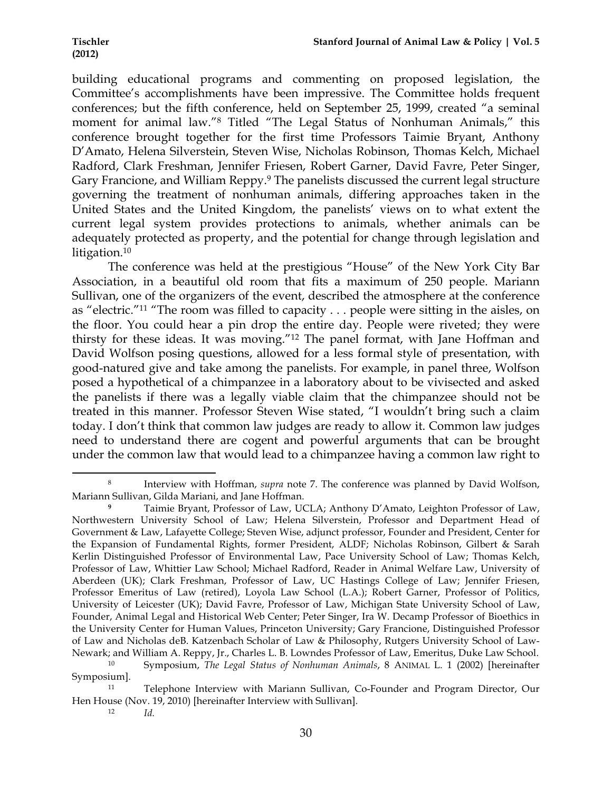building educational programs and commenting on proposed legislation, the Committee's accomplishments have been impressive. The Committee holds frequent conferences; but the fifth conference, held on September 25, 1999, created "a seminal moment for animal law."8 Titled "The Legal Status of Nonhuman Animals," this conference brought together for the first time Professors Taimie Bryant, Anthony D'Amato, Helena Silverstein, Steven Wise, Nicholas Robinson, Thomas Kelch, Michael Radford, Clark Freshman, Jennifer Friesen, Robert Garner, David Favre, Peter Singer, Gary Francione, and William Reppy.<sup>9</sup> The panelists discussed the current legal structure governing the treatment of nonhuman animals, differing approaches taken in the United States and the United Kingdom, the panelists' views on to what extent the current legal system provides protections to animals, whether animals can be adequately protected as property, and the potential for change through legislation and litigation.<sup>10</sup>

The conference was held at the prestigious "House" of the New York City Bar Association, in a beautiful old room that fits a maximum of 250 people. Mariann Sullivan, one of the organizers of the event, described the atmosphere at the conference as "electric."11 "The room was filled to capacity . . . people were sitting in the aisles, on the floor. You could hear a pin drop the entire day. People were riveted; they were thirsty for these ideas. It was moving."12 The panel format, with Jane Hoffman and David Wolfson posing questions, allowed for a less formal style of presentation, with good-natured give and take among the panelists. For example, in panel three, Wolfson posed a hypothetical of a chimpanzee in a laboratory about to be vivisected and asked the panelists if there was a legally viable claim that the chimpanzee should not be treated in this manner. Professor Steven Wise stated, "I wouldn't bring such a claim today. I don't think that common law judges are ready to allow it. Common law judges need to understand there are cogent and powerful arguments that can be brought under the common law that would lead to a chimpanzee having a common law right to

<sup>12</sup> *Id.*

<sup>8</sup> Interview with Hoffman, *supra* note 7. The conference was planned by David Wolfson, Mariann Sullivan, Gilda Mariani, and Jane Hoffman.

**<sup>9</sup>** Taimie Bryant, Professor of Law, UCLA; Anthony D'Amato, Leighton Professor of Law, Northwestern University School of Law; Helena Silverstein, Professor and Department Head of Government & Law, Lafayette College; Steven Wise, adjunct professor, Founder and President, Center for the Expansion of Fundamental Rights, former President, ALDF; Nicholas Robinson, Gilbert & Sarah Kerlin Distinguished Professor of Environmental Law, Pace University School of Law; Thomas Kelch, Professor of Law, Whittier Law School; Michael Radford, Reader in Animal Welfare Law, University of Aberdeen (UK); Clark Freshman, Professor of Law, UC Hastings College of Law; Jennifer Friesen, Professor Emeritus of Law (retired), Loyola Law School (L.A.); Robert Garner, Professor of Politics, University of Leicester (UK); David Favre, Professor of Law, Michigan State University School of Law, Founder, Animal Legal and Historical Web Center; Peter Singer, Ira W. Decamp Professor of Bioethics in the University Center for Human Values, Princeton University; Gary Francione, Distinguished Professor of Law and Nicholas deB. Katzenbach Scholar of Law & Philosophy, Rutgers University School of Law-Newark; and William A. Reppy, Jr., Charles L. B. Lowndes Professor of Law, Emeritus, Duke Law School.

<sup>10</sup> Symposium, *The Legal Status of Nonhuman Animals*, 8 ANIMAL L. 1 (2002) [hereinafter Symposium].

<sup>11</sup> Telephone Interview with Mariann Sullivan, Co-Founder and Program Director, Our Hen House (Nov. 19, 2010) [hereinafter Interview with Sullivan].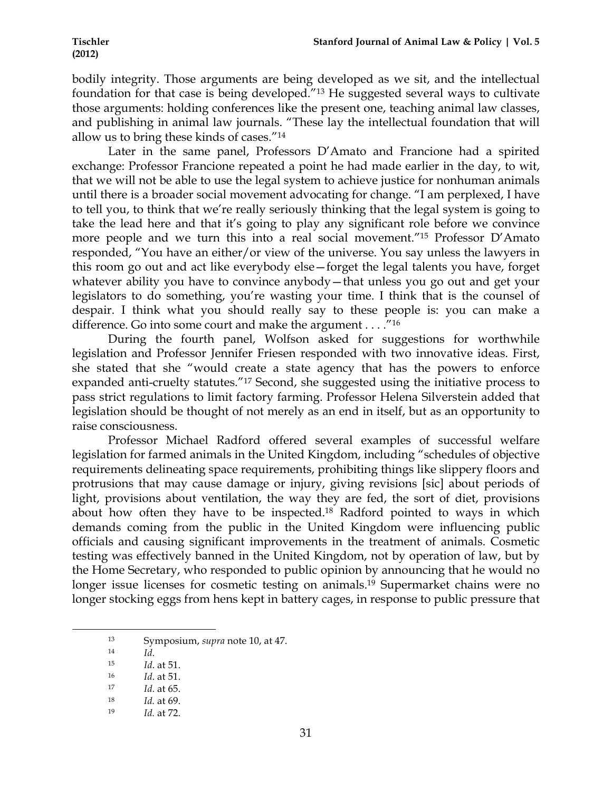bodily integrity. Those arguments are being developed as we sit, and the intellectual foundation for that case is being developed."13 He suggested several ways to cultivate those arguments: holding conferences like the present one, teaching animal law classes, and publishing in animal law journals. "These lay the intellectual foundation that will allow us to bring these kinds of cases."14

Later in the same panel, Professors D'Amato and Francione had a spirited exchange: Professor Francione repeated a point he had made earlier in the day, to wit, that we will not be able to use the legal system to achieve justice for nonhuman animals until there is a broader social movement advocating for change. "I am perplexed, I have to tell you, to think that we're really seriously thinking that the legal system is going to take the lead here and that it's going to play any significant role before we convince more people and we turn this into a real social movement."15 Professor D'Amato responded, "You have an either/or view of the universe. You say unless the lawyers in this room go out and act like everybody else—forget the legal talents you have, forget whatever ability you have to convince anybody—that unless you go out and get your legislators to do something, you're wasting your time. I think that is the counsel of despair. I think what you should really say to these people is: you can make a difference. Go into some court and make the argument . . . ."16

During the fourth panel, Wolfson asked for suggestions for worthwhile legislation and Professor Jennifer Friesen responded with two innovative ideas. First, she stated that she "would create a state agency that has the powers to enforce expanded anti-cruelty statutes."17 Second, she suggested using the initiative process to pass strict regulations to limit factory farming. Professor Helena Silverstein added that legislation should be thought of not merely as an end in itself, but as an opportunity to raise consciousness.

Professor Michael Radford offered several examples of successful welfare legislation for farmed animals in the United Kingdom, including "schedules of objective requirements delineating space requirements, prohibiting things like slippery floors and protrusions that may cause damage or injury, giving revisions [sic] about periods of light, provisions about ventilation, the way they are fed, the sort of diet, provisions about how often they have to be inspected.18 Radford pointed to ways in which demands coming from the public in the United Kingdom were influencing public officials and causing significant improvements in the treatment of animals. Cosmetic testing was effectively banned in the United Kingdom, not by operation of law, but by the Home Secretary, who responded to public opinion by announcing that he would no longer issue licenses for cosmetic testing on animals.<sup>19</sup> Supermarket chains were no longer stocking eggs from hens kept in battery cages, in response to public pressure that

<sup>13</sup> Symposium, *supra* note 10, at 47.

<sup>14</sup> *Id*.

<sup>15</sup> *Id*. at 51.

<sup>16</sup> *Id*. at 51.

<sup>17</sup> *Id*. at 65.

<sup>18</sup> *Id.* at 69.

<sup>19</sup> *Id.* at 72.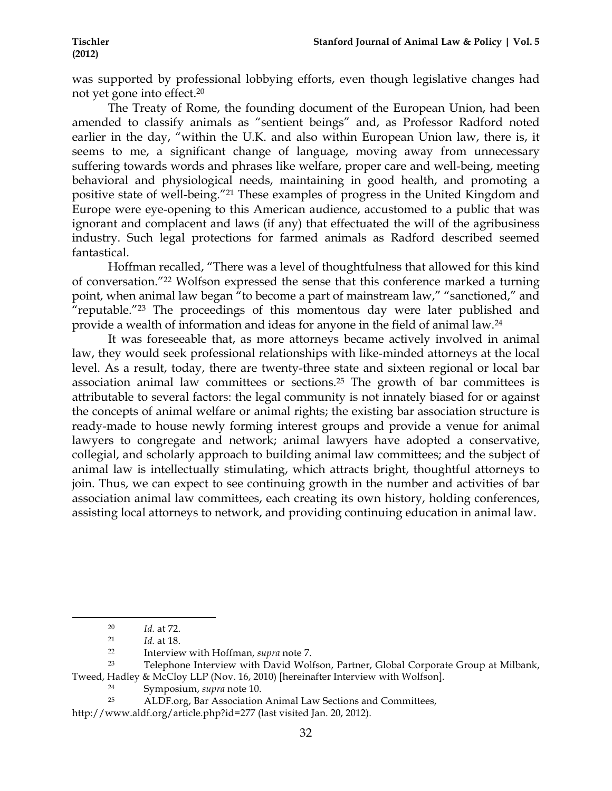was supported by professional lobbying efforts, even though legislative changes had not yet gone into effect.20

The Treaty of Rome, the founding document of the European Union, had been amended to classify animals as "sentient beings" and, as Professor Radford noted earlier in the day, "within the U.K. and also within European Union law, there is, it seems to me, a significant change of language, moving away from unnecessary suffering towards words and phrases like welfare, proper care and well-being, meeting behavioral and physiological needs, maintaining in good health, and promoting a positive state of well-being."21 These examples of progress in the United Kingdom and Europe were eye-opening to this American audience, accustomed to a public that was ignorant and complacent and laws (if any) that effectuated the will of the agribusiness industry. Such legal protections for farmed animals as Radford described seemed fantastical.

Hoffman recalled, "There was a level of thoughtfulness that allowed for this kind of conversation."22 Wolfson expressed the sense that this conference marked a turning point, when animal law began <sup>"</sup> to become a part of mainstream law," "sanctioned," and "reputable."23 The proceedings of this momentous day were later published and provide a wealth of information and ideas for anyone in the field of animal law.24

It was foreseeable that, as more attorneys became actively involved in animal law, they would seek professional relationships with like-minded attorneys at the local level. As a result, today, there are twenty-three state and sixteen regional or local bar association animal law committees or sections.25 The growth of bar committees is attributable to several factors: the legal community is not innately biased for or against the concepts of animal welfare or animal rights; the existing bar association structure is ready-made to house newly forming interest groups and provide a venue for animal lawyers to congregate and network; animal lawyers have adopted a conservative, collegial, and scholarly approach to building animal law committees; and the subject of animal law is intellectually stimulating, which attracts bright, thoughtful attorneys to join. Thus, we can expect to see continuing growth in the number and activities of bar association animal law committees, each creating its own history, holding conferences, assisting local attorneys to network, and providing continuing education in animal law.

http://www.aldf.org/article.php?id=277 (last visited Jan. 20, 2012).

<sup>!!!!!!!!!!!!!!!!!!!!!!!!!!!!!!!!!!!!!!!!!!!!!!!!!!!!!!!!!!!!</sup> <sup>20</sup> *Id.* at 72.

<sup>21</sup> *Id.* at 18.

<sup>22</sup> Interview with Hoffman, *supra* note 7.

<sup>23</sup> Telephone Interview with David Wolfson, Partner, Global Corporate Group at Milbank, Tweed, Hadley & McCloy LLP (Nov. 16, 2010) [hereinafter Interview with Wolfson].

<sup>&</sup>lt;sup>24</sup> Symposium, *supra* note 10.<br><sup>25</sup> ALDE org Bar Association

ALDF.org, Bar Association Animal Law Sections and Committees,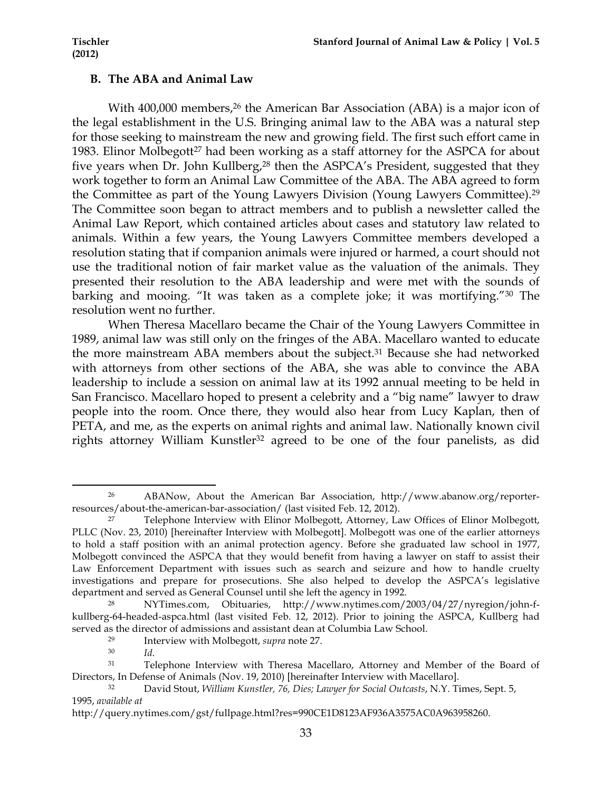### **B. The ABA and Animal Law**

With 400,000 members,<sup>26</sup> the American Bar Association (ABA) is a major icon of the legal establishment in the U.S. Bringing animal law to the ABA was a natural step for those seeking to mainstream the new and growing field. The first such effort came in 1983. Elinor Molbegott<sup>27</sup> had been working as a staff attorney for the ASPCA for about five years when Dr. John Kullberg,28 then the ASPCA's President, suggested that they work together to form an Animal Law Committee of the ABA. The ABA agreed to form the Committee as part of the Young Lawyers Division (Young Lawyers Committee).29 The Committee soon began to attract members and to publish a newsletter called the Animal Law Report, which contained articles about cases and statutory law related to animals. Within a few years, the Young Lawyers Committee members developed a resolution stating that if companion animals were injured or harmed, a court should not use the traditional notion of fair market value as the valuation of the animals. They presented their resolution to the ABA leadership and were met with the sounds of barking and mooing. "It was taken as a complete joke; it was mortifying."30 The resolution went no further.

When Theresa Macellaro became the Chair of the Young Lawyers Committee in 1989, animal law was still only on the fringes of the ABA. Macellaro wanted to educate the more mainstream ABA members about the subject.<sup>31</sup> Because she had networked with attorneys from other sections of the ABA, she was able to convince the ABA leadership to include a session on animal law at its 1992 annual meeting to be held in San Francisco. Macellaro hoped to present a celebrity and a "big name" lawyer to draw people into the room. Once there, they would also hear from Lucy Kaplan, then of PETA, and me, as the experts on animal rights and animal law. Nationally known civil rights attorney William Kunstler<sup>32</sup> agreed to be one of the four panelists, as did

<sup>26</sup> ABANow, About the American Bar Association, http://www.abanow.org/reporterresources/about-the-american-bar-association/ (last visited Feb. 12, 2012).

<sup>27</sup> Telephone Interview with Elinor Molbegott, Attorney, Law Offices of Elinor Molbegott, PLLC (Nov. 23, 2010) [hereinafter Interview with Molbegott]. Molbegott was one of the earlier attorneys to hold a staff position with an animal protection agency. Before she graduated law school in 1977, Molbegott convinced the ASPCA that they would benefit from having a lawyer on staff to assist their Law Enforcement Department with issues such as search and seizure and how to handle cruelty investigations and prepare for prosecutions. She also helped to develop the ASPCA's legislative department and served as General Counsel until she left the agency in 1992.

<sup>28</sup> NYTimes.com, Obituaries, http://www.nytimes.com/2003/04/27/nyregion/john-fkullberg-64-headed-aspca.html (last visited Feb. 12, 2012). Prior to joining the ASPCA, Kullberg had served as the director of admissions and assistant dean at Columbia Law School.

<sup>29</sup> Interview with Molbegott, *supra* note 27.

<sup>30</sup> *Id*.

<sup>31</sup> Telephone Interview with Theresa Macellaro, Attorney and Member of the Board of Directors, In Defense of Animals (Nov. 19, 2010) [hereinafter Interview with Macellaro].

<sup>32</sup> David Stout, *William Kunstler, 76, Dies; Lawyer for Social Outcasts*, N.Y. Times, Sept. 5, 1995, *available at*

http://query.nytimes.com/gst/fullpage.html?res=990CE1D8123AF936A3575AC0A963958260.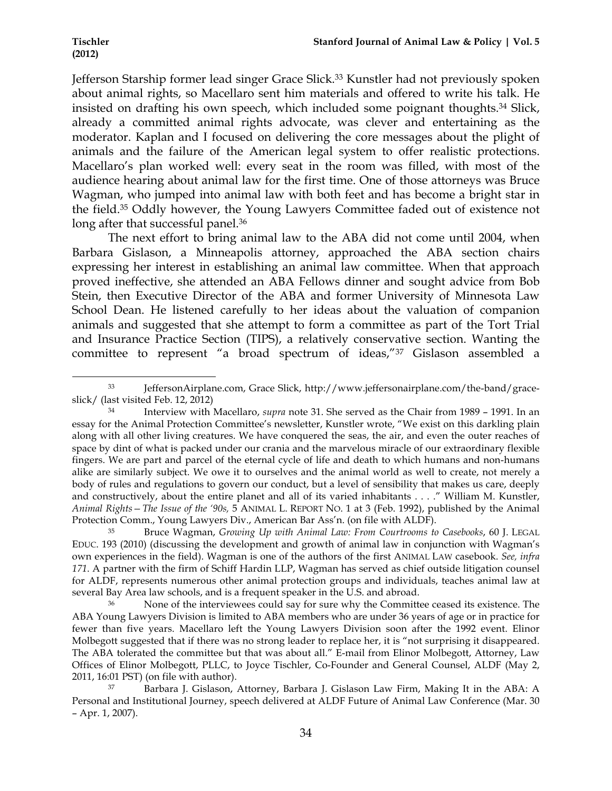Jefferson Starship former lead singer Grace Slick.<sup>33</sup> Kunstler had not previously spoken about animal rights, so Macellaro sent him materials and offered to write his talk. He insisted on drafting his own speech, which included some poignant thoughts.34 Slick, already a committed animal rights advocate, was clever and entertaining as the moderator. Kaplan and I focused on delivering the core messages about the plight of animals and the failure of the American legal system to offer realistic protections. Macellaro's plan worked well: every seat in the room was filled, with most of the audience hearing about animal law for the first time. One of those attorneys was Bruce Wagman, who jumped into animal law with both feet and has become a bright star in the field.35 Oddly however, the Young Lawyers Committee faded out of existence not long after that successful panel.<sup>36</sup>

The next effort to bring animal law to the ABA did not come until 2004, when Barbara Gislason, a Minneapolis attorney, approached the ABA section chairs expressing her interest in establishing an animal law committee. When that approach proved ineffective, she attended an ABA Fellows dinner and sought advice from Bob Stein, then Executive Director of the ABA and former University of Minnesota Law School Dean. He listened carefully to her ideas about the valuation of companion animals and suggested that she attempt to form a committee as part of the Tort Trial and Insurance Practice Section (TIPS), a relatively conservative section. Wanting the committee to represent "a broad spectrum of ideas,"37 Gislason assembled a

<sup>!!!!!!!!!!!!!!!!!!!!!!!!!!!!!!!!!!!!!!!!!!!!!!!!!!!!!!!!!!!!</sup> <sup>33</sup> JeffersonAirplane.com, Grace Slick, http://www.jeffersonairplane.com/the-band/graceslick/ (last visited Feb. 12, 2012)

<sup>34</sup> Interview with Macellaro, *supra* note 31. She served as the Chair from 1989 – 1991. In an essay for the Animal Protection Committee's newsletter, Kunstler wrote, "We exist on this darkling plain along with all other living creatures. We have conquered the seas, the air, and even the outer reaches of space by dint of what is packed under our crania and the marvelous miracle of our extraordinary flexible fingers. We are part and parcel of the eternal cycle of life and death to which humans and non-humans alike are similarly subject. We owe it to ourselves and the animal world as well to create, not merely a body of rules and regulations to govern our conduct, but a level of sensibility that makes us care, deeply and constructively, about the entire planet and all of its varied inhabitants . . . ." William M. Kunstler, *Animal Rights—The Issue of the '90s,* 5 ANIMAL L. REPORT NO. 1 at 3 (Feb. 1992), published by the Animal Protection Comm., Young Lawyers Div., American Bar Ass'n. (on file with ALDF).

<sup>35</sup> Bruce Wagman, *Growing Up with Animal Law: From Courtrooms to Casebooks*, 60 J. LEGAL EDUC. 193 (2010) (discussing the development and growth of animal law in conjunction with Wagman's own experiences in the field). Wagman is one of the authors of the first ANIMAL LAW casebook. *See, infra 171*. A partner with the firm of Schiff Hardin LLP, Wagman has served as chief outside litigation counsel for ALDF, represents numerous other animal protection groups and individuals, teaches animal law at several Bay Area law schools, and is a frequent speaker in the U.S. and abroad.

<sup>&</sup>lt;sup>36</sup> None of the interviewees could say for sure why the Committee ceased its existence. The ABA Young Lawyers Division is limited to ABA members who are under 36 years of age or in practice for fewer than five years. Macellaro left the Young Lawyers Division soon after the 1992 event. Elinor Molbegott suggested that if there was no strong leader to replace her, it is "not surprising it disappeared. The ABA tolerated the committee but that was about all." E-mail from Elinor Molbegott, Attorney, Law Offices of Elinor Molbegott, PLLC, to Joyce Tischler, Co-Founder and General Counsel, ALDF (May 2, 2011, 16:01 PST) (on file with author).

<sup>37</sup> Barbara J. Gislason, Attorney, Barbara J. Gislason Law Firm, Making It in the ABA: A Personal and Institutional Journey, speech delivered at ALDF Future of Animal Law Conference (Mar. 30 – Apr. 1, 2007).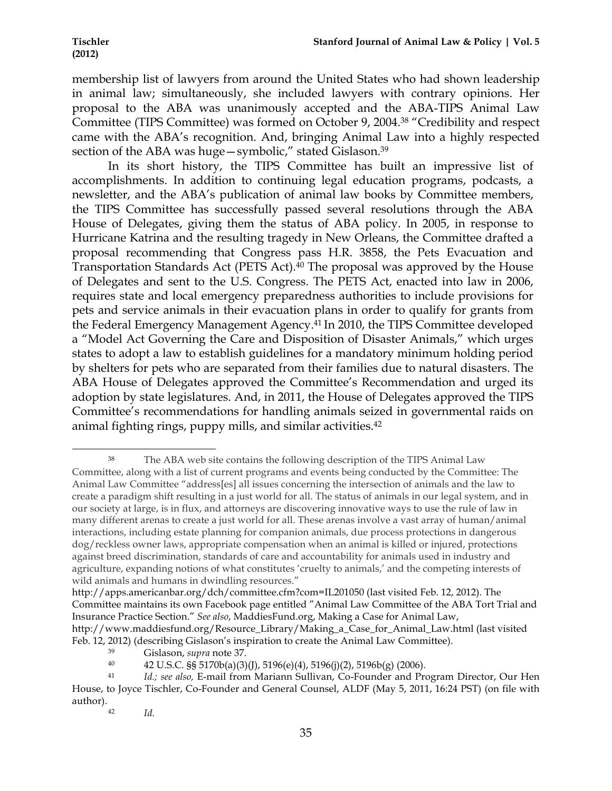membership list of lawyers from around the United States who had shown leadership in animal law; simultaneously, she included lawyers with contrary opinions. Her proposal to the ABA was unanimously accepted and the ABA-TIPS Animal Law Committee (TIPS Committee) was formed on October 9, 2004.38 "Credibility and respect came with the ABA's recognition. And, bringing Animal Law into a highly respected section of the ABA was huge—symbolic," stated Gislason.<sup>39</sup>

In its short history, the TIPS Committee has built an impressive list of accomplishments. In addition to continuing legal education programs, podcasts, a newsletter, and the ABA's publication of animal law books by Committee members, the TIPS Committee has successfully passed several resolutions through the ABA House of Delegates, giving them the status of ABA policy. In 2005, in response to Hurricane Katrina and the resulting tragedy in New Orleans, the Committee drafted a proposal recommending that Congress pass H.R. 3858, the Pets Evacuation and Transportation Standards Act (PETS Act).<sup>40</sup> The proposal was approved by the House of Delegates and sent to the U.S. Congress. The PETS Act, enacted into law in 2006, requires state and local emergency preparedness authorities to include provisions for pets and service animals in their evacuation plans in order to qualify for grants from the Federal Emergency Management Agency.41 In 2010, the TIPS Committee developed a "Model Act Governing the Care and Disposition of Disaster Animals," which urges states to adopt a law to establish guidelines for a mandatory minimum holding period by shelters for pets who are separated from their families due to natural disasters. The ABA House of Delegates approved the Committee's Recommendation and urged its adoption by state legislatures. And, in 2011, the House of Delegates approved the TIPS Committee's recommendations for handling animals seized in governmental raids on animal fighting rings, puppy mills, and similar activities.42

<sup>38</sup> The ABA web site contains the following description of the TIPS Animal Law Committee, along with a list of current programs and events being conducted by the Committee: The Animal Law Committee "address[es] all issues concerning the intersection of animals and the law to create a paradigm shift resulting in a just world for all. The status of animals in our legal system, and in our society at large, is in flux, and attorneys are discovering innovative ways to use the rule of law in many different arenas to create a just world for all. These arenas involve a vast array of human/animal interactions, including estate planning for companion animals, due process protections in dangerous dog/reckless owner laws, appropriate compensation when an animal is killed or injured, protections against breed discrimination, standards of care and accountability for animals used in industry and agriculture, expanding notions of what constitutes 'cruelty to animals,' and the competing interests of wild animals and humans in dwindling resources."

http://apps.americanbar.org/dch/committee.cfm?com=IL201050 (last visited Feb. 12, 2012). The Committee maintains its own Facebook page entitled "Animal Law Committee of the ABA Tort Trial and Insurance Practice Section." *See also*, MaddiesFund.org, Making a Case for Animal Law, http://www.maddiesfund.org/Resource\_Library/Making\_a\_Case\_for\_Animal\_Law.html (last visited Feb. 12, 2012) (describing Gislason's inspiration to create the Animal Law Committee).

<sup>39</sup> Gislason, *supra* note 37.

<sup>40</sup> 42 U.S.C. §§ 5170b(a)(3)(J), 5196(e)(4), 5196(j)(2), 5196b(g) (2006).

<sup>41</sup> *Id.; see also,* E-mail from Mariann Sullivan, Co-Founder and Program Director, Our Hen House, to Joyce Tischler, Co-Founder and General Counsel, ALDF (May 5, 2011, 16:24 PST) (on file with author).

<sup>42</sup> *Id.*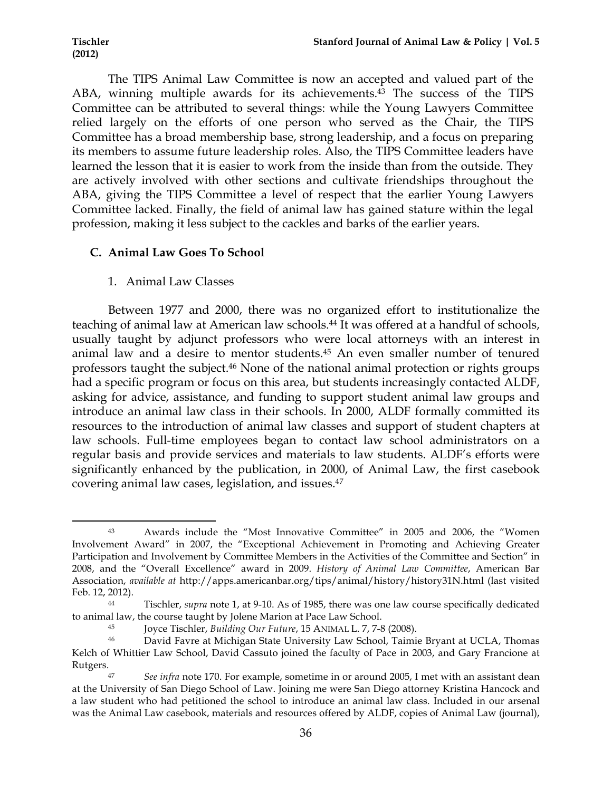The TIPS Animal Law Committee is now an accepted and valued part of the ABA, winning multiple awards for its achievements.<sup>43</sup> The success of the TIPS Committee can be attributed to several things: while the Young Lawyers Committee relied largely on the efforts of one person who served as the Chair, the TIPS Committee has a broad membership base, strong leadership, and a focus on preparing its members to assume future leadership roles. Also, the TIPS Committee leaders have learned the lesson that it is easier to work from the inside than from the outside. They are actively involved with other sections and cultivate friendships throughout the ABA, giving the TIPS Committee a level of respect that the earlier Young Lawyers Committee lacked. Finally, the field of animal law has gained stature within the legal profession, making it less subject to the cackles and barks of the earlier years.

## **C. Animal Law Goes To School**

1. Animal Law Classes

Between 1977 and 2000, there was no organized effort to institutionalize the teaching of animal law at American law schools.<sup>44</sup> It was offered at a handful of schools, usually taught by adjunct professors who were local attorneys with an interest in animal law and a desire to mentor students.45 An even smaller number of tenured professors taught the subject.46 None of the national animal protection or rights groups had a specific program or focus on this area, but students increasingly contacted ALDF, asking for advice, assistance, and funding to support student animal law groups and introduce an animal law class in their schools. In 2000, ALDF formally committed its resources to the introduction of animal law classes and support of student chapters at law schools. Full-time employees began to contact law school administrators on a regular basis and provide services and materials to law students. ALDF's efforts were significantly enhanced by the publication, in 2000, of Animal Law, the first casebook covering animal law cases, legislation, and issues.47

<sup>!!!!!!!!!!!!!!!!!!!!!!!!!!!!!!!!!!!!!!!!!!!!!!!!!!!!!!!!!!!!</sup> <sup>43</sup> Awards include the "Most Innovative Committee" in 2005 and 2006, the "Women Involvement Award" in 2007, the "Exceptional Achievement in Promoting and Achieving Greater Participation and Involvement by Committee Members in the Activities of the Committee and Section" in 2008, and the "Overall Excellence" award in 2009. *History of Animal Law Committee*, American Bar Association, *available at* http://apps.americanbar.org/tips/animal/history/history31N.html (last visited Feb. 12, 2012).

<sup>44</sup> Tischler, *supra* note 1, at 9-10. As of 1985, there was one law course specifically dedicated to animal law, the course taught by Jolene Marion at Pace Law School.

<sup>45</sup> Joyce Tischler, *Building Our Future*, 15 ANIMAL L. 7, 7-8 (2008).

<sup>46</sup> David Favre at Michigan State University Law School, Taimie Bryant at UCLA, Thomas Kelch of Whittier Law School, David Cassuto joined the faculty of Pace in 2003, and Gary Francione at Rutgers.

<sup>47</sup> *See infra* note 170. For example, sometime in or around 2005, I met with an assistant dean at the University of San Diego School of Law. Joining me were San Diego attorney Kristina Hancock and a law student who had petitioned the school to introduce an animal law class. Included in our arsenal was the Animal Law casebook, materials and resources offered by ALDF, copies of Animal Law (journal),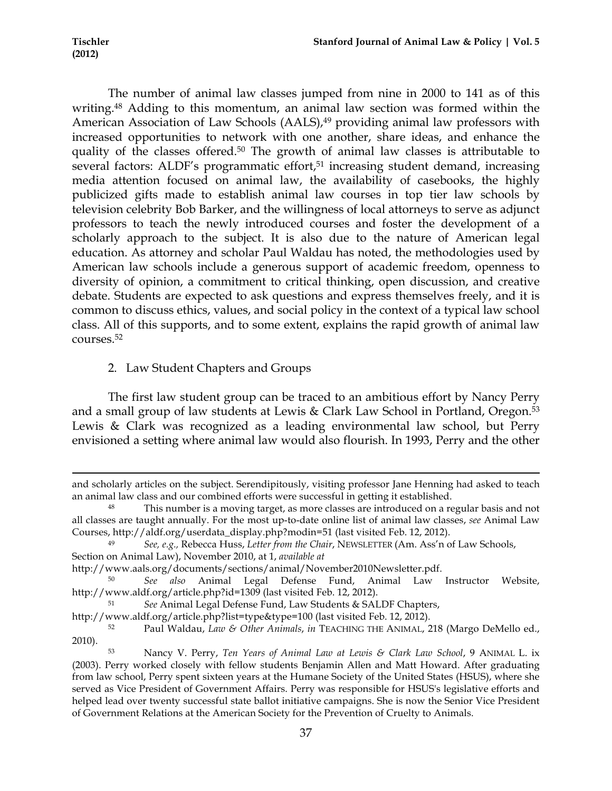The number of animal law classes jumped from nine in 2000 to 141 as of this writing.<sup>48</sup> Adding to this momentum, an animal law section was formed within the American Association of Law Schools (AALS),<sup>49</sup> providing animal law professors with increased opportunities to network with one another, share ideas, and enhance the quality of the classes offered.50 The growth of animal law classes is attributable to several factors: ALDF's programmatic effort,<sup>51</sup> increasing student demand, increasing media attention focused on animal law, the availability of casebooks, the highly publicized gifts made to establish animal law courses in top tier law schools by television celebrity Bob Barker, and the willingness of local attorneys to serve as adjunct professors to teach the newly introduced courses and foster the development of a scholarly approach to the subject. It is also due to the nature of American legal education. As attorney and scholar Paul Waldau has noted, the methodologies used by American law schools include a generous support of academic freedom, openness to diversity of opinion, a commitment to critical thinking, open discussion, and creative debate. Students are expected to ask questions and express themselves freely, and it is common to discuss ethics, values, and social policy in the context of a typical law school class. All of this supports, and to some extent, explains the rapid growth of animal law courses.52

# 2. Law Student Chapters and Groups

The first law student group can be traced to an ambitious effort by Nancy Perry and a small group of law students at Lewis & Clark Law School in Portland, Oregon.<sup>53</sup> Lewis & Clark was recognized as a leading environmental law school, but Perry envisioned a setting where animal law would also flourish. In 1993, Perry and the other

<sup>!!!!!!!!!!!!!!!!!!!!!!!!!!!!!!!!!!!!!!!!!!!!!!!!!!!!!!!!!!!!!!!!!!!!!!!!!!!!!!!!!!!!!!!!!!!!!!!!!!!!!!!!!!!!!!!!!!!!!!!!!!!!!!!!!!!!!!!!!!!!!!!!!!!!!!!!!!!!!!!!!!!!!!!!!!!!!!!!!!!!!!!!!!!!!!!!!!!</sup> and scholarly articles on the subject. Serendipitously, visiting professor Jane Henning had asked to teach an animal law class and our combined efforts were successful in getting it established.

<sup>48</sup> This number is a moving target, as more classes are introduced on a regular basis and not all classes are taught annually. For the most up-to-date online list of animal law classes, *see* Animal Law Courses, http://aldf.org/userdata\_display.php?modin=51 (last visited Feb. 12, 2012).

<sup>49</sup> *See, e.g.,* Rebecca Huss, *Letter from the Chair*, NEWSLETTER (Am. Ass'n of Law Schools, Section on Animal Law), November 2010, at 1, *available at*

http://www.aals.org/documents/sections/animal/November2010Newsletter.pdf.

<sup>50</sup> *See also* Animal Legal Defense Fund, Animal Law Instructor Website, http://www.aldf.org/article.php?id=1309 (last visited Feb. 12, 2012).

<sup>51</sup> *See* Animal Legal Defense Fund, Law Students & SALDF Chapters,

http://www.aldf.org/article.php?list=type&type=100 (last visited Feb. 12, 2012).

<sup>52</sup> Paul Waldau, *Law & Other Animals*, *in* TEACHING THE ANIMAL, 218 (Margo DeMello ed., 2010).

<sup>53</sup> Nancy V. Perry, *Ten Years of Animal Law at Lewis & Clark Law School*, 9 ANIMAL L. ix (2003). Perry worked closely with fellow students Benjamin Allen and Matt Howard. After graduating from law school, Perry spent sixteen years at the Humane Society of the United States (HSUS), where she served as Vice President of Government Affairs. Perry was responsible for HSUS's legislative efforts and helped lead over twenty successful state ballot initiative campaigns. She is now the Senior Vice President of Government Relations at the American Society for the Prevention of Cruelty to Animals.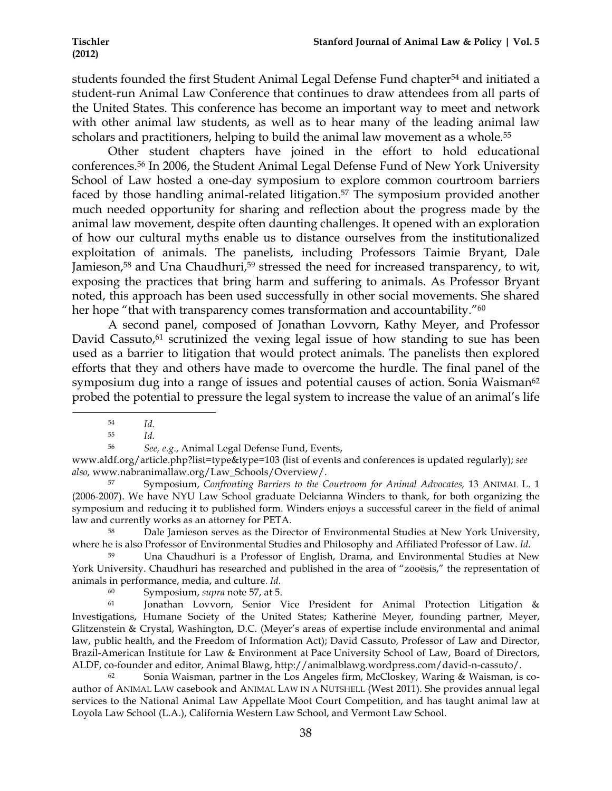students founded the first Student Animal Legal Defense Fund chapter<sup>54</sup> and initiated a student-run Animal Law Conference that continues to draw attendees from all parts of the United States. This conference has become an important way to meet and network with other animal law students, as well as to hear many of the leading animal law scholars and practitioners, helping to build the animal law movement as a whole.<sup>55</sup>

Other student chapters have joined in the effort to hold educational conferences.56 In 2006, the Student Animal Legal Defense Fund of New York University School of Law hosted a one-day symposium to explore common courtroom barriers faced by those handling animal-related litigation.57 The symposium provided another much needed opportunity for sharing and reflection about the progress made by the animal law movement, despite often daunting challenges. It opened with an exploration of how our cultural myths enable us to distance ourselves from the institutionalized exploitation of animals. The panelists, including Professors Taimie Bryant, Dale Jamieson,<sup>58</sup> and Una Chaudhuri,<sup>59</sup> stressed the need for increased transparency, to wit, exposing the practices that bring harm and suffering to animals. As Professor Bryant noted, this approach has been used successfully in other social movements. She shared her hope "that with transparency comes transformation and accountability."<sup>60</sup>

A second panel, composed of Jonathan Lovvorn, Kathy Meyer, and Professor David Cassuto, $61$  scrutinized the vexing legal issue of how standing to sue has been used as a barrier to litigation that would protect animals. The panelists then explored efforts that they and others have made to overcome the hurdle. The final panel of the symposium dug into a range of issues and potential causes of action. Sonia Waisman<sup>62</sup> probed the potential to pressure the legal system to increase the value of an animal's life

<sup>!!!!!!!!!!!!!!!!!!!!!!!!!!!!!!!!!!!!!!!!!!!!!!!!!!!!!!!!!!!!</sup> <sup>54</sup> *Id.*

<sup>55</sup> *Id.*

<sup>56</sup> *See, e.g*., Animal Legal Defense Fund, Events,

www.aldf.org/article.php?list=type&type=103 (list of events and conferences is updated regularly); *see also,* www.nabranimallaw.org/Law\_Schools/Overview/.

<sup>57</sup> Symposium, *Confronting Barriers to the Courtroom for Animal Advocates,* 13 ANIMAL L. 1 (2006-2007). We have NYU Law School graduate Delcianna Winders to thank, for both organizing the symposium and reducing it to published form. Winders enjoys a successful career in the field of animal law and currently works as an attorney for PETA.

<sup>58</sup> Dale Jamieson serves as the Director of Environmental Studies at New York University, where he is also Professor of Environmental Studies and Philosophy and Affiliated Professor of Law. *Id.*

<sup>59</sup> Una Chaudhuri is a Professor of English, Drama, and Environmental Studies at New York University. Chaudhuri has researched and published in the area of "zooësis," the representation of animals in performance, media, and culture. *Id.*

<sup>60</sup> Symposium, *supra* note 57, at 5.

Jonathan Lovvorn, Senior Vice President for Animal Protection Litigation & Investigations, Humane Society of the United States; Katherine Meyer, founding partner, Meyer, Glitzenstein & Crystal, Washington, D.C. (Meyer's areas of expertise include environmental and animal law, public health, and the Freedom of Information Act); David Cassuto, Professor of Law and Director, Brazil-American Institute for Law & Environment at Pace University School of Law, Board of Directors, ALDF, co-founder and editor, Animal Blawg, http://animalblawg.wordpress.com/david-n-cassuto/.

<sup>62</sup> Sonia Waisman, partner in the Los Angeles firm, McCloskey, Waring & Waisman, is coauthor of ANIMAL LAW casebook and ANIMAL LAW IN A NUTSHELL (West 2011). She provides annual legal services to the National Animal Law Appellate Moot Court Competition, and has taught animal law at Loyola Law School (L.A.), California Western Law School, and Vermont Law School.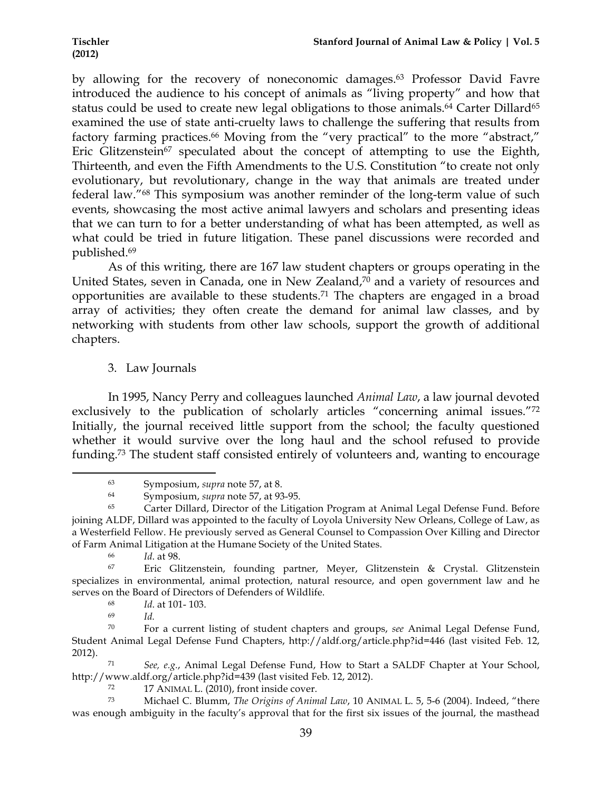by allowing for the recovery of noneconomic damages.<sup>63</sup> Professor David Favre introduced the audience to his concept of animals as "living property" and how that status could be used to create new legal obligations to those animals.<sup>64</sup> Carter Dillard<sup>65</sup> examined the use of state anti-cruelty laws to challenge the suffering that results from factory farming practices.<sup>66</sup> Moving from the "very practical" to the more "abstract," Eric Glitzenstein<sup>67</sup> speculated about the concept of attempting to use the Eighth, Thirteenth, and even the Fifth Amendments to the U.S. Constitution "to create not only evolutionary, but revolutionary, change in the way that animals are treated under federal law."68 This symposium was another reminder of the long-term value of such events, showcasing the most active animal lawyers and scholars and presenting ideas that we can turn to for a better understanding of what has been attempted, as well as what could be tried in future litigation. These panel discussions were recorded and published.69

As of this writing, there are 167 law student chapters or groups operating in the United States, seven in Canada, one in New Zealand, $\overline{70}$  and a variety of resources and opportunities are available to these students.71 The chapters are engaged in a broad array of activities; they often create the demand for animal law classes, and by networking with students from other law schools, support the growth of additional chapters.

3. Law Journals

In 1995, Nancy Perry and colleagues launched *Animal Law*, a law journal devoted exclusively to the publication of scholarly articles "concerning animal issues."72 Initially, the journal received little support from the school; the faculty questioned whether it would survive over the long haul and the school refused to provide funding.73 The student staff consisted entirely of volunteers and, wanting to encourage

<sup>63</sup> Symposium, *supra* note 57, at 8.

<sup>64</sup> Symposium, *supra* note 57, at 93-95.

<sup>65</sup> Carter Dillard, Director of the Litigation Program at Animal Legal Defense Fund. Before joining ALDF, Dillard was appointed to the faculty of Loyola University New Orleans, College of Law, as a Westerfield Fellow. He previously served as General Counsel to Compassion Over Killing and Director of Farm Animal Litigation at the Humane Society of the United States.

<sup>66</sup> *Id*. at 98.

Eric Glitzenstein, founding partner, Meyer, Glitzenstein & Crystal. Glitzenstein specializes in environmental, animal protection, natural resource, and open government law and he serves on the Board of Directors of Defenders of Wildlife.

<sup>68</sup> *Id*. at 101- 103.

<sup>69</sup> *Id.*

<sup>70</sup> For a current listing of student chapters and groups, *see* Animal Legal Defense Fund, Student Animal Legal Defense Fund Chapters, http://aldf.org/article.php?id=446 (last visited Feb. 12, 2012).

<sup>71</sup> *See, e.g.*, Animal Legal Defense Fund, How to Start a SALDF Chapter at Your School, http://www.aldf.org/article.php?id=439 (last visited Feb. 12, 2012).

<sup>72</sup> 17 ANIMAL L. (2010), front inside cover.

<sup>73</sup> Michael C. Blumm, *The Origins of Animal Law*, 10 ANIMAL L. 5, 5-6 (2004). Indeed, "there was enough ambiguity in the faculty's approval that for the first six issues of the journal, the masthead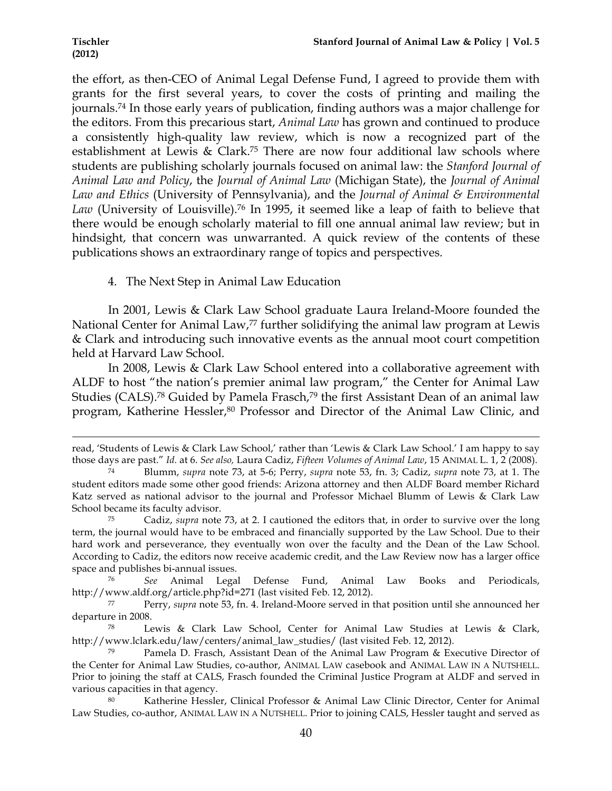the effort, as then-CEO of Animal Legal Defense Fund, I agreed to provide them with grants for the first several years, to cover the costs of printing and mailing the journals.74 In those early years of publication, finding authors was a major challenge for the editors. From this precarious start, *Animal Law* has grown and continued to produce a consistently high-quality law review, which is now a recognized part of the establishment at Lewis & Clark.75 There are now four additional law schools where students are publishing scholarly journals focused on animal law: the *Stanford Journal of Animal Law and Policy*, the *Journal of Animal Law* (Michigan State), the *Journal of Animal Law and Ethics* (University of Pennsylvania), and the *Journal of Animal & Environmental*  Law (University of Louisville).<sup>76</sup> In 1995, it seemed like a leap of faith to believe that there would be enough scholarly material to fill one annual animal law review; but in hindsight, that concern was unwarranted. A quick review of the contents of these publications shows an extraordinary range of topics and perspectives.

### 4. The Next Step in Animal Law Education

In 2001, Lewis & Clark Law School graduate Laura Ireland-Moore founded the National Center for Animal Law,<sup>77</sup> further solidifying the animal law program at Lewis & Clark and introducing such innovative events as the annual moot court competition held at Harvard Law School.

In 2008, Lewis & Clark Law School entered into a collaborative agreement with ALDF to host "the nation's premier animal law program," the Center for Animal Law Studies (CALS).<sup>78</sup> Guided by Pamela Frasch,<sup>79</sup> the first Assistant Dean of an animal law program, Katherine Hessler,<sup>80</sup> Professor and Director of the Animal Law Clinic, and

!!!!!!!!!!!!!!!!!!!!!!!!!!!!!!!!!!!!!!!!!!!!!!!!!!!!!!!!!!!!!!!!!!!!!!!!!!!!!!!!!!!!!!!!!!!!!!!!!!!!!!!!!!!!!!!!!!!!!!!!!!!!!!!!!!!!!!!!!!!!!!!!!!!!!!!!!!!!!!!!!!!!!!!!!!!!!!!!!!!!!!!!!!!!!!!!!!!

<sup>76</sup> *See* Animal Legal Defense Fund, Animal Law Books and Periodicals, http://www.aldf.org/article.php?id=271 (last visited Feb. 12, 2012).

read, 'Students of Lewis & Clark Law School,' rather than 'Lewis & Clark Law School.' I am happy to say those days are past." *Id.* at 6. *See also,* Laura Cadiz, *Fifteen Volumes of Animal Law*, 15 ANIMAL L. 1, 2 (2008).

<sup>74</sup> Blumm, *supra* note 73, at 5-6; Perry, *supra* note 53, fn. 3; Cadiz, *supra* note 73, at 1. The student editors made some other good friends: Arizona attorney and then ALDF Board member Richard Katz served as national advisor to the journal and Professor Michael Blumm of Lewis & Clark Law School became its faculty advisor.

<sup>75</sup> Cadiz, *supra* note 73, at 2. I cautioned the editors that, in order to survive over the long term, the journal would have to be embraced and financially supported by the Law School. Due to their hard work and perseverance, they eventually won over the faculty and the Dean of the Law School. According to Cadiz, the editors now receive academic credit, and the Law Review now has a larger office space and publishes bi-annual issues.

<sup>77</sup> Perry, *supra* note 53, fn. 4. Ireland-Moore served in that position until she announced her departure in 2008.

Lewis & Clark Law School, Center for Animal Law Studies at Lewis & Clark, http://www.lclark.edu/law/centers/animal\_law\_studies/ (last visited Feb. 12, 2012).

Pamela D. Frasch, Assistant Dean of the Animal Law Program & Executive Director of the Center for Animal Law Studies, co-author, ANIMAL LAW casebook and ANIMAL LAW IN A NUTSHELL. Prior to joining the staff at CALS, Frasch founded the Criminal Justice Program at ALDF and served in various capacities in that agency.<br>Katherine Hessle

Katherine Hessler, Clinical Professor & Animal Law Clinic Director, Center for Animal Law Studies, co-author, ANIMAL LAW IN A NUTSHELL. Prior to joining CALS, Hessler taught and served as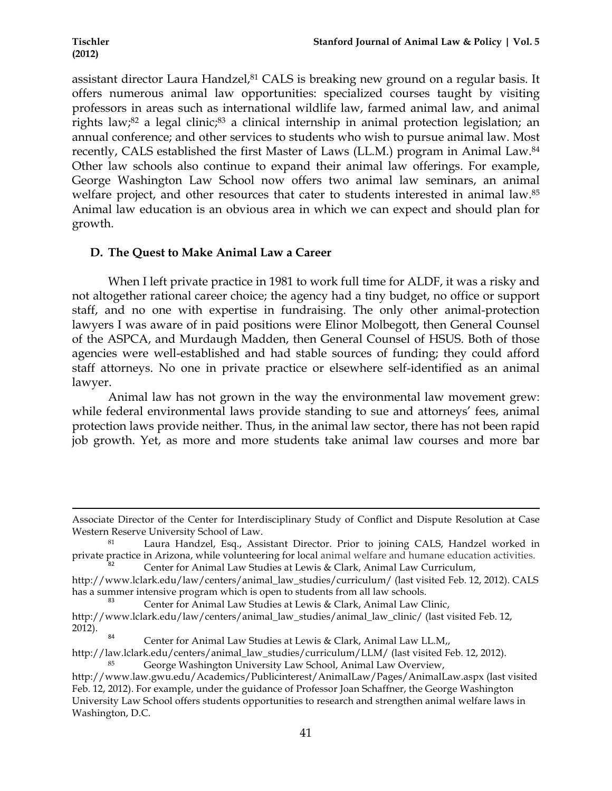assistant director Laura Handzel,<sup>81</sup> CALS is breaking new ground on a regular basis. It offers numerous animal law opportunities: specialized courses taught by visiting professors in areas such as international wildlife law, farmed animal law, and animal rights law;<sup>82</sup> a legal clinic;<sup>83</sup> a clinical internship in animal protection legislation; an annual conference; and other services to students who wish to pursue animal law. Most recently, CALS established the first Master of Laws (LL.M.) program in Animal Law. 84 Other law schools also continue to expand their animal law offerings. For example, George Washington Law School now offers two animal law seminars, an animal welfare project, and other resources that cater to students interested in animal law.<sup>85</sup> Animal law education is an obvious area in which we can expect and should plan for growth.

# **D. The Quest to Make Animal Law a Career**

When I left private practice in 1981 to work full time for ALDF, it was a risky and not altogether rational career choice; the agency had a tiny budget, no office or support staff, and no one with expertise in fundraising. The only other animal-protection lawyers I was aware of in paid positions were Elinor Molbegott, then General Counsel of the ASPCA, and Murdaugh Madden, then General Counsel of HSUS. Both of those agencies were well-established and had stable sources of funding; they could afford staff attorneys. No one in private practice or elsewhere self-identified as an animal lawyer.

Animal law has not grown in the way the environmental law movement grew: while federal environmental laws provide standing to sue and attorneys' fees, animal protection laws provide neither. Thus, in the animal law sector, there has not been rapid job growth. Yet, as more and more students take animal law courses and more bar

<sup>!!!!!!!!!!!!!!!!!!!!!!!!!!!!!!!!!!!!!!!!!!!!!!!!!!!!!!!!!!!!!!!!!!!!!!!!!!!!!!!!!!!!!!!!!!!!!!!!!!!!!!!!!!!!!!!!!!!!!!!!!!!!!!!!!!!!!!!!!!!!!!!!!!!!!!!!!!!!!!!!!!!!!!!!!!!!!!!!!!!!!!!!!!!!!!!!!!!</sup> Associate Director of the Center for Interdisciplinary Study of Conflict and Dispute Resolution at Case Western Reserve University School of Law.

<sup>81</sup> Laura Handzel, Esq., Assistant Director. Prior to joining CALS, Handzel worked in private practice in Arizona, while volunteering for local animal welfare and humane education activities.<br>Center for Animal Law Studies at Lewis & Clark, Animal Law Curriculum,

http://www.lclark.edu/law/centers/animal\_law\_studies/curriculum/ (last visited Feb. 12, 2012). CALS

has a summer intensive program which is open to students from all law schools.<br><sup>83</sup> Center for Animal Law Studies at Lewis & Clark, Animal Law Clinic,

http://www.lclark.edu/law/centers/animal\_law\_studies/animal\_law\_clinic/ (last visited Feb. 12, 2012).<br><sup>84</sup> Center for Animal Law Studies at Lewis & Clark, Animal Law LL.M,,

http://law.lclark.edu/centers/animal\_law\_studies/curriculum/LLM/ (last visited Feb. 12, 2012).

George Washington University Law School, Animal Law Overview, http://www.law.gwu.edu/Academics/Publicinterest/AnimalLaw/Pages/AnimalLaw.aspx (last visited Feb. 12, 2012). For example, under the guidance of Professor Joan Schaffner, the George Washington University Law School offers students opportunities to research and strengthen animal welfare laws in Washington, D.C.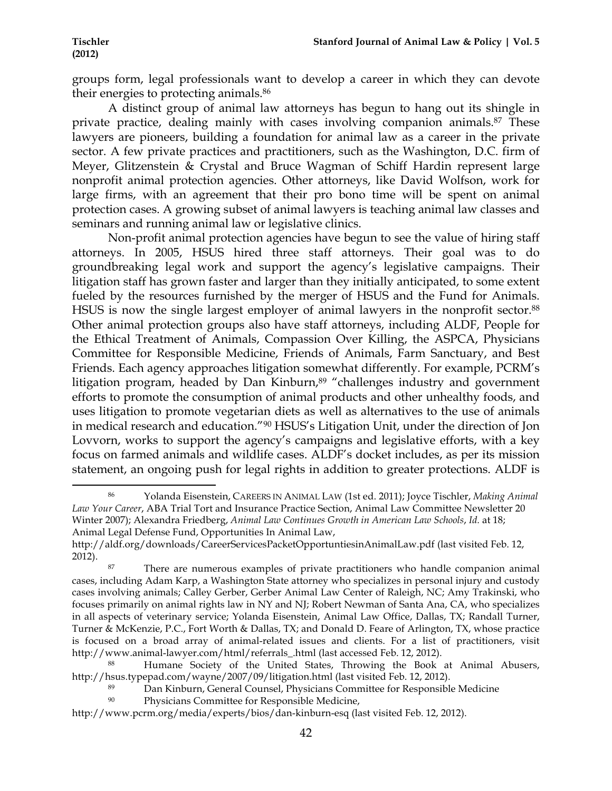groups form, legal professionals want to develop a career in which they can devote their energies to protecting animals.86

A distinct group of animal law attorneys has begun to hang out its shingle in private practice, dealing mainly with cases involving companion animals.<sup>87</sup> These lawyers are pioneers, building a foundation for animal law as a career in the private sector. A few private practices and practitioners, such as the Washington, D.C. firm of Meyer, Glitzenstein & Crystal and Bruce Wagman of Schiff Hardin represent large nonprofit animal protection agencies. Other attorneys, like David Wolfson, work for large firms, with an agreement that their pro bono time will be spent on animal protection cases. A growing subset of animal lawyers is teaching animal law classes and seminars and running animal law or legislative clinics.

Non-profit animal protection agencies have begun to see the value of hiring staff attorneys. In 2005, HSUS hired three staff attorneys. Their goal was to do groundbreaking legal work and support the agency's legislative campaigns. Their litigation staff has grown faster and larger than they initially anticipated, to some extent fueled by the resources furnished by the merger of HSUS and the Fund for Animals. HSUS is now the single largest employer of animal lawyers in the nonprofit sector.<sup>88</sup> Other animal protection groups also have staff attorneys, including ALDF, People for the Ethical Treatment of Animals, Compassion Over Killing, the ASPCA, Physicians Committee for Responsible Medicine, Friends of Animals, Farm Sanctuary, and Best Friends. Each agency approaches litigation somewhat differently. For example, PCRM's litigation program, headed by Dan Kinburn,<sup>89</sup> "challenges industry and government efforts to promote the consumption of animal products and other unhealthy foods, and uses litigation to promote vegetarian diets as well as alternatives to the use of animals in medical research and education."90 HSUS's Litigation Unit, under the direction of Jon Lovvorn, works to support the agency's campaigns and legislative efforts, with a key focus on farmed animals and wildlife cases. ALDF's docket includes, as per its mission statement, an ongoing push for legal rights in addition to greater protections. ALDF is

<sup>!!!!!!!!!!!!!!!!!!!!!!!!!!!!!!!!!!!!!!!!!!!!!!!!!!!!!!!!!!!!</sup> <sup>86</sup> Yolanda Eisenstein, CAREERS IN ANIMAL LAW (1st ed. 2011); Joyce Tischler, *Making Animal Law Your Career*, ABA Trial Tort and Insurance Practice Section, Animal Law Committee Newsletter 20 Winter 2007); Alexandra Friedberg, *Animal Law Continues Growth in American Law Schools*, *Id.* at 18; Animal Legal Defense Fund, Opportunities In Animal Law,

http://aldf.org/downloads/CareerServicesPacketOpportuntiesinAnimalLaw.pdf (last visited Feb. 12, 2012).

There are numerous examples of private practitioners who handle companion animal cases, including Adam Karp, a Washington State attorney who specializes in personal injury and custody cases involving animals; Calley Gerber, Gerber Animal Law Center of Raleigh, NC; Amy Trakinski, who focuses primarily on animal rights law in NY and NJ; Robert Newman of Santa Ana, CA, who specializes in all aspects of veterinary service; Yolanda Eisenstein, Animal Law Office, Dallas, TX; Randall Turner, Turner & McKenzie, P.C., Fort Worth & Dallas, TX; and Donald D. Feare of Arlington, TX, whose practice is focused on a broad array of animal-related issues and clients. For a list of practitioners, visit http://www.animal-lawyer.com/html/referrals\_.html (last accessed Feb. 12, 2012).

<sup>88</sup> Humane Society of the United States, Throwing the Book at Animal Abusers, http://hsus.typepad.com/wayne/2007/09/litigation.html (last visited Feb. 12, 2012).

<sup>89</sup> Dan Kinburn, General Counsel, Physicians Committee for Responsible Medicine

<sup>90</sup> Physicians Committee for Responsible Medicine,

http://www.pcrm.org/media/experts/bios/dan-kinburn-esq (last visited Feb. 12, 2012).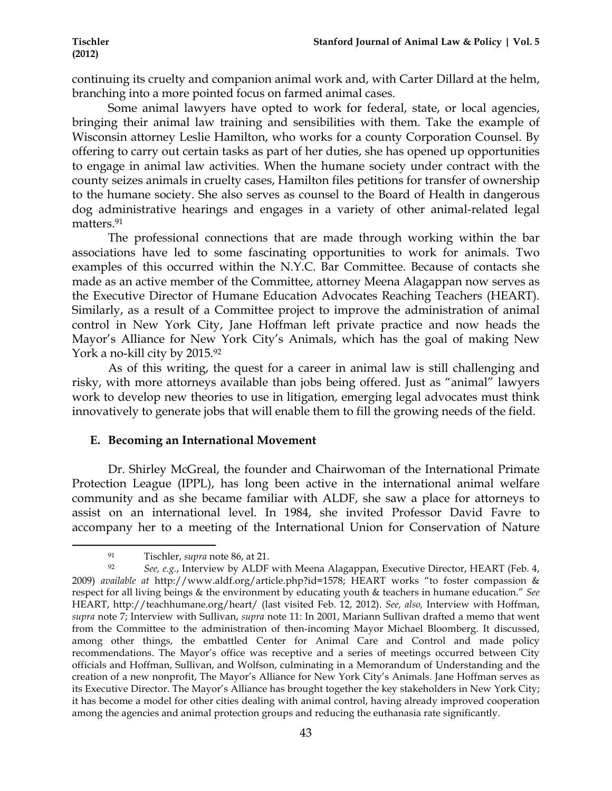continuing its cruelty and companion animal work and, with Carter Dillard at the helm, branching into a more pointed focus on farmed animal cases.

Some animal lawyers have opted to work for federal, state, or local agencies, bringing their animal law training and sensibilities with them. Take the example of Wisconsin attorney Leslie Hamilton, who works for a county Corporation Counsel. By offering to carry out certain tasks as part of her duties, she has opened up opportunities to engage in animal law activities. When the humane society under contract with the county seizes animals in cruelty cases, Hamilton files petitions for transfer of ownership to the humane society. She also serves as counsel to the Board of Health in dangerous dog administrative hearings and engages in a variety of other animal-related legal matters.<sup>91</sup>

The professional connections that are made through working within the bar associations have led to some fascinating opportunities to work for animals. Two examples of this occurred within the N.Y.C. Bar Committee. Because of contacts she made as an active member of the Committee, attorney Meena Alagappan now serves as the Executive Director of Humane Education Advocates Reaching Teachers (HEART). Similarly, as a result of a Committee project to improve the administration of animal control in New York City, Jane Hoffman left private practice and now heads the Mayor's Alliance for New York City's Animals, which has the goal of making New York a no-kill city by 2015.92

As of this writing, the quest for a career in animal law is still challenging and risky, with more attorneys available than jobs being offered. Just as "animal" lawyers work to develop new theories to use in litigation, emerging legal advocates must think innovatively to generate jobs that will enable them to fill the growing needs of the field.

# **E. Becoming an International Movement**

Dr. Shirley McGreal, the founder and Chairwoman of the International Primate Protection League (IPPL), has long been active in the international animal welfare community and as she became familiar with ALDF, she saw a place for attorneys to assist on an international level. In 1984, she invited Professor David Favre to accompany her to a meeting of the International Union for Conservation of Nature

<sup>!!!!!!!!!!!!!!!!!!!!!!!!!!!!!!!!!!!!!!!!!!!!!!!!!!!!!!!!!!!!</sup> <sup>91</sup> Tischler, *supra* note 86, at 21.

<sup>92</sup> *See, e.g.*, Interview by ALDF with Meena Alagappan, Executive Director, HEART (Feb. 4, 2009) *available at* http://www.aldf.org/article.php?id=1578; HEART works "to foster compassion & respect for all living beings & the environment by educating youth & teachers in humane education." *See*  HEART, http://teachhumane.org/heart/ (last visited Feb. 12, 2012). *See, also,* Interview with Hoffman, *supra* note 7; Interview with Sullivan, *supra* note 11: In 2001, Mariann Sullivan drafted a memo that went from the Committee to the administration of then-incoming Mayor Michael Bloomberg. It discussed, among other things, the embattled Center for Animal Care and Control and made policy recommendations. The Mayor's office was receptive and a series of meetings occurred between City officials and Hoffman, Sullivan, and Wolfson, culminating in a Memorandum of Understanding and the creation of a new nonprofit, The Mayor's Alliance for New York City's Animals. Jane Hoffman serves as its Executive Director. The Mayor's Alliance has brought together the key stakeholders in New York City; it has become a model for other cities dealing with animal control, having already improved cooperation among the agencies and animal protection groups and reducing the euthanasia rate significantly.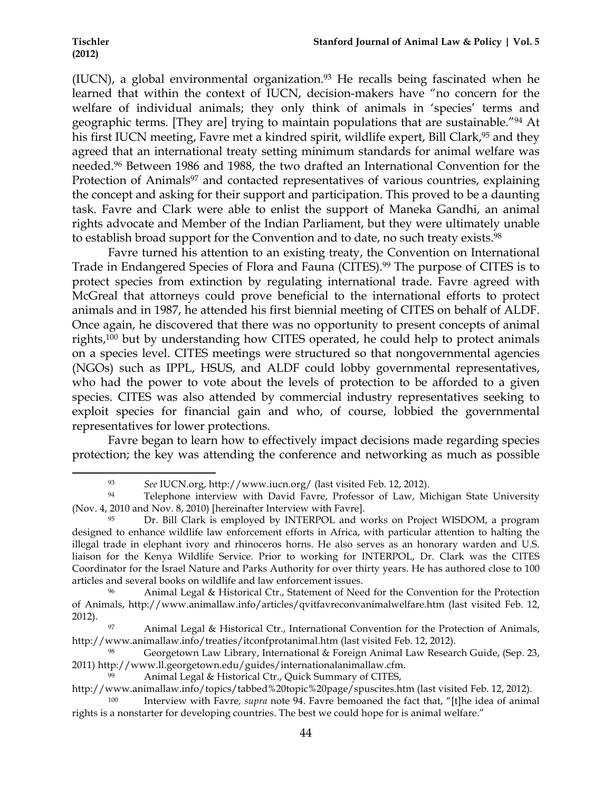(IUCN), a global environmental organization.<sup>93</sup> He recalls being fascinated when he learned that within the context of IUCN, decision-makers have "no concern for the welfare of individual animals; they only think of animals in 'species' terms and geographic terms. [They are] trying to maintain populations that are sustainable."94 At his first IUCN meeting, Favre met a kindred spirit, wildlife expert, Bill Clark,<sup>95</sup> and they agreed that an international treaty setting minimum standards for animal welfare was needed.96 Between 1986 and 1988, the two drafted an International Convention for the Protection of Animals<sup>97</sup> and contacted representatives of various countries, explaining the concept and asking for their support and participation. This proved to be a daunting task. Favre and Clark were able to enlist the support of Maneka Gandhi, an animal rights advocate and Member of the Indian Parliament, but they were ultimately unable to establish broad support for the Convention and to date, no such treaty exists.98

Favre turned his attention to an existing treaty, the Convention on International Trade in Endangered Species of Flora and Fauna (CITES).<sup>99</sup> The purpose of CITES is to protect species from extinction by regulating international trade. Favre agreed with McGreal that attorneys could prove beneficial to the international efforts to protect animals and in 1987, he attended his first biennial meeting of CITES on behalf of ALDF. Once again, he discovered that there was no opportunity to present concepts of animal rights,100 but by understanding how CITES operated, he could help to protect animals on a species level. CITES meetings were structured so that nongovernmental agencies (NGOs) such as IPPL, HSUS, and ALDF could lobby governmental representatives, who had the power to vote about the levels of protection to be afforded to a given species. CITES was also attended by commercial industry representatives seeking to exploit species for financial gain and who, of course, lobbied the governmental representatives for lower protections.

Favre began to learn how to effectively impact decisions made regarding species protection; the key was attending the conference and networking as much as possible

<sup>93</sup> *See* IUCN.org, http://www.iucn.org/ (last visited Feb. 12, 2012).

<sup>94</sup> Telephone interview with David Favre, Professor of Law, Michigan State University (Nov. 4, 2010 and Nov. 8, 2010) [hereinafter Interview with Favre].

<sup>95</sup> Dr. Bill Clark is employed by INTERPOL and works on Project WISDOM, a program designed to enhance wildlife law enforcement efforts in Africa, with particular attention to halting the illegal trade in elephant ivory and rhinoceros horns. He also serves as an honorary warden and U.S. liaison for the Kenya Wildlife Service. Prior to working for INTERPOL, Dr. Clark was the CITES Coordinator for the Israel Nature and Parks Authority for over thirty years. He has authored close to 100 articles and several books on wildlife and law enforcement issues.

<sup>96</sup> Animal Legal & Historical Ctr., Statement of Need for the Convention for the Protection of Animals, http://www.animallaw.info/articles/qvitfavreconvanimalwelfare.htm (last visited Feb. 12, 2012).

<sup>97</sup> Animal Legal & Historical Ctr., International Convention for the Protection of Animals, http://www.animallaw.info/treaties/itconfprotanimal.htm (last visited Feb. 12, 2012).

<sup>98</sup> Georgetown Law Library, International & Foreign Animal Law Research Guide, (Sep. 23, 2011) http://www.ll.georgetown.edu/guides/internationalanimallaw.cfm.

Animal Legal & Historical Ctr., Quick Summary of CITES,

http://www.animallaw.info/topics/tabbed%20topic%20page/spuscites.htm (last visited Feb. 12, 2012).

<sup>100</sup> Interview with Favre*, supra* note 94. Favre bemoaned the fact that, "[t]he idea of animal rights is a nonstarter for developing countries. The best we could hope for is animal welfare."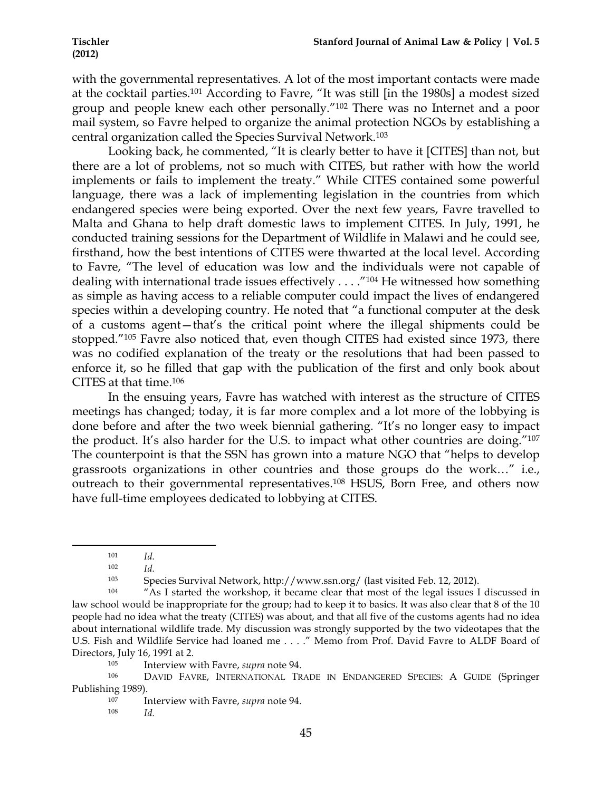with the governmental representatives. A lot of the most important contacts were made at the cocktail parties.101 According to Favre, "It was still [in the 1980s] a modest sized group and people knew each other personally."102 There was no Internet and a poor mail system, so Favre helped to organize the animal protection NGOs by establishing a central organization called the Species Survival Network.103

Looking back, he commented, "It is clearly better to have it [CITES] than not, but there are a lot of problems, not so much with CITES, but rather with how the world implements or fails to implement the treaty." While CITES contained some powerful language, there was a lack of implementing legislation in the countries from which endangered species were being exported. Over the next few years, Favre travelled to Malta and Ghana to help draft domestic laws to implement CITES. In July, 1991, he conducted training sessions for the Department of Wildlife in Malawi and he could see, firsthand, how the best intentions of CITES were thwarted at the local level. According to Favre, "The level of education was low and the individuals were not capable of dealing with international trade issues effectively . . . ."104 He witnessed how something as simple as having access to a reliable computer could impact the lives of endangered species within a developing country. He noted that "a functional computer at the desk of a customs agent—that's the critical point where the illegal shipments could be stopped."105 Favre also noticed that, even though CITES had existed since 1973, there was no codified explanation of the treaty or the resolutions that had been passed to enforce it, so he filled that gap with the publication of the first and only book about CITES at that time.106

In the ensuing years, Favre has watched with interest as the structure of CITES meetings has changed; today, it is far more complex and a lot more of the lobbying is done before and after the two week biennial gathering. "It's no longer easy to impact the product. It's also harder for the U.S. to impact what other countries are doing."107 The counterpoint is that the SSN has grown into a mature NGO that "helps to develop grassroots organizations in other countries and those groups do the work…" i.e., outreach to their governmental representatives.108 HSUS, Born Free, and others now have full-time employees dedicated to lobbying at CITES.

<sup>103</sup> Species Survival Network, http://www.ssn.org/ (last visited Feb. 12, 2012).

<sup>!!!!!!!!!!!!!!!!!!!!!!!!!!!!!!!!!!!!!!!!!!!!!!!!!!!!!!!!!!!!</sup> <sup>101</sup> *Id.*

<sup>102</sup> *Id.*

<sup>104</sup> "As I started the workshop, it became clear that most of the legal issues I discussed in law school would be inappropriate for the group; had to keep it to basics. It was also clear that 8 of the 10 people had no idea what the treaty (CITES) was about, and that all five of the customs agents had no idea about international wildlife trade. My discussion was strongly supported by the two videotapes that the U.S. Fish and Wildlife Service had loaned me . . . ." Memo from Prof. David Favre to ALDF Board of Directors, July 16, 1991 at 2.

<sup>105</sup> Interview with Favre, *supra* note 94. 106 DAVID FAVRE, INTERNATIONAL TRADE IN ENDANGERED SPECIES: <sup>A</sup> GUIDE (Springer Publishing 1989).

<sup>107</sup> Interview with Favre, *supra* note 94.

<sup>108</sup> *Id.*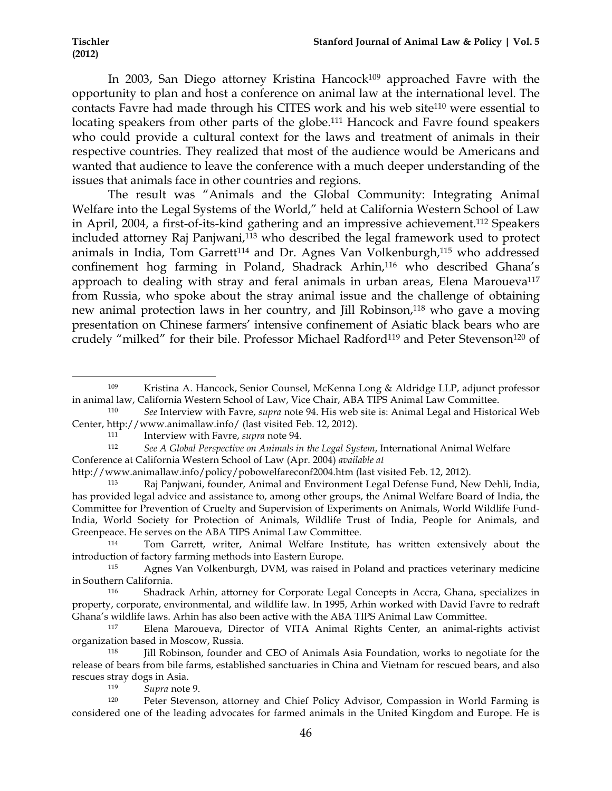In 2003, San Diego attorney Kristina Hancock<sup>109</sup> approached Favre with the opportunity to plan and host a conference on animal law at the international level. The contacts Favre had made through his CITES work and his web site<sup>110</sup> were essential to locating speakers from other parts of the globe.111 Hancock and Favre found speakers who could provide a cultural context for the laws and treatment of animals in their respective countries. They realized that most of the audience would be Americans and wanted that audience to leave the conference with a much deeper understanding of the issues that animals face in other countries and regions.

The result was "Animals and the Global Community: Integrating Animal Welfare into the Legal Systems of the World," held at California Western School of Law in April, 2004, a first-of-its-kind gathering and an impressive achievement.112 Speakers included attorney Raj Panjwani,<sup>113</sup> who described the legal framework used to protect animals in India, Tom Garrett<sup>114</sup> and Dr. Agnes Van Volkenburgh,<sup>115</sup> who addressed confinement hog farming in Poland, Shadrack Arhin,<sup>116</sup> who described Ghana's approach to dealing with stray and feral animals in urban areas, Elena Maroueva<sup>117</sup> from Russia, who spoke about the stray animal issue and the challenge of obtaining new animal protection laws in her country, and Jill Robinson,<sup>118</sup> who gave a moving presentation on Chinese farmers' intensive confinement of Asiatic black bears who are crudely "milked" for their bile. Professor Michael Radford<sup>119</sup> and Peter Stevenson<sup>120</sup> of

<sup>109</sup> Kristina A. Hancock, Senior Counsel, McKenna Long & Aldridge LLP, adjunct professor in animal law, California Western School of Law, Vice Chair, ABA TIPS Animal Law Committee.

<sup>110</sup> *See* Interview with Favre, *supra* note 94. His web site is: Animal Legal and Historical Web Center, http://www.animallaw.info/ (last visited Feb. 12, 2012).

<sup>111</sup> Interview with Favre, *supra* note 94.

<sup>112</sup> *See A Global Perspective on Animals in the Legal System*, International Animal Welfare Conference at California Western School of Law (Apr. 2004) *available at*

http://www.animallaw.info/policy/pobowelfareconf2004.htm (last visited Feb. 12, 2012).

<sup>113</sup> Raj Panjwani, founder, Animal and Environment Legal Defense Fund, New Dehli, India, has provided legal advice and assistance to, among other groups, the Animal Welfare Board of India, the Committee for Prevention of Cruelty and Supervision of Experiments on Animals, World Wildlife Fund-India, World Society for Protection of Animals, Wildlife Trust of India, People for Animals, and Greenpeace. He serves on the ABA TIPS Animal Law Committee.<br>Tom Garrett writer Animal Welfare Institute

Tom Garrett, writer, Animal Welfare Institute, has written extensively about the introduction of factory farming methods into Eastern Europe.

<sup>115</sup> Agnes Van Volkenburgh, DVM, was raised in Poland and practices veterinary medicine in Southern California.

<sup>116</sup> Shadrack Arhin, attorney for Corporate Legal Concepts in Accra, Ghana, specializes in property, corporate, environmental, and wildlife law. In 1995, Arhin worked with David Favre to redraft Ghana's wildlife laws. Arhin has also been active with the ABA TIPS Animal Law Committee.

<sup>117</sup> Elena Maroueva, Director of VITA Animal Rights Center, an animal-rights activist organization based in Moscow, Russia.

<sup>118</sup> Jill Robinson, founder and CEO of Animals Asia Foundation, works to negotiate for the release of bears from bile farms, established sanctuaries in China and Vietnam for rescued bears, and also rescues stray dogs in Asia.

<sup>119</sup> *Supra* note 9.

Peter Stevenson, attorney and Chief Policy Advisor, Compassion in World Farming is considered one of the leading advocates for farmed animals in the United Kingdom and Europe. He is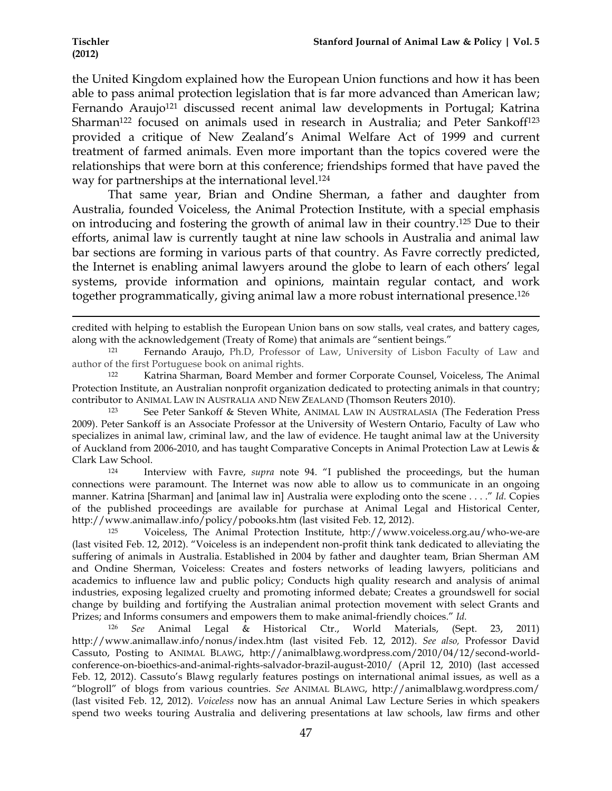the United Kingdom explained how the European Union functions and how it has been able to pass animal protection legislation that is far more advanced than American law; Fernando Araujo<sup>121</sup> discussed recent animal law developments in Portugal; Katrina Sharman<sup>122</sup> focused on animals used in research in Australia; and Peter Sankoff<sup>123</sup> provided a critique of New Zealand's Animal Welfare Act of 1999 and current treatment of farmed animals. Even more important than the topics covered were the relationships that were born at this conference; friendships formed that have paved the way for partnerships at the international level.<sup>124</sup>

That same year, Brian and Ondine Sherman, a father and daughter from Australia, founded Voiceless, the Animal Protection Institute, with a special emphasis on introducing and fostering the growth of animal law in their country.125 Due to their efforts, animal law is currently taught at nine law schools in Australia and animal law bar sections are forming in various parts of that country. As Favre correctly predicted, the Internet is enabling animal lawyers around the globe to learn of each others' legal systems, provide information and opinions, maintain regular contact, and work together programmatically, giving animal law a more robust international presence.126

<sup>123</sup> See Peter Sankoff & Steven White, ANIMAL LAW IN AUSTRALASIA (The Federation Press 2009). Peter Sankoff is an Associate Professor at the University of Western Ontario, Faculty of Law who specializes in animal law, criminal law, and the law of evidence. He taught animal law at the University of Auckland from 2006-2010, and has taught Comparative Concepts in Animal Protection Law at Lewis & Clark Law School. 124 Interview with Favre, *supra* note 94. "I published the proceedings, but the human

connections were paramount. The Internet was now able to allow us to communicate in an ongoing manner. Katrina [Sharman] and [animal law in] Australia were exploding onto the scene . . . ." *Id.* Copies of the published proceedings are available for purchase at Animal Legal and Historical Center, http://www.animallaw.info/policy/pobooks.htm (last visited Feb. 12, 2012).

<sup>125</sup> Voiceless, The Animal Protection Institute, http://www.voiceless.org.au/who-we-are (last visited Feb. 12, 2012). "Voiceless is an independent non-profit think tank dedicated to alleviating the suffering of animals in Australia. Established in 2004 by father and daughter team, Brian Sherman AM and Ondine Sherman, Voiceless: Creates and fosters networks of leading lawyers, politicians and academics to influence law and public policy; Conducts high quality research and analysis of animal industries, exposing legalized cruelty and promoting informed debate; Creates a groundswell for social change by building and fortifying the Australian animal protection movement with select Grants and Prizes; and Informs consumers and empowers them to make animal-friendly choices." *Id.*

<sup>126</sup> *See* Animal Legal & Historical Ctr., World Materials, (Sept. 23, 2011) http://www.animallaw.info/nonus/index.htm (last visited Feb. 12, 2012). *See also,* Professor David Cassuto, Posting to ANIMAL BLAWG, http://animalblawg.wordpress.com/2010/04/12/second-worldconference-on-bioethics-and-animal-rights-salvador-brazil-august-2010/ (April 12, 2010) (last accessed Feb. 12, 2012). Cassuto's Blawg regularly features postings on international animal issues, as well as a "blogroll" of blogs from various countries. *See* ANIMAL BLAWG, http://animalblawg.wordpress.com/ (last visited Feb. 12, 2012). *Voiceless* now has an annual Animal Law Lecture Series in which speakers spend two weeks touring Australia and delivering presentations at law schools, law firms and other

<sup>!!!!!!!!!!!!!!!!!!!!!!!!!!!!!!!!!!!!!!!!!!!!!!!!!!!!!!!!!!!!!!!!!!!!!!!!!!!!!!!!!!!!!!!!!!!!!!!!!!!!!!!!!!!!!!!!!!!!!!!!!!!!!!!!!!!!!!!!!!!!!!!!!!!!!!!!!!!!!!!!!!!!!!!!!!!!!!!!!!!!!!!!!!!!!!!!!!!</sup> credited with helping to establish the European Union bans on sow stalls, veal crates, and battery cages, along with the acknowledgement (Treaty of Rome) that animals are "sentient beings."

<sup>121</sup> Fernando Araujo, Ph.D, Professor of Law, University of Lisbon Faculty of Law and author of the first Portuguese book on animal rights.

<sup>122</sup> Katrina Sharman, Board Member and former Corporate Counsel, Voiceless, The Animal Protection Institute, an Australian nonprofit organization dedicated to protecting animals in that country; contributor to ANIMAL LAW IN AUSTRALIA AND NEW ZEALAND (Thomson Reuters 2010).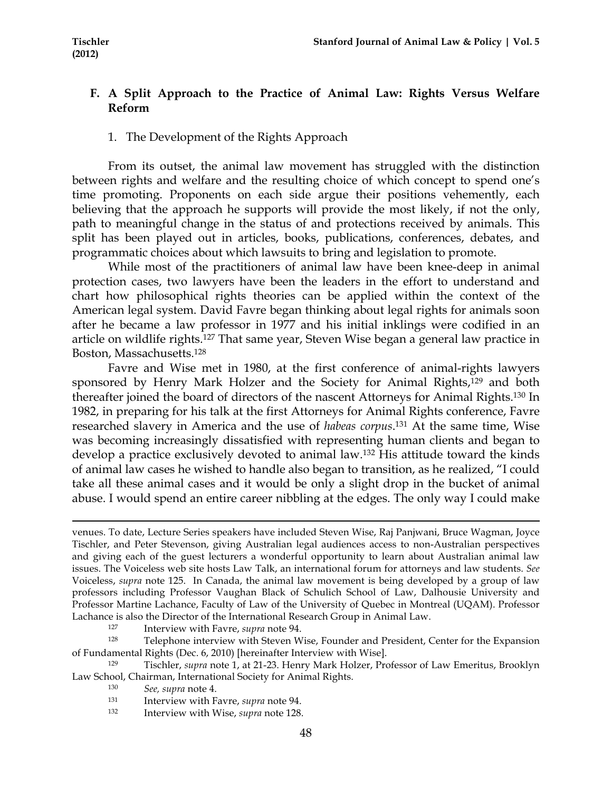# **F. A Split Approach to the Practice of Animal Law: Rights Versus Welfare Reform**

# 1. The Development of the Rights Approach

From its outset, the animal law movement has struggled with the distinction between rights and welfare and the resulting choice of which concept to spend one's time promoting. Proponents on each side argue their positions vehemently, each believing that the approach he supports will provide the most likely, if not the only, path to meaningful change in the status of and protections received by animals. This split has been played out in articles, books, publications, conferences, debates, and programmatic choices about which lawsuits to bring and legislation to promote.

While most of the practitioners of animal law have been knee-deep in animal protection cases, two lawyers have been the leaders in the effort to understand and chart how philosophical rights theories can be applied within the context of the American legal system. David Favre began thinking about legal rights for animals soon after he became a law professor in 1977 and his initial inklings were codified in an article on wildlife rights.127 That same year, Steven Wise began a general law practice in Boston, Massachusetts.128

Favre and Wise met in 1980, at the first conference of animal-rights lawyers sponsored by Henry Mark Holzer and the Society for Animal Rights,<sup>129</sup> and both thereafter joined the board of directors of the nascent Attorneys for Animal Rights.130 In 1982, in preparing for his talk at the first Attorneys for Animal Rights conference, Favre researched slavery in America and the use of *habeas corpus*. 131 At the same time, Wise was becoming increasingly dissatisfied with representing human clients and began to develop a practice exclusively devoted to animal law.132 His attitude toward the kinds of animal law cases he wished to handle also began to transition, as he realized, "I could take all these animal cases and it would be only a slight drop in the bucket of animal abuse. I would spend an entire career nibbling at the edges. The only way I could make

!!!!!!!!!!!!!!!!!!!!!!!!!!!!!!!!!!!!!!!!!!!!!!!!!!!!!!!!!!!!!!!!!!!!!!!!!!!!!!!!!!!!!!!!!!!!!!!!!!!!!!!!!!!!!!!!!!!!!!!!!!!!!!!!!!!!!!!!!!!!!!!!!!!!!!!!!!!!!!!!!!!!!!!!!!!!!!!!!!!!!!!!!!!!!!!!!!!

127 Interview with Favre, *supra* note 94.<br><sup>128</sup> Telephone interview with Steven Wise, Founder and President, Center for the Expansion of Fundamental Rights (Dec. 6, 2010) [hereinafter Interview with Wise].

<sup>129</sup> Tischler, *supra* note 1, at 21-23. Henry Mark Holzer, Professor of Law Emeritus, Brooklyn Law School, Chairman, International Society for Animal Rights.

<sup>130</sup> *See, supra* note 4.

- <sup>131</sup> Interview with Favre, *supra* note 94. 132 Interview with Wise, *supra* note 128.
- 

venues. To date, Lecture Series speakers have included Steven Wise, Raj Panjwani, Bruce Wagman, Joyce Tischler, and Peter Stevenson, giving Australian legal audiences access to non-Australian perspectives and giving each of the guest lecturers a wonderful opportunity to learn about Australian animal law issues. The Voiceless web site hosts Law Talk, an international forum for attorneys and law students. *See*  Voiceless, *supra* note 125. In Canada, the animal law movement is being developed by a group of law professors including Professor Vaughan Black of Schulich School of Law, Dalhousie University and Professor Martine Lachance, Faculty of Law of the University of Quebec in Montreal (UQAM). Professor Lachance is also the Director of the International Research Group in Animal Law.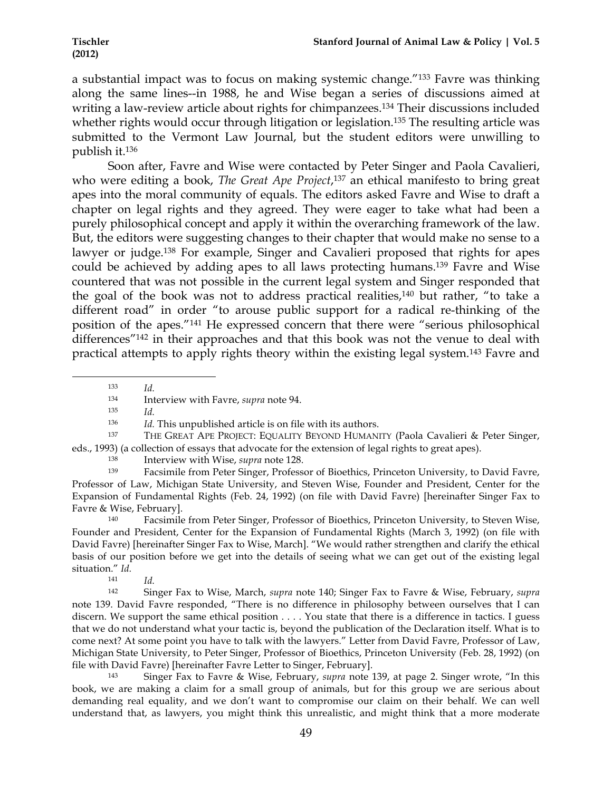a substantial impact was to focus on making systemic change."133 Favre was thinking along the same lines--in 1988, he and Wise began a series of discussions aimed at writing a law-review article about rights for chimpanzees.134 Their discussions included whether rights would occur through litigation or legislation.<sup>135</sup> The resulting article was submitted to the Vermont Law Journal, but the student editors were unwilling to publish it.136

Soon after, Favre and Wise were contacted by Peter Singer and Paola Cavalieri, who were editing a book, *The Great Ape Project*, 137 an ethical manifesto to bring great apes into the moral community of equals. The editors asked Favre and Wise to draft a chapter on legal rights and they agreed. They were eager to take what had been a purely philosophical concept and apply it within the overarching framework of the law. But, the editors were suggesting changes to their chapter that would make no sense to a lawyer or judge.138 For example, Singer and Cavalieri proposed that rights for apes could be achieved by adding apes to all laws protecting humans.139 Favre and Wise countered that was not possible in the current legal system and Singer responded that the goal of the book was not to address practical realities,140 but rather, "to take a different road" in order "to arouse public support for a radical re-thinking of the position of the apes."141 He expressed concern that there were "serious philosophical differences"142 in their approaches and that this book was not the venue to deal with practical attempts to apply rights theory within the existing legal system.143 Favre and

!!!!!!!!!!!!!!!!!!!!!!!!!!!!!!!!!!!!!!!!!!!!!!!!!!!!!!!!!!!! <sup>133</sup> *Id.*

<sup>135</sup> *Id.*

<sup>136</sup> *Id.* This unpublished article is on file with its authors.

<sup>137</sup> THE GREAT APE PROJECT: EQUALITY BEYOND HUMANITY (Paola Cavalieri & Peter Singer, eds., 1993) (a collection of essays that advocate for the extension of legal rights to great apes).

<sup>138</sup> Interview with Wise, *supra* note 128.

<sup>139</sup> Facsimile from Peter Singer, Professor of Bioethics, Princeton University, to David Favre, Professor of Law, Michigan State University, and Steven Wise, Founder and President, Center for the Expansion of Fundamental Rights (Feb. 24, 1992) (on file with David Favre) [hereinafter Singer Fax to Favre & Wise, February].

<sup>140</sup> Facsimile from Peter Singer, Professor of Bioethics, Princeton University, to Steven Wise, Founder and President, Center for the Expansion of Fundamental Rights (March 3, 1992) (on file with David Favre) [hereinafter Singer Fax to Wise, March]. "We would rather strengthen and clarify the ethical basis of our position before we get into the details of seeing what we can get out of the existing legal situation." *Id.*

<sup>141</sup> *Id.* 

<sup>142</sup> Singer Fax to Wise, March, *supra* note 140; Singer Fax to Favre & Wise, February, *supra*  note 139. David Favre responded, "There is no difference in philosophy between ourselves that I can discern. We support the same ethical position . . . . You state that there is a difference in tactics. I guess that we do not understand what your tactic is, beyond the publication of the Declaration itself. What is to come next? At some point you have to talk with the lawyers." Letter from David Favre, Professor of Law, Michigan State University, to Peter Singer, Professor of Bioethics, Princeton University (Feb. 28, 1992) (on file with David Favre) [hereinafter Favre Letter to Singer, February].

<sup>143</sup> Singer Fax to Favre & Wise, February, *supra* note 139, at page 2. Singer wrote, "In this book, we are making a claim for a small group of animals, but for this group we are serious about demanding real equality, and we don't want to compromise our claim on their behalf. We can well understand that, as lawyers, you might think this unrealistic, and might think that a more moderate

<sup>134</sup> Interview with Favre, *supra* note 94.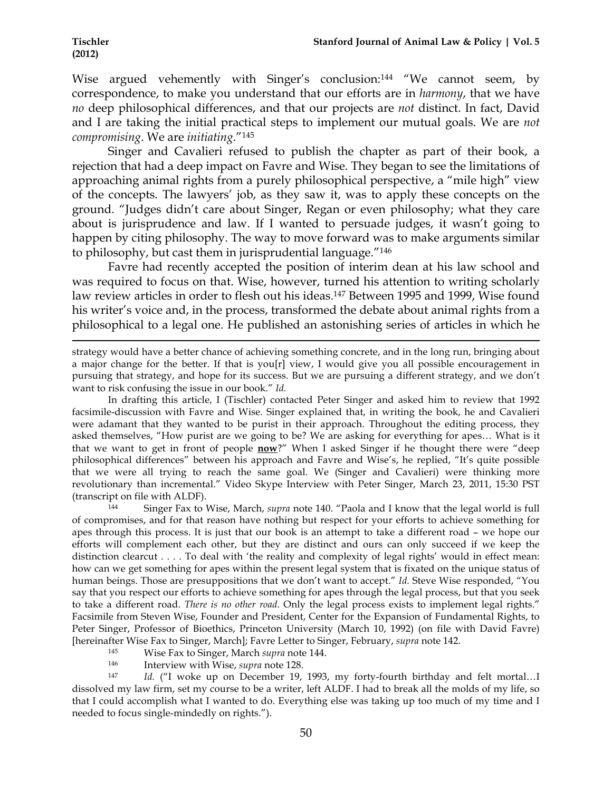Wise argued vehemently with Singer's conclusion:<sup>144</sup> "We cannot seem, by correspondence, to make you understand that our efforts are in *harmony*, that we have *no* deep philosophical differences, and that our projects are *not* distinct. In fact, David and I are taking the initial practical steps to implement our mutual goals. We are *not compromising*. We are *initiating*."145

Singer and Cavalieri refused to publish the chapter as part of their book, a rejection that had a deep impact on Favre and Wise. They began to see the limitations of approaching animal rights from a purely philosophical perspective, a "mile high" view of the concepts. The lawyers' job, as they saw it, was to apply these concepts on the ground. "Judges didn't care about Singer, Regan or even philosophy; what they care about is jurisprudence and law. If I wanted to persuade judges, it wasn't going to happen by citing philosophy. The way to move forward was to make arguments similar to philosophy, but cast them in jurisprudential language."146

Favre had recently accepted the position of interim dean at his law school and was required to focus on that. Wise, however, turned his attention to writing scholarly law review articles in order to flesh out his ideas.147 Between 1995 and 1999, Wise found his writer's voice and, in the process, transformed the debate about animal rights from a philosophical to a legal one. He published an astonishing series of articles in which he

strategy would have a better chance of achieving something concrete, and in the long run, bringing about a major change for the better. If that is you[r] view, I would give you all possible encouragement in pursuing that strategy, and hope for its success. But we are pursuing a different strategy, and we don't want to risk confusing the issue in our book." *Id.*

!!!!!!!!!!!!!!!!!!!!!!!!!!!!!!!!!!!!!!!!!!!!!!!!!!!!!!!!!!!!!!!!!!!!!!!!!!!!!!!!!!!!!!!!!!!!!!!!!!!!!!!!!!!!!!!!!!!!!!!!!!!!!!!!!!!!!!!!!!!!!!!!!!!!!!!!!!!!!!!!!!!!!!!!!!!!!!!!!!!!!!!!!!!!!!!!!!!

In drafting this article, I (Tischler) contacted Peter Singer and asked him to review that 1992 facsimile-discussion with Favre and Wise. Singer explained that, in writing the book, he and Cavalieri were adamant that they wanted to be purist in their approach. Throughout the editing process, they asked themselves, "How purist are we going to be? We are asking for everything for apes… What is it that we want to get in front of people **now**?" When I asked Singer if he thought there were "deep philosophical differences" between his approach and Favre and Wise's, he replied, "It's quite possible that we were all trying to reach the same goal. We (Singer and Cavalieri) were thinking more revolutionary than incremental." Video Skype Interview with Peter Singer, March 23, 2011, 15:30 PST (transcript on file with ALDF).

<sup>144</sup> Singer Fax to Wise, March, *supra* note 140. "Paola and I know that the legal world is full of compromises, and for that reason have nothing but respect for your efforts to achieve something for apes through this process. It is just that our book is an attempt to take a different road – we hope our efforts will complement each other, but they are distinct and ours can only succeed if we keep the distinction clearcut . . . . To deal with 'the reality and complexity of legal rights' would in effect mean: how can we get something for apes within the present legal system that is fixated on the unique status of human beings. Those are presuppositions that we don't want to accept." *Id.* Steve Wise responded, "You say that you respect our efforts to achieve something for apes through the legal process, but that you seek to take a different road. *There is no other road*. Only the legal process exists to implement legal rights." Facsimile from Steven Wise, Founder and President, Center for the Expansion of Fundamental Rights, to Peter Singer, Professor of Bioethics, Princeton University (March 10, 1992) (on file with David Favre) [hereinafter Wise Fax to Singer, March]; Favre Letter to Singer, February, *supra* note 142.

- <sup>145</sup> Wise Fax to Singer, March *supra* note 144.
- 

<sup>146</sup> Interview with Wise, *supra* note 128. 147 *Id.* ("I woke up on December 19, 1993, my forty-fourth birthday and felt mortal…I dissolved my law firm, set my course to be a writer, left ALDF. I had to break all the molds of my life, so that I could accomplish what I wanted to do. Everything else was taking up too much of my time and I needed to focus single-mindedly on rights.").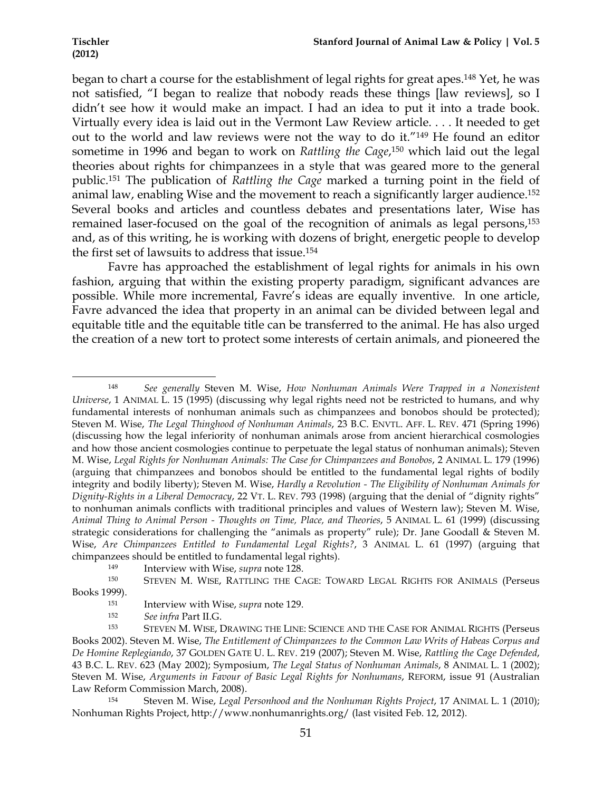began to chart a course for the establishment of legal rights for great apes.148 Yet, he was not satisfied, "I began to realize that nobody reads these things [law reviews], so I didn't see how it would make an impact. I had an idea to put it into a trade book. Virtually every idea is laid out in the Vermont Law Review article. . . . It needed to get out to the world and law reviews were not the way to do it."149 He found an editor sometime in 1996 and began to work on *Rattling the Cage*,<sup>150</sup> which laid out the legal theories about rights for chimpanzees in a style that was geared more to the general public.151 The publication of *Rattling the Cage* marked a turning point in the field of animal law, enabling Wise and the movement to reach a significantly larger audience.152 Several books and articles and countless debates and presentations later, Wise has remained laser-focused on the goal of the recognition of animals as legal persons,<sup>153</sup> and, as of this writing, he is working with dozens of bright, energetic people to develop the first set of lawsuits to address that issue.154

Favre has approached the establishment of legal rights for animals in his own fashion, arguing that within the existing property paradigm, significant advances are possible. While more incremental, Favre's ideas are equally inventive. In one article, Favre advanced the idea that property in an animal can be divided between legal and equitable title and the equitable title can be transferred to the animal. He has also urged the creation of a new tort to protect some interests of certain animals, and pioneered the

<sup>148</sup> *See generally* Steven M. Wise, *How Nonhuman Animals Were Trapped in a Nonexistent Universe*, 1 ANIMAL L. 15 (1995) (discussing why legal rights need not be restricted to humans, and why fundamental interests of nonhuman animals such as chimpanzees and bonobos should be protected); Steven M. Wise, *The Legal Thinghood of Nonhuman Animals*, 23 B.C. ENVTL. AFF. L. REV. 471 (Spring 1996) (discussing how the legal inferiority of nonhuman animals arose from ancient hierarchical cosmologies and how those ancient cosmologies continue to perpetuate the legal status of nonhuman animals); Steven M. Wise, *Legal Rights for Nonhuman Animals: The Case for Chimpanzees and Bonobos*, 2 ANIMAL L. 179 (1996) (arguing that chimpanzees and bonobos should be entitled to the fundamental legal rights of bodily integrity and bodily liberty); Steven M. Wise, *Hardly a Revolution - The Eligibility of Nonhuman Animals for Dignity-Rights in a Liberal Democracy*, 22 VT. L. REV. 793 (1998) (arguing that the denial of "dignity rights" to nonhuman animals conflicts with traditional principles and values of Western law); Steven M. Wise, *Animal Thing to Animal Person - Thoughts on Time, Place, and Theories*, 5 ANIMAL L. 61 (1999) (discussing strategic considerations for challenging the "animals as property" rule); Dr. Jane Goodall & Steven M. Wise, *Are Chimpanzees Entitled to Fundamental Legal Rights?*, 3 ANIMAL L. 61 (1997) (arguing that chimpanzees should be entitled to fundamental legal rights).

<sup>149</sup> Interview with Wise, *supra* note 128.<br><sup>150</sup> STEVEN M. WISE, RATTLING THE CAGE: TOWARD LEGAL RIGHTS FOR ANIMALS (Perseus Books 1999).

<sup>151</sup> Interview with Wise, *supra* note 129. 152 *See infra* Part II.G.

<sup>153</sup> STEVEN M. WISE, DRAWING THE LINE: SCIENCE AND THE CASE FOR ANIMAL RIGHTS (Perseus Books 2002). Steven M. Wise, *The Entitlement of Chimpanzees to the Common Law Writs of Habeas Corpus and De Homine Replegiando*, 37 GOLDEN GATE U. L. REV. 219 (2007); Steven M. Wise, *Rattling the Cage Defended*, 43 B.C. L. REV. 623 (May 2002); Symposium, *The Legal Status of Nonhuman Animals*, 8 ANIMAL L. 1 (2002); Steven M. Wise, *Arguments in Favour of Basic Legal Rights for Nonhumans*, REFORM, issue 91 (Australian Law Reform Commission March, 2008).<br><sup>154</sup> Steven M, Wise *Legal* E

<sup>154</sup> Steven M. Wise, *Legal Personhood and the Nonhuman Rights Project*, 17 ANIMAL L. 1 (2010); Nonhuman Rights Project, http://www.nonhumanrights.org/ (last visited Feb. 12, 2012).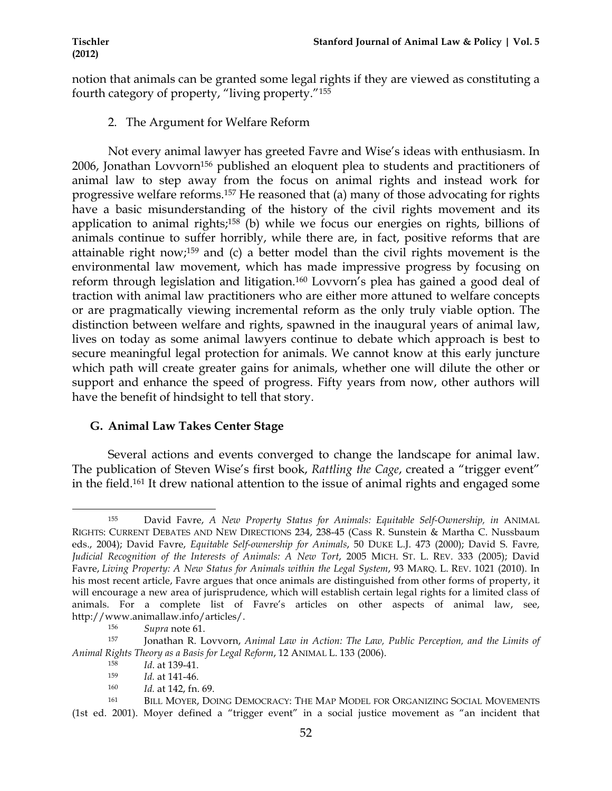notion that animals can be granted some legal rights if they are viewed as constituting a fourth category of property, "living property."155

2. The Argument for Welfare Reform

Not every animal lawyer has greeted Favre and Wise's ideas with enthusiasm. In 2006, Jonathan Lovvorn156 published an eloquent plea to students and practitioners of animal law to step away from the focus on animal rights and instead work for progressive welfare reforms.157 He reasoned that (a) many of those advocating for rights have a basic misunderstanding of the history of the civil rights movement and its application to animal rights; $158$  (b) while we focus our energies on rights, billions of animals continue to suffer horribly, while there are, in fact, positive reforms that are attainable right now;159 and (c) a better model than the civil rights movement is the environmental law movement, which has made impressive progress by focusing on reform through legislation and litigation.160 Lovvorn's plea has gained a good deal of traction with animal law practitioners who are either more attuned to welfare concepts or are pragmatically viewing incremental reform as the only truly viable option. The distinction between welfare and rights, spawned in the inaugural years of animal law, lives on today as some animal lawyers continue to debate which approach is best to secure meaningful legal protection for animals. We cannot know at this early juncture which path will create greater gains for animals, whether one will dilute the other or support and enhance the speed of progress. Fifty years from now, other authors will have the benefit of hindsight to tell that story.

# **G. Animal Law Takes Center Stage**

Several actions and events converged to change the landscape for animal law. The publication of Steven Wise's first book, *Rattling the Cage*, created a "trigger event" in the field.161 It drew national attention to the issue of animal rights and engaged some

<sup>160</sup> *Id.* at 142, fn. 69.

<sup>!!!!!!!!!!!!!!!!!!!!!!!!!!!!!!!!!!!!!!!!!!!!!!!!!!!!!!!!!!!!</sup> <sup>155</sup> David Favre, *A New Property Status for Animals: Equitable Self-Ownership, in* ANIMAL RIGHTS: CURRENT DEBATES AND NEW DIRECTIONS 234, 238-45 (Cass R. Sunstein & Martha C. Nussbaum eds., 2004); David Favre, *Equitable Self-ownership for Animals*, 50 DUKE L.J. 473 (2000); David S. Favre*, Judicial Recognition of the Interests of Animals: A New Tort*, 2005 MICH. ST. L. REV. 333 (2005); David Favre, *Living Property: A New Status for Animals within the Legal System*, 93 MARQ. L. REV. 1021 (2010). In his most recent article, Favre argues that once animals are distinguished from other forms of property, it will encourage a new area of jurisprudence, which will establish certain legal rights for a limited class of animals. For a complete list of Favre's articles on other aspects of animal law, see, http://www.animallaw.info/articles/.

<sup>156</sup> *Supra* note 61. 157 Jonathan R. Lovvorn, *Animal Law in Action: The Law, Public Perception, and the Limits of Animal Rights Theory as a Basis for Legal Reform*, 12 ANIMAL L. 133 (2006).

<sup>158</sup> *Id*. at 139-41.

Id. at 141-46.

<sup>161</sup> BILL MOYER, DOING DEMOCRACY: THE MAP MODEL FOR ORGANIZING SOCIAL MOVEMENTS (1st ed. 2001). Moyer defined a "trigger event" in a social justice movement as "an incident that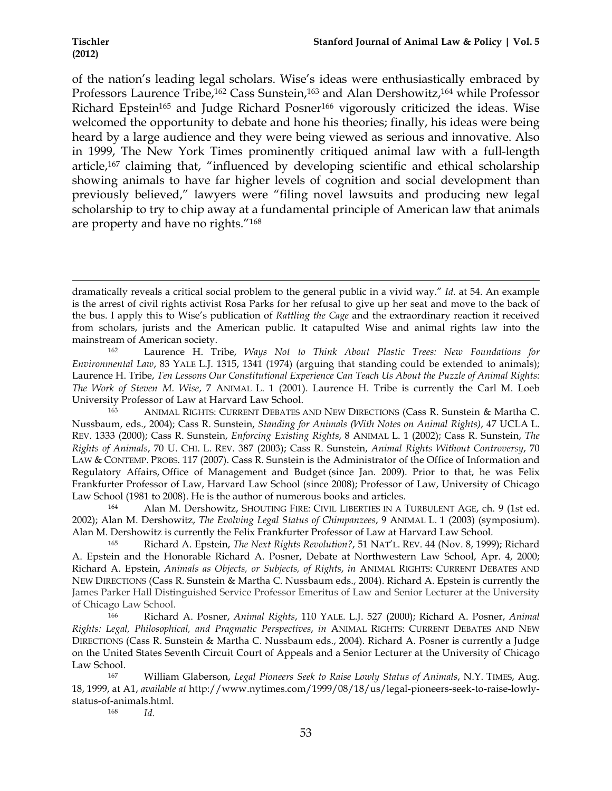of the nation's leading legal scholars. Wise's ideas were enthusiastically embraced by Professors Laurence Tribe,<sup>162</sup> Cass Sunstein,<sup>163</sup> and Alan Dershowitz,<sup>164</sup> while Professor Richard Epstein<sup>165</sup> and Judge Richard Posner<sup>166</sup> vigorously criticized the ideas. Wise welcomed the opportunity to debate and hone his theories; finally, his ideas were being heard by a large audience and they were being viewed as serious and innovative. Also in 1999, The New York Times prominently critiqued animal law with a full-length article,167 claiming that, "influenced by developing scientific and ethical scholarship showing animals to have far higher levels of cognition and social development than previously believed," lawyers were "filing novel lawsuits and producing new legal scholarship to try to chip away at a fundamental principle of American law that animals are property and have no rights."168

!!!!!!!!!!!!!!!!!!!!!!!!!!!!!!!!!!!!!!!!!!!!!!!!!!!!!!!!!!!!!!!!!!!!!!!!!!!!!!!!!!!!!!!!!!!!!!!!!!!!!!!!!!!!!!!!!!!!!!!!!!!!!!!!!!!!!!!!!!!!!!!!!!!!!!!!!!!!!!!!!!!!!!!!!!!!!!!!!!!!!!!!!!!!!!!!!!!

dramatically reveals a critical social problem to the general public in a vivid way." *Id.* at 54. An example is the arrest of civil rights activist Rosa Parks for her refusal to give up her seat and move to the back of the bus. I apply this to Wise's publication of *Rattling the Cage* and the extraordinary reaction it received from scholars, jurists and the American public. It catapulted Wise and animal rights law into the mainstream of American society.

<sup>162</sup> Laurence H. Tribe, *Ways Not to Think About Plastic Trees: New Foundations for Environmental Law*, 83 YALE L.J. 1315, 1341 (1974) (arguing that standing could be extended to animals); Laurence H. Tribe, *Ten Lessons Our Constitutional Experience Can Teach Us About the Puzzle of Animal Rights: The Work of Steven M. Wise*, 7 ANIMAL L. 1 (2001). Laurence H. Tribe is currently the Carl M. Loeb University Professor of Law at Harvard Law School.

<sup>163</sup> ANIMAL RIGHTS: CURRENT DEBATES AND NEW DIRECTIONS (Cass R. Sunstein & Martha C. Nussbaum, eds., 2004); Cass R. Sunstein, *Standing for Animals (With Notes on Animal Rights)*, 47 UCLA L. REV. 1333 (2000); Cass R. Sunstein, *Enforcing Existing Rights*, 8 ANIMAL L. 1 (2002); Cass R. Sunstein, *The Rights of Animals*, 70 U. CHI. L. REV. 387 (2003); Cass R. Sunstein, *Animal Rights Without Controversy*, 70 LAW & CONTEMP. PROBS. 117 (2007). Cass R. Sunstein is the Administrator of the Office of Information and Regulatory Affairs, Office of Management and Budget (since Jan. 2009). Prior to that, he was Felix Frankfurter Professor of Law, Harvard Law School (since 2008); Professor of Law, University of Chicago Law School (1981 to 2008). He is the author of numerous books and articles.

<sup>164</sup> Alan M. Dershowitz, SHOUTING FIRE: CIVIL LIBERTIES IN A TURBULENT AGE, ch. 9 (1st ed. 2002); Alan M. Dershowitz, *The Evolving Legal Status of Chimpanzees*, 9 ANIMAL L. 1 (2003) (symposium). Alan M. Dershowitz is currently the Felix Frankfurter Professor of Law at Harvard Law School.

<sup>165</sup> Richard A. Epstein, *The Next Rights Revolution?*, 51 NAT'L. REV. 44 (Nov. 8, 1999); Richard A. Epstein and the Honorable Richard A. Posner, Debate at Northwestern Law School, Apr. 4, 2000; Richard A. Epstein, *Animals as Objects, or Subjects, of Rights*, *in* ANIMAL RIGHTS: CURRENT DEBATES AND NEW DIRECTIONS (Cass R. Sunstein & Martha C. Nussbaum eds., 2004). Richard A. Epstein is currently the James Parker Hall Distinguished Service Professor Emeritus of Law and Senior Lecturer at the University of Chicago Law School.<br><sup>166</sup> Richard

<sup>166</sup> Richard A. Posner, *Animal Rights*, 110 YALE. L.J. 527 (2000); Richard A. Posner, *Animal Rights: Legal, Philosophical, and Pragmatic Perspectives*, *in* ANIMAL RIGHTS: CURRENT DEBATES AND NEW DIRECTIONS (Cass R. Sunstein & Martha C. Nussbaum eds., 2004). Richard A. Posner is currently a Judge on the United States Seventh Circuit Court of Appeals and a Senior Lecturer at the University of Chicago Law School.

<sup>167</sup> William Glaberson, *Legal Pioneers Seek to Raise Lowly Status of Animals*, N.Y. TIMES, Aug. 18, 1999, at A1, *available at* http://www.nytimes.com/1999/08/18/us/legal-pioneers-seek-to-raise-lowlystatus-of-animals.html.

<sup>168</sup> *Id.*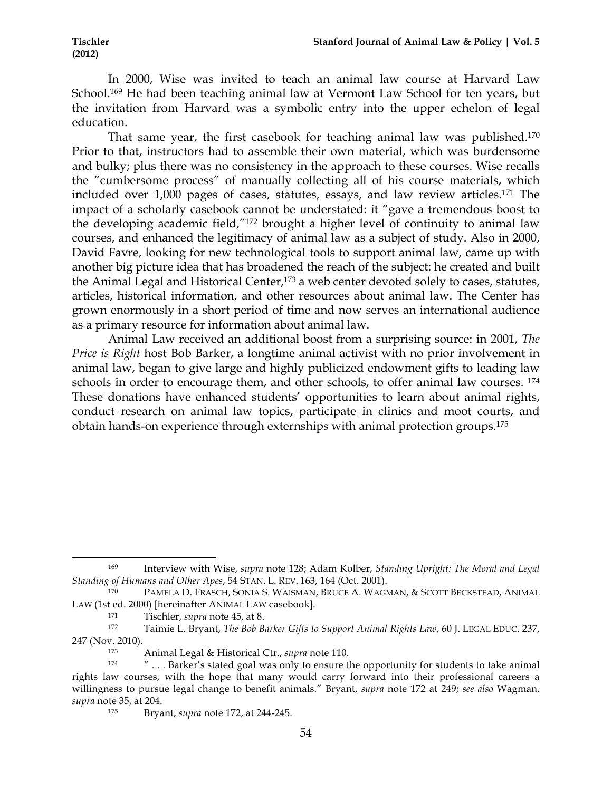In 2000, Wise was invited to teach an animal law course at Harvard Law School.<sup>169</sup> He had been teaching animal law at Vermont Law School for ten years, but the invitation from Harvard was a symbolic entry into the upper echelon of legal education.

That same year, the first casebook for teaching animal law was published.170 Prior to that, instructors had to assemble their own material, which was burdensome and bulky; plus there was no consistency in the approach to these courses. Wise recalls the "cumbersome process" of manually collecting all of his course materials, which included over 1,000 pages of cases, statutes, essays, and law review articles.171 The impact of a scholarly casebook cannot be understated: it "gave a tremendous boost to the developing academic field,"172 brought a higher level of continuity to animal law courses, and enhanced the legitimacy of animal law as a subject of study. Also in 2000, David Favre, looking for new technological tools to support animal law, came up with another big picture idea that has broadened the reach of the subject: he created and built the Animal Legal and Historical Center,<sup>173</sup> a web center devoted solely to cases, statutes, articles, historical information, and other resources about animal law. The Center has grown enormously in a short period of time and now serves an international audience as a primary resource for information about animal law.

Animal Law received an additional boost from a surprising source: in 2001, *The Price is Right* host Bob Barker, a longtime animal activist with no prior involvement in animal law, began to give large and highly publicized endowment gifts to leading law schools in order to encourage them, and other schools, to offer animal law courses. 174 These donations have enhanced students' opportunities to learn about animal rights, conduct research on animal law topics, participate in clinics and moot courts, and obtain hands-on experience through externships with animal protection groups.175

<sup>169</sup> Interview with Wise, *supra* note 128; Adam Kolber, *Standing Upright: The Moral and Legal Standing of Humans and Other Apes*, 54 STAN. L. REV. 163, 164 (Oct. 2001).

<sup>170</sup> PAMELA D. FRASCH, SONIA S. WAISMAN, BRUCE A. WAGMAN, & SCOTT BECKSTEAD, ANIMAL LAW (1st ed. 2000) [hereinafter ANIMAL LAW casebook].

<sup>171</sup> Tischler, *supra* note 45, at 8.

<sup>172</sup> Taimie L. Bryant, *The Bob Barker Gifts to Support Animal Rights Law*, 60 J. LEGAL EDUC. 237, 247 (Nov. 2010).

<sup>173</sup> Animal Legal & Historical Ctr., *supra* note 110.

<sup>&</sup>lt;sup>174</sup> " . . . Barker's stated goal was only to ensure the opportunity for students to take animal rights law courses, with the hope that many would carry forward into their professional careers a willingness to pursue legal change to benefit animals." Bryant, *supra* note 172 at 249; *see also* Wagman, *supra* note 35, at 204.

<sup>175</sup> Bryant, *supra* note 172, at 244-245.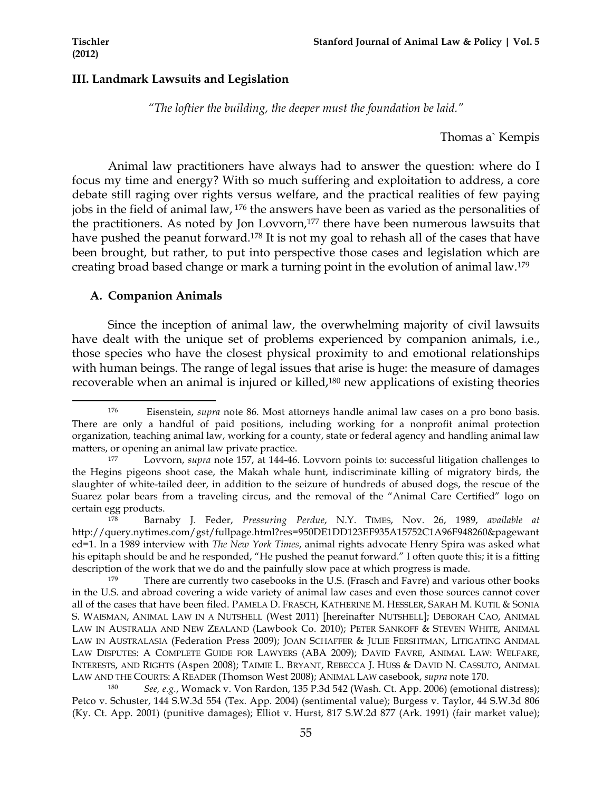#### **III. Landmark Lawsuits and Legislation**

*"The loftier the building, the deeper must the foundation be laid."*

Thomas a` Kempis

Animal law practitioners have always had to answer the question: where do I focus my time and energy? With so much suffering and exploitation to address, a core debate still raging over rights versus welfare, and the practical realities of few paying jobs in the field of animal law, 176 the answers have been as varied as the personalities of the practitioners. As noted by Jon Lovvorn,<sup>177</sup> there have been numerous lawsuits that have pushed the peanut forward.<sup>178</sup> It is not my goal to rehash all of the cases that have been brought, but rather, to put into perspective those cases and legislation which are creating broad based change or mark a turning point in the evolution of animal law.179

### **A. Companion Animals**

!!!!!!!!!!!!!!!!!!!!!!!!!!!!!!!!!!!!!!!!!!!!!!!!!!!!!!!!!!!!

Since the inception of animal law, the overwhelming majority of civil lawsuits have dealt with the unique set of problems experienced by companion animals, i.e., those species who have the closest physical proximity to and emotional relationships with human beings. The range of legal issues that arise is huge: the measure of damages recoverable when an animal is injured or killed,180 new applications of existing theories

<sup>176</sup> Eisenstein, *supra* note 86. Most attorneys handle animal law cases on a pro bono basis. There are only a handful of paid positions, including working for a nonprofit animal protection organization, teaching animal law, working for a county, state or federal agency and handling animal law matters, or opening an animal law private practice.

<sup>177</sup> Lovvorn, *supra* note 157, at 144-46. Lovvorn points to: successful litigation challenges to the Hegins pigeons shoot case, the Makah whale hunt, indiscriminate killing of migratory birds, the slaughter of white-tailed deer, in addition to the seizure of hundreds of abused dogs, the rescue of the Suarez polar bears from a traveling circus, and the removal of the "Animal Care Certified" logo on certain egg products.

<sup>178</sup> Barnaby J. Feder, *Pressuring Perdue*, N.Y. TIMES, Nov. 26, 1989, *available at* http://query.nytimes.com/gst/fullpage.html?res=950DE1DD123EF935A15752C1A96F948260&pagewant ed=1. In a 1989 interview with *The New York Times*, animal rights advocate Henry Spira was asked what his epitaph should be and he responded, "He pushed the peanut forward." I often quote this; it is a fitting description of the work that we do and the painfully slow pace at which progress is made.

There are currently two casebooks in the U.S. (Frasch and Favre) and various other books in the U.S. and abroad covering a wide variety of animal law cases and even those sources cannot cover all of the cases that have been filed. PAMELA D. FRASCH, KATHERINE M. HESSLER, SARAH M. KUTIL & SONIA S. WAISMAN, ANIMAL LAW IN A NUTSHELL (West 2011) [hereinafter NUTSHELL]; DEBORAH CAO, ANIMAL LAW IN AUSTRALIA AND NEW ZEALAND (Lawbook Co. 2010); PETER SANKOFF & STEVEN WHITE, ANIMAL LAW IN AUSTRALASIA (Federation Press 2009); JOAN SCHAFFER & JULIE FERSHTMAN, LITIGATING ANIMAL LAW DISPUTES: A COMPLETE GUIDE FOR LAWYERS (ABA 2009); DAVID FAVRE, ANIMAL LAW: WELFARE, INTERESTS, AND RIGHTS (Aspen 2008); TAIMIE L. BRYANT, REBECCA J. HUSS & DAVID N. CASSUTO, ANIMAL LAW AND THE COURTS: A READER (Thomson West 2008); ANIMAL LAW casebook, *supra* note 170.

<sup>180</sup> *See, e.g.*, Womack v. Von Rardon, 135 P.3d 542 (Wash. Ct. App. 2006) (emotional distress); Petco v. Schuster, 144 S.W.3d 554 (Tex. App. 2004) (sentimental value); Burgess v. Taylor, 44 S.W.3d 806 (Ky. Ct. App. 2001) (punitive damages); Elliot v. Hurst, 817 S.W.2d 877 (Ark. 1991) (fair market value);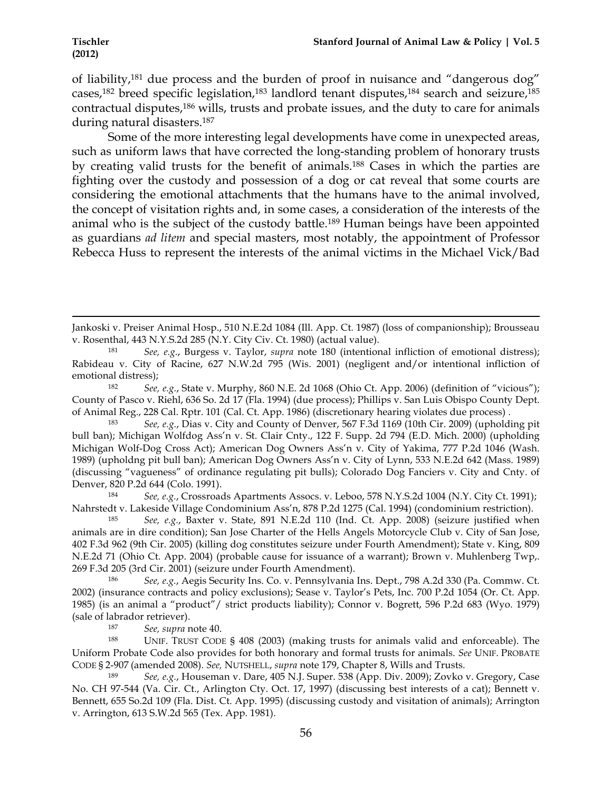of liability,181 due process and the burden of proof in nuisance and "dangerous dog" cases,<sup>182</sup> breed specific legislation,<sup>183</sup> landlord tenant disputes,<sup>184</sup> search and seizure,<sup>185</sup> contractual disputes,186 wills, trusts and probate issues, and the duty to care for animals during natural disasters.187

Some of the more interesting legal developments have come in unexpected areas, such as uniform laws that have corrected the long-standing problem of honorary trusts by creating valid trusts for the benefit of animals.188 Cases in which the parties are fighting over the custody and possession of a dog or cat reveal that some courts are considering the emotional attachments that the humans have to the animal involved, the concept of visitation rights and, in some cases, a consideration of the interests of the animal who is the subject of the custody battle.189 Human beings have been appointed as guardians *ad litem* and special masters, most notably, the appointment of Professor Rebecca Huss to represent the interests of the animal victims in the Michael Vick/Bad

<sup>187</sup> *See, supra* note 40.<br><sup>188</sup> *INIE TRUST COD* 

UNIF. TRUST CODE §  $408$  (2003) (making trusts for animals valid and enforceable). The Uniform Probate Code also provides for both honorary and formal trusts for animals. *See* UNIF. PROBATE CODE § 2-907 (amended 2008). *See,* NUTSHELL, *supra* note 179, Chapter 8, Wills and Trusts.

<sup>189</sup> *See, e.g.*, Houseman v. Dare, 405 N.J. Super. 538 (App. Div. 2009); Zovko v. Gregory, Case No. CH 97-544 (Va. Cir. Ct., Arlington Cty. Oct. 17, 1997) (discussing best interests of a cat); Bennett v. Bennett, 655 So.2d 109 (Fla. Dist. Ct. App. 1995) (discussing custody and visitation of animals); Arrington v. Arrington, 613 S.W.2d 565 (Tex. App. 1981).

<sup>!!!!!!!!!!!!!!!!!!!!!!!!!!!!!!!!!!!!!!!!!!!!!!!!!!!!!!!!!!!!!!!!!!!!!!!!!!!!!!!!!!!!!!!!!!!!!!!!!!!!!!!!!!!!!!!!!!!!!!!!!!!!!!!!!!!!!!!!!!!!!!!!!!!!!!!!!!!!!!!!!!!!!!!!!!!!!!!!!!!!!!!!!!!!!!!!!!!</sup> Jankoski v. Preiser Animal Hosp., 510 N.E.2d 1084 (Ill. App. Ct. 1987) (loss of companionship); Brousseau

v. Rosenthal, 443 N.Y.S.2d 285 (N.Y. City Civ. Ct. 1980) (actual value). 181 *See, e.g.*, Burgess v. Taylor, *supra* note 180 (intentional infliction of emotional distress); Rabideau v. City of Racine, 627 N.W.2d 795 (Wis. 2001) (negligent and/or intentional infliction of emotional distress);

<sup>182</sup> *See, e.g.*, State v. Murphy, 860 N.E. 2d 1068 (Ohio Ct. App. 2006) (definition of "vicious"); County of Pasco v. Riehl, 636 So. 2d 17 (Fla. 1994) (due process); Phillips v. San Luis Obispo County Dept. of Animal Reg., 228 Cal. Rptr. 101 (Cal. Ct. App. 1986) (discretionary hearing violates due process).<br><sup>183</sup> See e.g. Dias y. City and County of Denyer, 567 E.3d 1169 (10th Cir. 2009) (upholdi

<sup>183</sup> *See, e.g.*, Dias v. City and County of Denver, 567 F.3d 1169 (10th Cir. 2009) (upholding pit bull ban); Michigan Wolfdog Ass'n v. St. Clair Cnty., 122 F. Supp. 2d 794 (E.D. Mich. 2000) (upholding Michigan Wolf-Dog Cross Act); American Dog Owners Ass'n v. City of Yakima, 777 P.2d 1046 (Wash. 1989) (upholdng pit bull ban); American Dog Owners Ass'n v. City of Lynn, 533 N.E.2d 642 (Mass. 1989) (discussing "vagueness" of ordinance regulating pit bulls); Colorado Dog Fanciers v. City and Cnty. of Denver, 820 P.2d 644 (Colo. 1991).

<sup>184</sup> *See, e.g.*, Crossroads Apartments Assocs. v. Leboo, 578 N.Y.S.2d 1004 (N.Y. City Ct. 1991); Nahrstedt v. Lakeside Village Condominium Ass'n, 878 P.2d 1275 (Cal. 1994) (condominium restriction).

<sup>185</sup> *See, e.g.*, Baxter v. State, 891 N.E.2d 110 (Ind. Ct. App. 2008) (seizure justified when animals are in dire condition); San Jose Charter of the Hells Angels Motorcycle Club v. City of San Jose, 402 F.3d 962 (9th Cir. 2005) (killing dog constitutes seizure under Fourth Amendment); State v. King, 809 N.E.2d 71 (Ohio Ct. App. 2004) (probable cause for issuance of a warrant); Brown v. Muhlenberg Twp,. 269 F.3d 205 (3rd Cir. 2001) (seizure under Fourth Amendment).

<sup>186</sup> *See, e.g.*, Aegis Security Ins. Co. v. Pennsylvania Ins. Dept., 798 A.2d 330 (Pa. Commw. Ct. 2002) (insurance contracts and policy exclusions); Sease v. Taylor's Pets, Inc. 700 P.2d 1054 (Or. Ct. App. 1985) (is an animal a "product"/ strict products liability); Connor v. Bogrett, 596 P.2d 683 (Wyo. 1979) (sale of labrador retriever).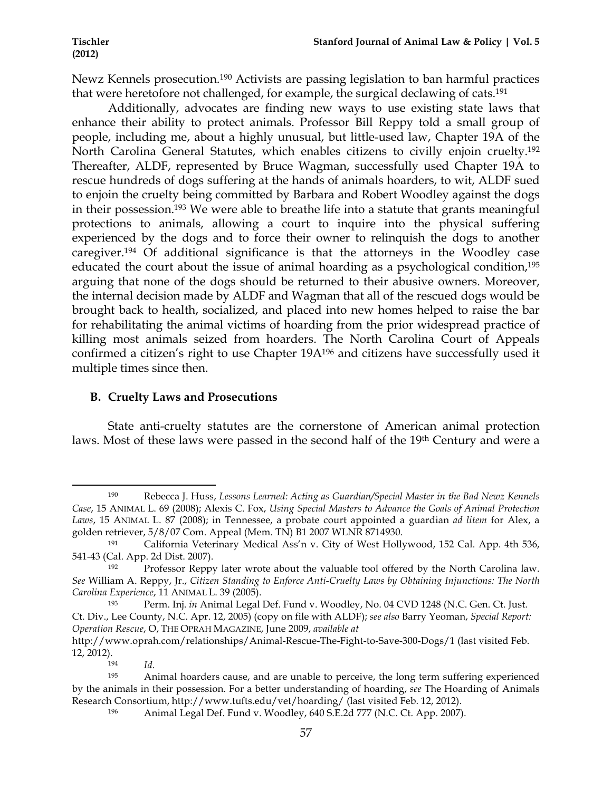Newz Kennels prosecution.190 Activists are passing legislation to ban harmful practices that were heretofore not challenged, for example, the surgical declawing of cats.191

Additionally, advocates are finding new ways to use existing state laws that enhance their ability to protect animals. Professor Bill Reppy told a small group of people, including me, about a highly unusual, but little-used law, Chapter 19A of the North Carolina General Statutes, which enables citizens to civilly enjoin cruelty. 192 Thereafter, ALDF, represented by Bruce Wagman, successfully used Chapter 19A to rescue hundreds of dogs suffering at the hands of animals hoarders, to wit, ALDF sued to enjoin the cruelty being committed by Barbara and Robert Woodley against the dogs in their possession. <sup>193</sup> We were able to breathe life into a statute that grants meaningful protections to animals, allowing a court to inquire into the physical suffering experienced by the dogs and to force their owner to relinquish the dogs to another caregiver.194 Of additional significance is that the attorneys in the Woodley case educated the court about the issue of animal hoarding as a psychological condition,<sup>195</sup> arguing that none of the dogs should be returned to their abusive owners. Moreover, the internal decision made by ALDF and Wagman that all of the rescued dogs would be brought back to health, socialized, and placed into new homes helped to raise the bar for rehabilitating the animal victims of hoarding from the prior widespread practice of killing most animals seized from hoarders. The North Carolina Court of Appeals confirmed a citizen's right to use Chapter 19A196 and citizens have successfully used it multiple times since then.

# **B. Cruelty Laws and Prosecutions**

State anti-cruelty statutes are the cornerstone of American animal protection laws. Most of these laws were passed in the second half of the 19th Century and were a

<sup>190</sup> Rebecca J. Huss, *Lessons Learned: Acting as Guardian/Special Master in the Bad Newz Kennels Case*, 15 ANIMAL L. 69 (2008); Alexis C. Fox, *Using Special Masters to Advance the Goals of Animal Protection Laws*, 15 ANIMAL L. 87 (2008); in Tennessee, a probate court appointed a guardian *ad litem* for Alex, a golden retriever, 5/8/07 Com. Appeal (Mem. TN) B1 2007 WLNR 8714930.

<sup>191</sup> California Veterinary Medical Ass'n v. City of West Hollywood, 152 Cal. App. 4th 536, 541-43 (Cal. App. 2d Dist. 2007).

<sup>192</sup> Professor Reppy later wrote about the valuable tool offered by the North Carolina law. *See* William A. Reppy, Jr., *Citizen Standing to Enforce Anti-Cruelty Laws by Obtaining Injunctions: The North Carolina Experience*, 11 ANIMAL L. 39 (2005).

<sup>193</sup> Perm. Inj. *in* Animal Legal Def. Fund v. Woodley, No. 04 CVD 1248 (N.C. Gen. Ct. Just. Ct. Div., Lee County, N.C. Apr. 12, 2005) (copy on file with ALDF); *see also* Barry Yeoman, *Special Report: Operation Rescue*, O, THE OPRAH MAGAZINE, June 2009, *available at*

http://www.oprah.com/relationships/Animal-Rescue-The-Fight-to-Save-300-Dogs/1 (last visited Feb. 12, 2012).

<sup>194</sup> *Id*.

Animal hoarders cause, and are unable to perceive, the long term suffering experienced by the animals in their possession. For a better understanding of hoarding, *see* The Hoarding of Animals Research Consortium, http://www.tufts.edu/vet/hoarding/ (last visited Feb. 12, 2012).

<sup>196</sup> Animal Legal Def. Fund v. Woodley, 640 S.E.2d 777 (N.C. Ct. App. 2007).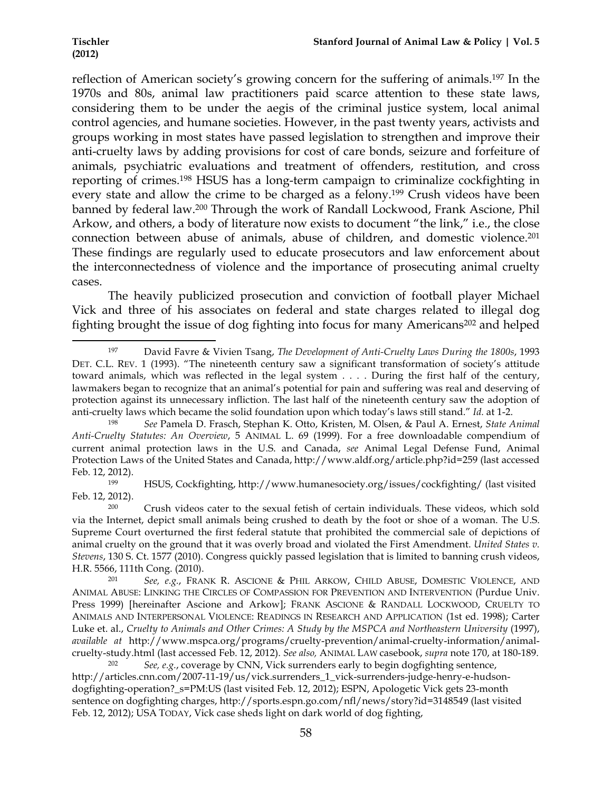!!!!!!!!!!!!!!!!!!!!!!!!!!!!!!!!!!!!!!!!!!!!!!!!!!!!!!!!!!!!

reflection of American society's growing concern for the suffering of animals.197 In the 1970s and 80s, animal law practitioners paid scarce attention to these state laws, considering them to be under the aegis of the criminal justice system, local animal control agencies, and humane societies. However, in the past twenty years, activists and groups working in most states have passed legislation to strengthen and improve their anti-cruelty laws by adding provisions for cost of care bonds, seizure and forfeiture of animals, psychiatric evaluations and treatment of offenders, restitution, and cross reporting of crimes.198 HSUS has a long-term campaign to criminalize cockfighting in every state and allow the crime to be charged as a felony.199 Crush videos have been banned by federal law.200 Through the work of Randall Lockwood, Frank Ascione, Phil Arkow, and others, a body of literature now exists to document "the link," i.e., the close connection between abuse of animals, abuse of children, and domestic violence.201 These findings are regularly used to educate prosecutors and law enforcement about the interconnectedness of violence and the importance of prosecuting animal cruelty cases.

The heavily publicized prosecution and conviction of football player Michael Vick and three of his associates on federal and state charges related to illegal dog fighting brought the issue of dog fighting into focus for many Americans<sup>202</sup> and helped

<sup>197</sup> David Favre & Vivien Tsang, *The Development of Anti-Cruelty Laws During the 1800s*, 1993 DET. C.L. REV. 1 (1993). "The nineteenth century saw a significant transformation of society's attitude toward animals, which was reflected in the legal system . . . . During the first half of the century, lawmakers began to recognize that an animal's potential for pain and suffering was real and deserving of protection against its unnecessary infliction. The last half of the nineteenth century saw the adoption of anti-cruelty laws which became the solid foundation upon which today's laws still stand." *Id.* at 1-2.

<sup>198</sup> *See* Pamela D. Frasch, Stephan K. Otto, Kristen, M. Olsen, & Paul A. Ernest, *State Animal Anti-Cruelty Statutes: An Overview*, 5 ANIMAL L. 69 (1999). For a free downloadable compendium of current animal protection laws in the U.S. and Canada, *see* Animal Legal Defense Fund, Animal Protection Laws of the United States and Canada, http://www.aldf.org/article.php?id=259 (last accessed Feb. 12, 2012).

<sup>199</sup> HSUS, Cockfighting, http://www.humanesociety.org/issues/cockfighting/ (last visited Feb. 12, 2012).

<sup>200</sup> Crush videos cater to the sexual fetish of certain individuals. These videos, which sold via the Internet, depict small animals being crushed to death by the foot or shoe of a woman. The U.S. Supreme Court overturned the first federal statute that prohibited the commercial sale of depictions of animal cruelty on the ground that it was overly broad and violated the First Amendment. *United States v. Stevens*, 130 S. Ct. 1577 (2010). Congress quickly passed legislation that is limited to banning crush videos, H.R. 5566, 111th Cong. (2010).

<sup>201</sup> *See, e.g.*, FRANK R. ASCIONE & PHIL ARKOW, CHILD ABUSE, DOMESTIC VIOLENCE, AND ANIMAL ABUSE: LINKING THE CIRCLES OF COMPASSION FOR PREVENTION AND INTERVENTION (Purdue Univ. Press 1999) [hereinafter Ascione and Arkow]; FRANK ASCIONE & RANDALL LOCKWOOD, CRUELTY TO ANIMALS AND INTERPERSONAL VIOLENCE: READINGS IN RESEARCH AND APPLICATION (1st ed. 1998); Carter Luke et. al., *Cruelty to Animals and Other Crimes: A Study by the MSPCA and Northeastern University* (1997), *available at* http://www.mspca.org/programs/cruelty-prevention/animal-cruelty-information/animalcruelty-study.html (last accessed Feb. 12, 2012). *See also,* ANIMAL LAW casebook, *supra* note 170, at 180-189.

See, e.g., coverage by CNN, Vick surrenders early to begin dogfighting sentence, http://articles.cnn.com/2007-11-19/us/vick.surrenders 1 vick-surrenders-judge-henry-e-hudsondogfighting-operation?\_s=PM:US (last visited Feb. 12, 2012); ESPN, Apologetic Vick gets 23-month sentence on dogfighting charges, http://sports.espn.go.com/nfl/news/story?id=3148549 (last visited Feb. 12, 2012); USA TODAY, Vick case sheds light on dark world of dog fighting,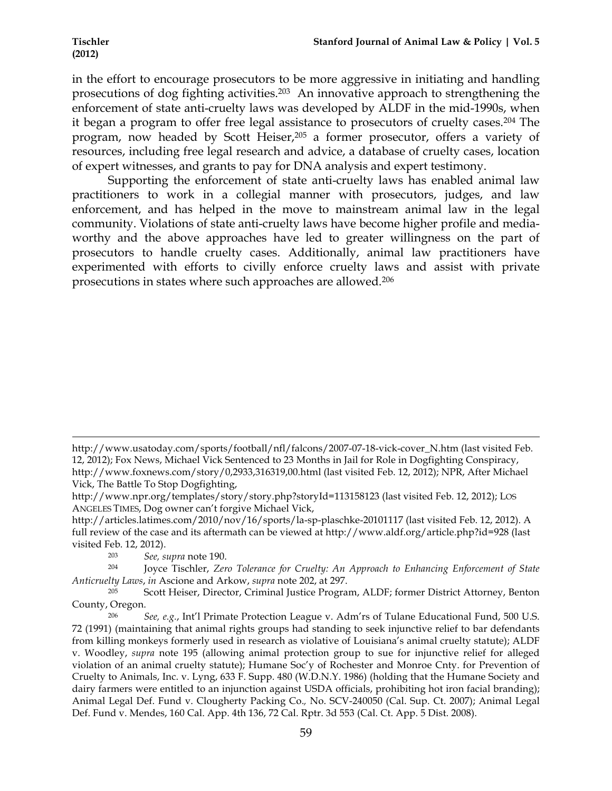in the effort to encourage prosecutors to be more aggressive in initiating and handling prosecutions of dog fighting activities.203 An innovative approach to strengthening the enforcement of state anti-cruelty laws was developed by ALDF in the mid-1990s, when it began a program to offer free legal assistance to prosecutors of cruelty cases.204 The program, now headed by Scott Heiser,205 a former prosecutor, offers a variety of resources, including free legal research and advice, a database of cruelty cases, location of expert witnesses, and grants to pay for DNA analysis and expert testimony.

Supporting the enforcement of state anti-cruelty laws has enabled animal law practitioners to work in a collegial manner with prosecutors, judges, and law enforcement, and has helped in the move to mainstream animal law in the legal community. Violations of state anti-cruelty laws have become higher profile and mediaworthy and the above approaches have led to greater willingness on the part of prosecutors to handle cruelty cases. Additionally, animal law practitioners have experimented with efforts to civilly enforce cruelty laws and assist with private prosecutions in states where such approaches are allowed.206

!!!!!!!!!!!!!!!!!!!!!!!!!!!!!!!!!!!!!!!!!!!!!!!!!!!!!!!!!!!!!!!!!!!!!!!!!!!!!!!!!!!!!!!!!!!!!!!!!!!!!!!!!!!!!!!!!!!!!!!!!!!!!!!!!!!!!!!!!!!!!!!!!!!!!!!!!!!!!!!!!!!!!!!!!!!!!!!!!!!!!!!!!!!!!!!!!!!

http://www.usatoday.com/sports/football/nfl/falcons/2007-07-18-vick-cover\_N.htm (last visited Feb. 12, 2012); Fox News, Michael Vick Sentenced to 23 Months in Jail for Role in Dogfighting Conspiracy, http://www.foxnews.com/story/0,2933,316319,00.html (last visited Feb. 12, 2012); NPR, After Michael Vick, The Battle To Stop Dogfighting,

http://www.npr.org/templates/story/story.php?storyId=113158123 (last visited Feb. 12, 2012); LOS ANGELES TIMES, Dog owner can't forgive Michael Vick,

http://articles.latimes.com/2010/nov/16/sports/la-sp-plaschke-20101117 (last visited Feb. 12, 2012). A full review of the case and its aftermath can be viewed at http://www.aldf.org/article.php?id=928 (last visited Feb. 12, 2012).

<sup>203</sup> *See, supra* note 190.

<sup>204</sup> Joyce Tischler, *Zero Tolerance for Cruelty: An Approach to Enhancing Enforcement of State Anticruelty Laws*, *in* Ascione and Arkow, *supra* note 202, at 297.

 $205$  Scott Heiser, Director, Criminal Justice Program, ALDF; former District Attorney, Benton County, Oregon.

<sup>206</sup> *See, e.g.*, Int'l Primate Protection League v. Adm'rs of Tulane Educational Fund, 500 U.S. 72 (1991) (maintaining that animal rights groups had standing to seek injunctive relief to bar defendants from killing monkeys formerly used in research as violative of Louisiana's animal cruelty statute); ALDF v. Woodley, *supra* note 195 (allowing animal protection group to sue for injunctive relief for alleged violation of an animal cruelty statute); Humane Soc'y of Rochester and Monroe Cnty. for Prevention of Cruelty to Animals, Inc. v. Lyng, 633 F. Supp. 480 (W.D.N.Y. 1986) (holding that the Humane Society and dairy farmers were entitled to an injunction against USDA officials, prohibiting hot iron facial branding); Animal Legal Def. Fund v. Clougherty Packing Co.*,* No. SCV-240050 (Cal. Sup. Ct. 2007); Animal Legal Def. Fund v. Mendes, 160 Cal. App. 4th 136, 72 Cal. Rptr. 3d 553 (Cal. Ct. App. 5 Dist. 2008).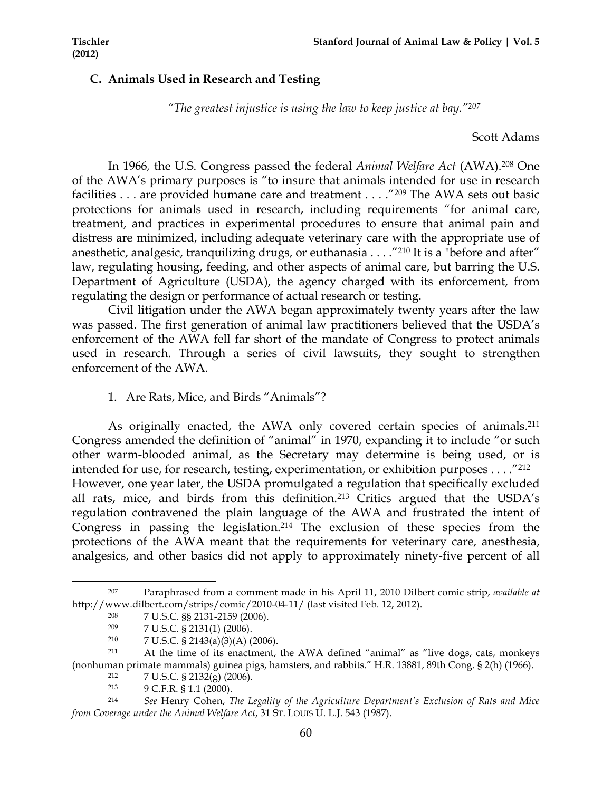# **C. Animals Used in Research and Testing**

*"The greatest injustice is using the law to keep justice at bay."207*

Scott Adams

In 1966*,* the U.S. Congress passed the federal *Animal Welfare Act* (AWA). <sup>208</sup> One of the AWA's primary purposes is "to insure that animals intended for use in research facilities . . . are provided humane care and treatment . . . ."209 The AWA sets out basic protections for animals used in research, including requirements "for animal care, treatment, and practices in experimental procedures to ensure that animal pain and distress are minimized, including adequate veterinary care with the appropriate use of anesthetic, analgesic, tranquilizing drugs, or euthanasia . . . . "<sup>210</sup> It is a "before and after" law, regulating housing, feeding, and other aspects of animal care, but barring the U.S. Department of Agriculture (USDA), the agency charged with its enforcement, from regulating the design or performance of actual research or testing.

Civil litigation under the AWA began approximately twenty years after the law was passed. The first generation of animal law practitioners believed that the USDA's enforcement of the AWA fell far short of the mandate of Congress to protect animals used in research. Through a series of civil lawsuits, they sought to strengthen enforcement of the AWA.

## 1. Are Rats, Mice, and Birds "Animals"?

As originally enacted, the AWA only covered certain species of animals.<sup>211</sup> Congress amended the definition of "animal" in 1970, expanding it to include "or such other warm-blooded animal, as the Secretary may determine is being used, or is intended for use, for research, testing, experimentation, or exhibition purposes . . . ."212 However, one year later, the USDA promulgated a regulation that specifically excluded all rats, mice, and birds from this definition.213 Critics argued that the USDA's regulation contravened the plain language of the AWA and frustrated the intent of Congress in passing the legislation.214 The exclusion of these species from the protections of the AWA meant that the requirements for veterinary care, anesthesia, analgesics, and other basics did not apply to approximately ninety-five percent of all

<sup>207</sup> Paraphrased from a comment made in his April 11, 2010 Dilbert comic strip, *available at*  http://www.dilbert.com/strips/comic/2010-04-11/ (last visited Feb. 12, 2012).

<sup>208</sup> 7 U.S.C. §§ 2131-2159 (2006).

<sup>209</sup> 7 U.S.C. § 2131(1) (2006).

<sup>210</sup> 7 U.S.C. § 2143(a)(3)(A) (2006).

<sup>211</sup> At the time of its enactment, the AWA defined "animal" as "live dogs, cats, monkeys (nonhuman primate mammals) guinea pigs, hamsters, and rabbits." H.R. 13881, 89th Cong. § 2(h) (1966).

<sup>212</sup> 7 U.S.C. § 2132(g) (2006).

<sup>213</sup> 9 C.F.R. § 1.1 (2000).

<sup>214</sup> *See* Henry Cohen, *The Legality of the Agriculture Department's Exclusion of Rats and Mice from Coverage under the Animal Welfare Act*, 31 ST. LOUIS U. L.J. 543 (1987).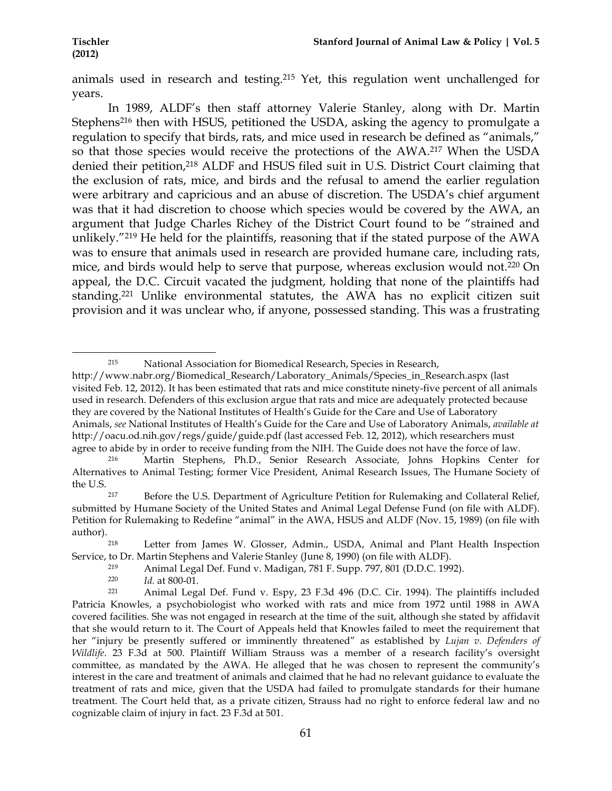animals used in research and testing.215 Yet, this regulation went unchallenged for years.

In 1989, ALDF's then staff attorney Valerie Stanley, along with Dr. Martin Stephens<sup>216</sup> then with HSUS, petitioned the USDA, asking the agency to promulgate a regulation to specify that birds, rats, and mice used in research be defined as "animals," so that those species would receive the protections of the AWA.217 When the USDA denied their petition,<sup>218</sup> ALDF and HSUS filed suit in U.S. District Court claiming that the exclusion of rats, mice, and birds and the refusal to amend the earlier regulation were arbitrary and capricious and an abuse of discretion. The USDA's chief argument was that it had discretion to choose which species would be covered by the AWA, an argument that Judge Charles Richey of the District Court found to be "strained and unlikely."219 He held for the plaintiffs, reasoning that if the stated purpose of the AWA was to ensure that animals used in research are provided humane care, including rats, mice, and birds would help to serve that purpose, whereas exclusion would not.220 On appeal, the D.C. Circuit vacated the judgment, holding that none of the plaintiffs had standing.221 Unlike environmental statutes, the AWA has no explicit citizen suit provision and it was unclear who, if anyone, possessed standing. This was a frustrating

<sup>!!!!!!!!!!!!!!!!!!!!!!!!!!!!!!!!!!!!!!!!!!!!!!!!!!!!!!!!!!!!</sup> <sup>215</sup> National Association for Biomedical Research, Species in Research,

http://www.nabr.org/Biomedical\_Research/Laboratory\_Animals/Species\_in\_Research.aspx (last visited Feb. 12, 2012). It has been estimated that rats and mice constitute ninety-five percent of all animals used in research. Defenders of this exclusion argue that rats and mice are adequately protected because they are covered by the National Institutes of Health's Guide for the Care and Use of Laboratory Animals, *see* National Institutes of Health's Guide for the Care and Use of Laboratory Animals, *available at*  http://oacu.od.nih.gov/regs/guide/guide.pdf (last accessed Feb. 12, 2012), which researchers must agree to abide by in order to receive funding from the NIH. The Guide does not have the force of law.

<sup>216</sup> Martin Stephens, Ph.D., Senior Research Associate, Johns Hopkins Center for Alternatives to Animal Testing; former Vice President, Animal Research Issues, The Humane Society of the U.S.

<sup>&</sup>lt;sup>217</sup> Before the U.S. Department of Agriculture Petition for Rulemaking and Collateral Relief, submitted by Humane Society of the United States and Animal Legal Defense Fund (on file with ALDF). Petition for Rulemaking to Redefine "animal" in the AWA, HSUS and ALDF (Nov. 15, 1989) (on file with author).<br><sup>218</sup>

Letter from James W. Glosser, Admin., USDA, Animal and Plant Health Inspection Service, to Dr. Martin Stephens and Valerie Stanley (June 8, 1990) (on file with ALDF).

<sup>219</sup> Animal Legal Def. Fund v. Madigan, 781 F. Supp. 797, 801 (D.D.C. 1992).

<sup>220</sup> *Id.* at 800-01.

<sup>221</sup> Animal Legal Def. Fund v. Espy, 23 F.3d 496 (D.C. Cir. 1994). The plaintiffs included Patricia Knowles, a psychobiologist who worked with rats and mice from 1972 until 1988 in AWA covered facilities. She was not engaged in research at the time of the suit, although she stated by affidavit that she would return to it. The Court of Appeals held that Knowles failed to meet the requirement that her "injury be presently suffered or imminently threatened" as established by *Lujan v. Defenders of Wildlife*. 23 F.3d at 500. Plaintiff William Strauss was a member of a research facility's oversight committee, as mandated by the AWA. He alleged that he was chosen to represent the community's interest in the care and treatment of animals and claimed that he had no relevant guidance to evaluate the treatment of rats and mice, given that the USDA had failed to promulgate standards for their humane treatment. The Court held that, as a private citizen, Strauss had no right to enforce federal law and no cognizable claim of injury in fact. 23 F.3d at 501.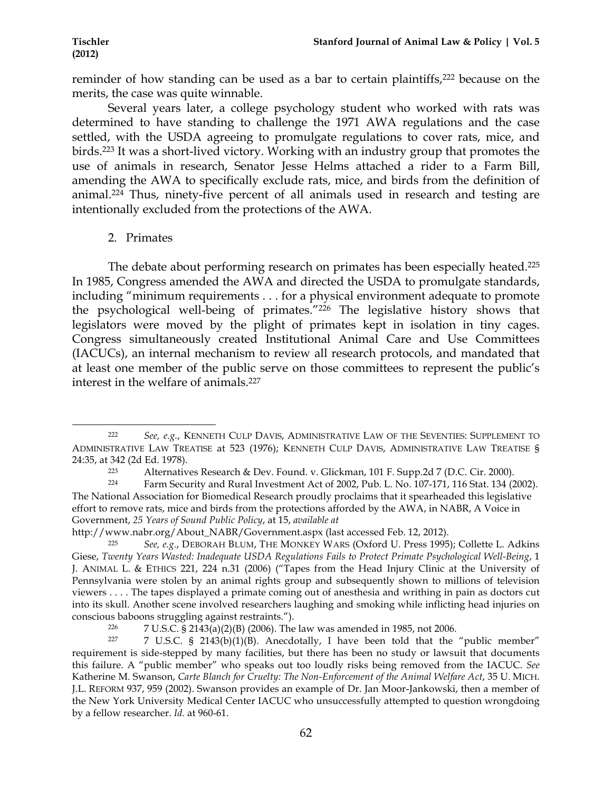reminder of how standing can be used as a bar to certain plaintiffs,<sup>222</sup> because on the merits, the case was quite winnable.

Several years later, a college psychology student who worked with rats was determined to have standing to challenge the 1971 AWA regulations and the case settled, with the USDA agreeing to promulgate regulations to cover rats, mice, and birds.223 It was a short-lived victory. Working with an industry group that promotes the use of animals in research, Senator Jesse Helms attached a rider to a Farm Bill, amending the AWA to specifically exclude rats, mice, and birds from the definition of animal.224 Thus, ninety-five percent of all animals used in research and testing are intentionally excluded from the protections of the AWA.

## 2. Primates

The debate about performing research on primates has been especially heated.<sup>225</sup> In 1985, Congress amended the AWA and directed the USDA to promulgate standards, including "minimum requirements . . . for a physical environment adequate to promote the psychological well-being of primates."226 The legislative history shows that legislators were moved by the plight of primates kept in isolation in tiny cages. Congress simultaneously created Institutional Animal Care and Use Committees (IACUCs), an internal mechanism to review all research protocols, and mandated that at least one member of the public serve on those committees to represent the public's interest in the welfare of animals.227

<sup>!!!!!!!!!!!!!!!!!!!!!!!!!!!!!!!!!!!!!!!!!!!!!!!!!!!!!!!!!!!!</sup> <sup>222</sup> *See, e.g.*, KENNETH CULP DAVIS, ADMINISTRATIVE LAW OF THE SEVENTIES: SUPPLEMENT TO ADMINISTRATIVE LAW TREATISE at 523 (1976); KENNETH CULP DAVIS, ADMINISTRATIVE LAW TREATISE § 24:35, at 342 (2d Ed. 1978).

<sup>223</sup> Alternatives Research & Dev. Found. v. Glickman, 101 F. Supp.2d 7 (D.C. Cir. 2000).

<sup>224</sup> Farm Security and Rural Investment Act of 2002, Pub. L. No. 107-171, 116 Stat. 134 (2002). The National Association for Biomedical Research proudly proclaims that it spearheaded this legislative effort to remove rats, mice and birds from the protections afforded by the AWA, in NABR, A Voice in Government, *25 Years of Sound Public Policy*, at 15, *available at*

http://www.nabr.org/About\_NABR/Government.aspx (last accessed Feb. 12, 2012).

<sup>225</sup> *See, e.g.*, DEBORAH BLUM, THE MONKEY WARS (Oxford U. Press 1995); Collette L. Adkins Giese, *Twenty Years Wasted: Inadequate USDA Regulations Fails to Protect Primate Psychological Well-Being*, 1 J. ANIMAL L. & ETHICS 221, 224 n.31 (2006) ("Tapes from the Head Injury Clinic at the University of Pennsylvania were stolen by an animal rights group and subsequently shown to millions of television viewers . . . . The tapes displayed a primate coming out of anesthesia and writhing in pain as doctors cut into its skull. Another scene involved researchers laughing and smoking while inflicting head injuries on conscious baboons struggling against restraints.").

<sup>226 7</sup> U.S.C. § 2143(a)(2)(B) (2006). The law was amended in 1985, not 2006.<br>227 7 U.S.C. § 2143(b)(1)(B) Apecdotally J have been told that the

<sup>7</sup> U.S.C. § 2143(b)(1)(B). Anecdotally, I have been told that the "public member" requirement is side-stepped by many facilities, but there has been no study or lawsuit that documents this failure. A "public member" who speaks out too loudly risks being removed from the IACUC. *See* Katherine M. Swanson, *Carte Blanch for Cruelty: The Non-Enforcement of the Animal Welfare Act*, 35 U. MICH. J.L. REFORM 937, 959 (2002). Swanson provides an example of Dr. Jan Moor-Jankowski, then a member of the New York University Medical Center IACUC who unsuccessfully attempted to question wrongdoing by a fellow researcher. *Id.* at 960-61.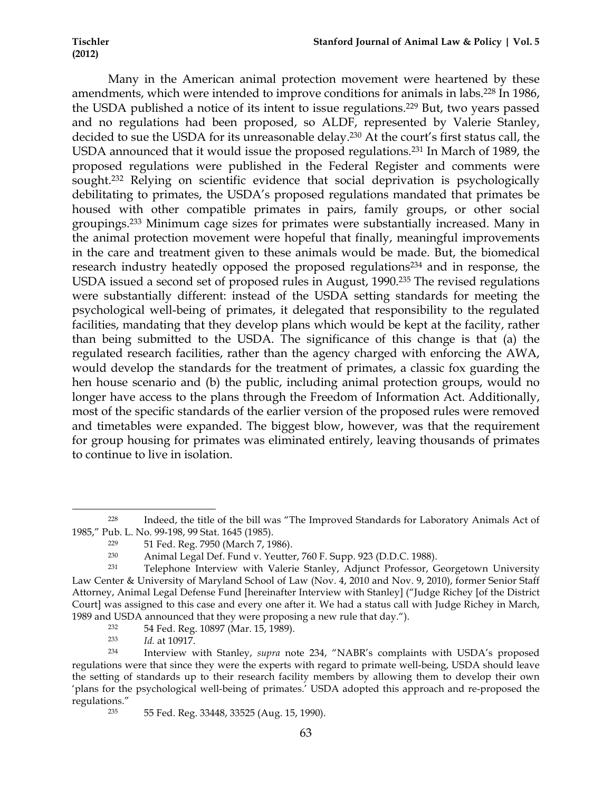Many in the American animal protection movement were heartened by these amendments, which were intended to improve conditions for animals in labs.228 In 1986, the USDA published a notice of its intent to issue regulations.229 But, two years passed and no regulations had been proposed, so ALDF, represented by Valerie Stanley, decided to sue the USDA for its unreasonable delay.230 At the court's first status call, the USDA announced that it would issue the proposed regulations.231 In March of 1989, the proposed regulations were published in the Federal Register and comments were sought.<sup>232</sup> Relying on scientific evidence that social deprivation is psychologically debilitating to primates, the USDA's proposed regulations mandated that primates be housed with other compatible primates in pairs, family groups, or other social groupings.233 Minimum cage sizes for primates were substantially increased. Many in the animal protection movement were hopeful that finally, meaningful improvements in the care and treatment given to these animals would be made. But, the biomedical research industry heatedly opposed the proposed regulations<sup>234</sup> and in response, the USDA issued a second set of proposed rules in August, 1990.235 The revised regulations were substantially different: instead of the USDA setting standards for meeting the psychological well-being of primates, it delegated that responsibility to the regulated facilities, mandating that they develop plans which would be kept at the facility, rather than being submitted to the USDA. The significance of this change is that (a) the regulated research facilities, rather than the agency charged with enforcing the AWA, would develop the standards for the treatment of primates, a classic fox guarding the hen house scenario and (b) the public, including animal protection groups, would no longer have access to the plans through the Freedom of Information Act. Additionally, most of the specific standards of the earlier version of the proposed rules were removed and timetables were expanded. The biggest blow, however, was that the requirement for group housing for primates was eliminated entirely, leaving thousands of primates to continue to live in isolation.

*Id.* at 10917.

<sup>228</sup> Indeed, the title of the bill was "The Improved Standards for Laboratory Animals Act of 1985," Pub. L. No. 99-198, 99 Stat. 1645 (1985).

<sup>&</sup>lt;sup>229</sup> 51 Fed. Reg. 7950 (March 7, 1986).<br><sup>230</sup> Animal Legal Def. Fund y. Yeutter

Animal Legal Def. Fund v. Yeutter, 760 F. Supp. 923 (D.D.C. 1988).

<sup>231</sup> Telephone Interview with Valerie Stanley, Adjunct Professor, Georgetown University Law Center & University of Maryland School of Law (Nov. 4, 2010 and Nov. 9, 2010), former Senior Staff Attorney, Animal Legal Defense Fund [hereinafter Interview with Stanley] ("Judge Richey [of the District Court] was assigned to this case and every one after it. We had a status call with Judge Richey in March, 1989 and USDA announced that they were proposing a new rule that day.").

 $^{232}$  54 Fed. Reg. 10897 (Mar. 15, 1989).<br> $^{233}$  *Id at 10917* 

<sup>234</sup> Interview with Stanley, *supra* note 234, "NABR's complaints with USDA's proposed regulations were that since they were the experts with regard to primate well-being, USDA should leave the setting of standards up to their research facility members by allowing them to develop their own 'plans for the psychological well-being of primates.' USDA adopted this approach and re-proposed the regulations."

<sup>235</sup> 55 Fed. Reg. 33448, 33525 (Aug. 15, 1990).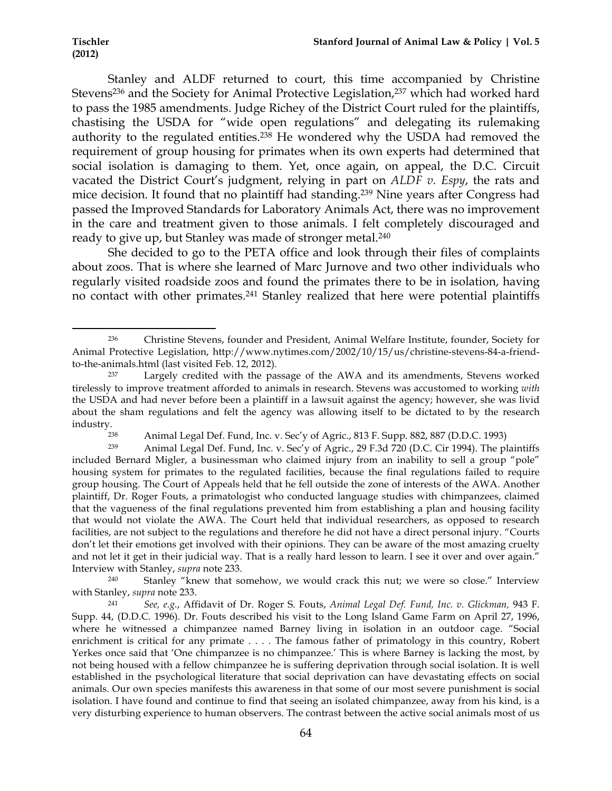!!!!!!!!!!!!!!!!!!!!!!!!!!!!!!!!!!!!!!!!!!!!!!!!!!!!!!!!!!!!

Stanley and ALDF returned to court, this time accompanied by Christine Stevens<sup>236</sup> and the Society for Animal Protective Legislation,<sup>237</sup> which had worked hard to pass the 1985 amendments. Judge Richey of the District Court ruled for the plaintiffs, chastising the USDA for "wide open regulations" and delegating its rulemaking authority to the regulated entities.238 He wondered why the USDA had removed the requirement of group housing for primates when its own experts had determined that social isolation is damaging to them. Yet, once again, on appeal, the D.C. Circuit vacated the District Court's judgment, relying in part on *ALDF v. Espy*, the rats and mice decision. It found that no plaintiff had standing.239 Nine years after Congress had passed the Improved Standards for Laboratory Animals Act, there was no improvement in the care and treatment given to those animals. I felt completely discouraged and ready to give up, but Stanley was made of stronger metal.<sup>240</sup>

She decided to go to the PETA office and look through their files of complaints about zoos. That is where she learned of Marc Jurnove and two other individuals who regularly visited roadside zoos and found the primates there to be in isolation, having no contact with other primates.<sup>241</sup> Stanley realized that here were potential plaintiffs

<sup>236</sup> Christine Stevens, founder and President, Animal Welfare Institute, founder, Society for Animal Protective Legislation, http://www.nytimes.com/2002/10/15/us/christine-stevens-84-a-friendto-the-animals.html (last visited Feb. 12, 2012).

<sup>&</sup>lt;sup>237</sup> Largely credited with the passage of the AWA and its amendments, Stevens worked tirelessly to improve treatment afforded to animals in research. Stevens was accustomed to working *with* the USDA and had never before been a plaintiff in a lawsuit against the agency; however, she was livid about the sham regulations and felt the agency was allowing itself to be dictated to by the research industry.<br><sup>238</sup>

<sup>238</sup> Animal Legal Def. Fund, Inc. v. Sec'y of Agric., 813 F. Supp. 882, 887 (D.D.C. 1993)

<sup>239</sup> Animal Legal Def. Fund, Inc. v. Sec'y of Agric., 29 F.3d 720 (D.C. Cir 1994). The plaintiffs included Bernard Migler, a businessman who claimed injury from an inability to sell a group "pole" housing system for primates to the regulated facilities, because the final regulations failed to require group housing. The Court of Appeals held that he fell outside the zone of interests of the AWA. Another plaintiff, Dr. Roger Fouts, a primatologist who conducted language studies with chimpanzees, claimed that the vagueness of the final regulations prevented him from establishing a plan and housing facility that would not violate the AWA. The Court held that individual researchers, as opposed to research facilities, are not subject to the regulations and therefore he did not have a direct personal injury. "Courts don't let their emotions get involved with their opinions. They can be aware of the most amazing cruelty and not let it get in their judicial way. That is a really hard lesson to learn. I see it over and over again." Interview with Stanley, *supra* note 233.

<sup>&</sup>lt;sup>240</sup> Stanley "knew that somehow, we would crack this nut; we were so close." Interview with Stanley, *supra* note 233.

<sup>241</sup> *See, e.g.*, Affidavit of Dr. Roger S. Fouts, *Animal Legal Def. Fund, Inc. v. Glickman,* 943 F. Supp. 44, (D.D.C. 1996). Dr. Fouts described his visit to the Long Island Game Farm on April 27, 1996, where he witnessed a chimpanzee named Barney living in isolation in an outdoor cage. "Social enrichment is critical for any primate . . . . The famous father of primatology in this country, Robert Yerkes once said that 'One chimpanzee is no chimpanzee.' This is where Barney is lacking the most, by not being housed with a fellow chimpanzee he is suffering deprivation through social isolation. It is well established in the psychological literature that social deprivation can have devastating effects on social animals. Our own species manifests this awareness in that some of our most severe punishment is social isolation. I have found and continue to find that seeing an isolated chimpanzee, away from his kind, is a very disturbing experience to human observers. The contrast between the active social animals most of us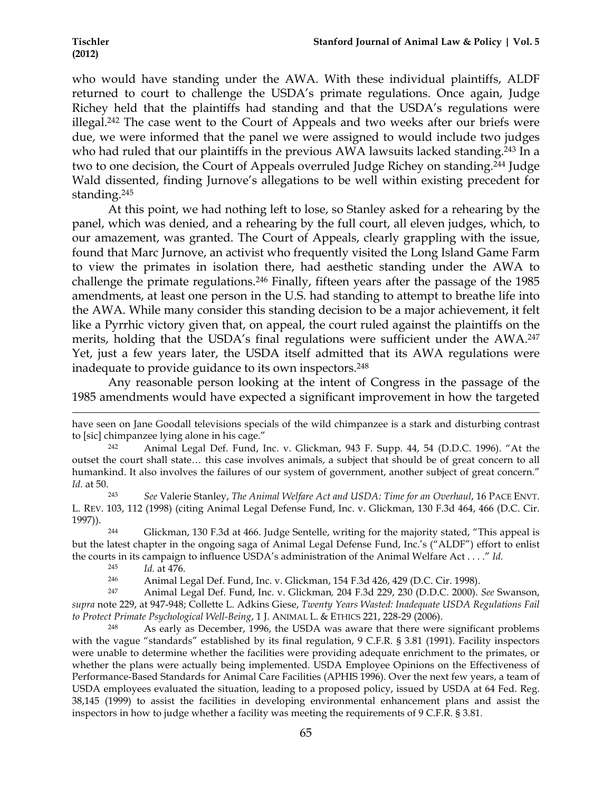who would have standing under the AWA. With these individual plaintiffs, ALDF returned to court to challenge the USDA's primate regulations. Once again, Judge Richey held that the plaintiffs had standing and that the USDA's regulations were illegal.242 The case went to the Court of Appeals and two weeks after our briefs were due, we were informed that the panel we were assigned to would include two judges who had ruled that our plaintiffs in the previous AWA lawsuits lacked standing.<sup>243</sup> In a two to one decision, the Court of Appeals overruled Judge Richey on standing.244 Judge Wald dissented, finding Jurnove's allegations to be well within existing precedent for standing.245

At this point, we had nothing left to lose, so Stanley asked for a rehearing by the panel, which was denied, and a rehearing by the full court, all eleven judges, which, to our amazement, was granted. The Court of Appeals, clearly grappling with the issue, found that Marc Jurnove, an activist who frequently visited the Long Island Game Farm to view the primates in isolation there, had aesthetic standing under the AWA to challenge the primate regulations.246 Finally, fifteen years after the passage of the 1985 amendments, at least one person in the U.S. had standing to attempt to breathe life into the AWA. While many consider this standing decision to be a major achievement, it felt like a Pyrrhic victory given that, on appeal, the court ruled against the plaintiffs on the merits, holding that the USDA's final regulations were sufficient under the AWA.<sup>247</sup> Yet, just a few years later, the USDA itself admitted that its AWA regulations were inadequate to provide guidance to its own inspectors.<sup>248</sup>

Any reasonable person looking at the intent of Congress in the passage of the 1985 amendments would have expected a significant improvement in how the targeted

<sup>246</sup> Animal Legal Def. Fund, Inc. v. Glickman, 154 F.3d 426, 429 (D.C. Cir. 1998).

<sup>247</sup> Animal Legal Def. Fund, Inc. v. Glickman*,* 204 F.3d 229, 230 (D.D.C. 2000). *See* Swanson, *supra* note 229, at 947-948; Collette L. Adkins Giese, *Twenty Years Wasted: Inadequate USDA Regulations Fail to Protect Primate Psychological Well-Being*, 1 J. ANIMAL L. & ETHICS 221, 228-29 (2006).

As early as December, 1996, the USDA was aware that there were significant problems with the vague "standards" established by its final regulation, 9 C.F.R. § 3.81 (1991). Facility inspectors were unable to determine whether the facilities were providing adequate enrichment to the primates, or whether the plans were actually being implemented. USDA Employee Opinions on the Effectiveness of Performance-Based Standards for Animal Care Facilities (APHIS 1996). Over the next few years, a team of USDA employees evaluated the situation, leading to a proposed policy, issued by USDA at 64 Fed. Reg. 38,145 (1999) to assist the facilities in developing environmental enhancement plans and assist the inspectors in how to judge whether a facility was meeting the requirements of 9 C.F.R. § 3.81.

<sup>!!!!!!!!!!!!!!!!!!!!!!!!!!!!!!!!!!!!!!!!!!!!!!!!!!!!!!!!!!!!!!!!!!!!!!!!!!!!!!!!!!!!!!!!!!!!!!!!!!!!!!!!!!!!!!!!!!!!!!!!!!!!!!!!!!!!!!!!!!!!!!!!!!!!!!!!!!!!!!!!!!!!!!!!!!!!!!!!!!!!!!!!!!!!!!!!!!!</sup> have seen on Jane Goodall televisions specials of the wild chimpanzee is a stark and disturbing contrast to [sic] chimpanzee lying alone in his cage."

<sup>242</sup> Animal Legal Def. Fund, Inc. v. Glickman, 943 F. Supp. 44, 54 (D.D.C. 1996). "At the outset the court shall state… this case involves animals, a subject that should be of great concern to all humankind. It also involves the failures of our system of government, another subject of great concern." *Id.* at 50.

<sup>243</sup> *See* Valerie Stanley, *The Animal Welfare Act and USDA: Time for an Overhaul*, 16 PACE ENVT. L. REV. 103, 112 (1998) (citing Animal Legal Defense Fund, Inc. v. Glickman, 130 F.3d 464, 466 (D.C. Cir. 1997)).

<sup>244</sup> Glickman, 130 F.3d at 466. Judge Sentelle, writing for the majority stated, "This appeal is but the latest chapter in the ongoing saga of Animal Legal Defense Fund, Inc.'s ("ALDF") effort to enlist the courts in its campaign to influence USDA's administration of the Animal Welfare Act . . . ." *Id.*

<sup>245</sup> *Id.* at 476.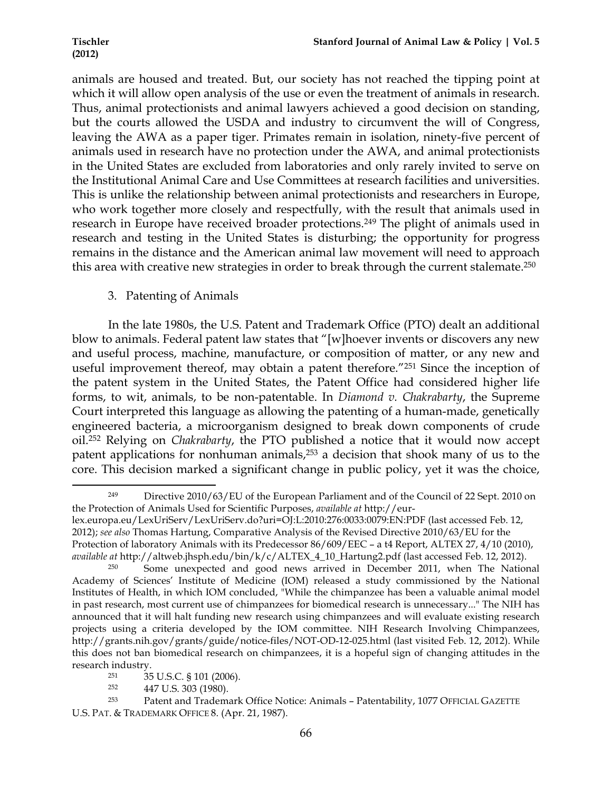animals are housed and treated. But, our society has not reached the tipping point at which it will allow open analysis of the use or even the treatment of animals in research. Thus, animal protectionists and animal lawyers achieved a good decision on standing, but the courts allowed the USDA and industry to circumvent the will of Congress, leaving the AWA as a paper tiger. Primates remain in isolation, ninety-five percent of animals used in research have no protection under the AWA, and animal protectionists in the United States are excluded from laboratories and only rarely invited to serve on the Institutional Animal Care and Use Committees at research facilities and universities. This is unlike the relationship between animal protectionists and researchers in Europe, who work together more closely and respectfully, with the result that animals used in research in Europe have received broader protections.249 The plight of animals used in research and testing in the United States is disturbing; the opportunity for progress remains in the distance and the American animal law movement will need to approach this area with creative new strategies in order to break through the current stalemate.<sup>250</sup>

# 3. Patenting of Animals

In the late 1980s, the U.S. Patent and Trademark Office (PTO) dealt an additional blow to animals. Federal patent law states that "[w]hoever invents or discovers any new and useful process, machine, manufacture, or composition of matter, or any new and useful improvement thereof, may obtain a patent therefore."251 Since the inception of the patent system in the United States, the Patent Office had considered higher life forms, to wit, animals, to be non-patentable. In *Diamond v. Chakrabarty*, the Supreme Court interpreted this language as allowing the patenting of a human-made, genetically engineered bacteria, a microorganism designed to break down components of crude oil.252 Relying on *Chakrabarty*, the PTO published a notice that it would now accept patent applications for nonhuman animals,253 a decision that shook many of us to the core. This decision marked a significant change in public policy, yet it was the choice,

<sup>252</sup> 447 U.S. 303 (1980).

<sup>!!!!!!!!!!!!!!!!!!!!!!!!!!!!!!!!!!!!!!!!!!!!!!!!!!!!!!!!!!!!</sup> <sup>249</sup> Directive 2010/63/EU of the European Parliament and of the Council of 22 Sept. 2010 on the Protection of Animals Used for Scientific Purposes, *available at* http://eur-

lex.europa.eu/LexUriServ/LexUriServ.do?uri=OJ:L:2010:276:0033:0079:EN:PDF (last accessed Feb. 12, 2012); *see also* Thomas Hartung, Comparative Analysis of the Revised Directive 2010/63/EU for the Protection of laboratory Animals with its Predecessor 86/609/EEC – a t4 Report, ALTEX 27, 4/10 (2010), *available at* http://altweb.jhsph.edu/bin/k/c/ALTEX\_4\_10\_Hartung2.pdf (last accessed Feb. 12, 2012).

<sup>&</sup>lt;sup>250</sup> Some unexpected and good news arrived in December 2011, when The National Academy of Sciences' Institute of Medicine (IOM) released a study commissioned by the National Institutes of Health, in which IOM concluded, "While the chimpanzee has been a valuable animal model in past research, most current use of chimpanzees for biomedical research is unnecessary..." The NIH has announced that it will halt funding new research using chimpanzees and will evaluate existing research projects using a criteria developed by the IOM committee. NIH Research Involving Chimpanzees, http://grants.nih.gov/grants/guide/notice-files/NOT-OD-12-025.html (last visited Feb. 12, 2012). While this does not ban biomedical research on chimpanzees, it is a hopeful sign of changing attitudes in the research industry.<br> $rac{251}{35}$ 

<sup>251</sup> 35 U.S.C. § 101 (2006).

<sup>253</sup> Patent and Trademark Office Notice: Animals – Patentability, 1077 OFFICIAL GAZETTE U.S. PAT. & TRADEMARK OFFICE 8. (Apr. 21, 1987).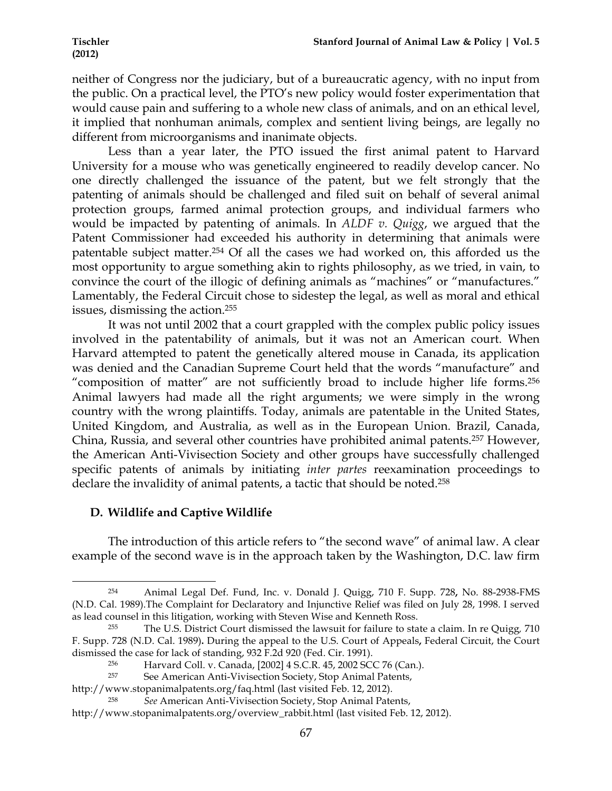neither of Congress nor the judiciary, but of a bureaucratic agency, with no input from the public. On a practical level, the PTO's new policy would foster experimentation that would cause pain and suffering to a whole new class of animals, and on an ethical level, it implied that nonhuman animals, complex and sentient living beings, are legally no different from microorganisms and inanimate objects.

Less than a year later, the PTO issued the first animal patent to Harvard University for a mouse who was genetically engineered to readily develop cancer. No one directly challenged the issuance of the patent, but we felt strongly that the patenting of animals should be challenged and filed suit on behalf of several animal protection groups, farmed animal protection groups, and individual farmers who would be impacted by patenting of animals. In *ALDF v. Quigg*, we argued that the Patent Commissioner had exceeded his authority in determining that animals were patentable subject matter.254 Of all the cases we had worked on, this afforded us the most opportunity to argue something akin to rights philosophy, as we tried, in vain, to convince the court of the illogic of defining animals as "machines" or "manufactures." Lamentably, the Federal Circuit chose to sidestep the legal, as well as moral and ethical issues, dismissing the action.255

It was not until 2002 that a court grappled with the complex public policy issues involved in the patentability of animals, but it was not an American court. When Harvard attempted to patent the genetically altered mouse in Canada, its application was denied and the Canadian Supreme Court held that the words "manufacture" and "composition of matter" are not sufficiently broad to include higher life forms.256 Animal lawyers had made all the right arguments; we were simply in the wrong country with the wrong plaintiffs. Today, animals are patentable in the United States, United Kingdom, and Australia, as well as in the European Union. Brazil, Canada, China, Russia, and several other countries have prohibited animal patents.257 However, the American Anti-Vivisection Society and other groups have successfully challenged specific patents of animals by initiating *inter partes* reexamination proceedings to declare the invalidity of animal patents, a tactic that should be noted.258

# **D. Wildlife and Captive Wildlife**

!!!!!!!!!!!!!!!!!!!!!!!!!!!!!!!!!!!!!!!!!!!!!!!!!!!!!!!!!!!!

The introduction of this article refers to "the second wave" of animal law. A clear example of the second wave is in the approach taken by the Washington, D.C. law firm

<sup>254</sup> Animal Legal Def. Fund, Inc. v. Donald J. Quigg, 710 F. Supp. 728**,** No. 88-2938-FMS (N.D. Cal. 1989).The Complaint for Declaratory and Injunctive Relief was filed on July 28, 1998. I served as lead counsel in this litigation, working with Steven Wise and Kenneth Ross.

<sup>255</sup> The U.S. District Court dismissed the lawsuit for failure to state a claim. In re Quigg*,* 710 F. Supp. 728 (N.D. Cal. 1989)**.** During the appeal to the U.S. Court of Appeals**,** Federal Circuit, the Court dismissed the case for lack of standing, 932 F.2d 920 (Fed. Cir. 1991).

<sup>&</sup>lt;sup>256</sup> Harvard Coll. v. Canada, [2002] 4 S.C.R. 45, 2002 SCC 76 (Can.).<br><sup>257</sup> See American Anti-Vivisection Society, Stop Animal Patents

See American Anti-Vivisection Society, Stop Animal Patents,

http://www.stopanimalpatents.org/faq.html (last visited Feb. 12, 2012).

<sup>258</sup> *See* American Anti-Vivisection Society, Stop Animal Patents, http://www.stopanimalpatents.org/overview\_rabbit.html (last visited Feb. 12, 2012).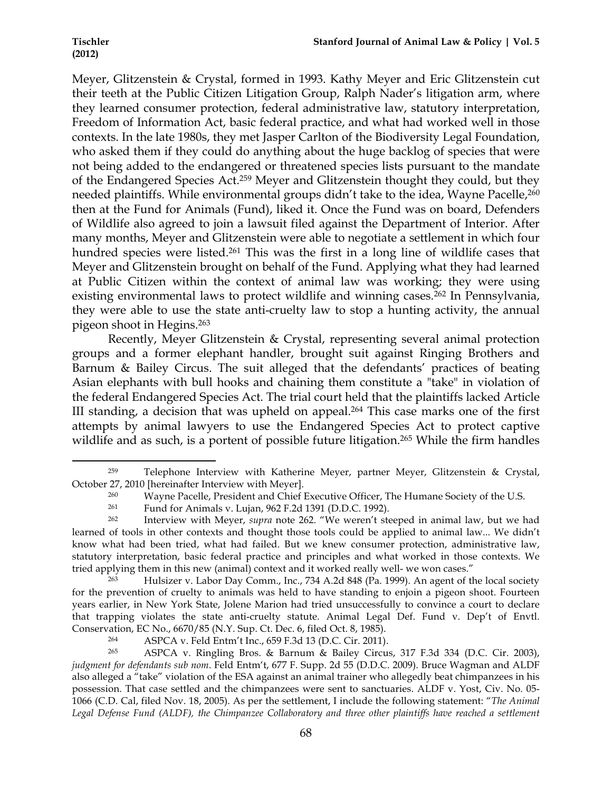Meyer, Glitzenstein & Crystal, formed in 1993. Kathy Meyer and Eric Glitzenstein cut their teeth at the Public Citizen Litigation Group, Ralph Nader's litigation arm, where they learned consumer protection, federal administrative law, statutory interpretation, Freedom of Information Act, basic federal practice, and what had worked well in those contexts. In the late 1980s, they met Jasper Carlton of the Biodiversity Legal Foundation, who asked them if they could do anything about the huge backlog of species that were not being added to the endangered or threatened species lists pursuant to the mandate of the Endangered Species Act.259 Meyer and Glitzenstein thought they could, but they needed plaintiffs. While environmental groups didn't take to the idea, Wayne Pacelle,<sup>260</sup> then at the Fund for Animals (Fund), liked it. Once the Fund was on board, Defenders of Wildlife also agreed to join a lawsuit filed against the Department of Interior. After many months, Meyer and Glitzenstein were able to negotiate a settlement in which four hundred species were listed.<sup>261</sup> This was the first in a long line of wildlife cases that Meyer and Glitzenstein brought on behalf of the Fund. Applying what they had learned at Public Citizen within the context of animal law was working; they were using existing environmental laws to protect wildlife and winning cases.<sup>262</sup> In Pennsylvania, they were able to use the state anti-cruelty law to stop a hunting activity, the annual pigeon shoot in Hegins.263

Recently, Meyer Glitzenstein & Crystal, representing several animal protection groups and a former elephant handler, brought suit against Ringing Brothers and Barnum & Bailey Circus. The suit alleged that the defendants' practices of beating Asian elephants with bull hooks and chaining them constitute a "take" in violation of the federal Endangered Species Act. The trial court held that the plaintiffs lacked Article III standing, a decision that was upheld on appeal.<sup>264</sup> This case marks one of the first attempts by animal lawyers to use the Endangered Species Act to protect captive wildlife and as such, is a portent of possible future litigation.<sup>265</sup> While the firm handles

<sup>259</sup> Telephone Interview with Katherine Meyer, partner Meyer, Glitzenstein & Crystal, October 27, 2010 [hereinafter Interview with Meyer].

<sup>&</sup>lt;sup>260</sup> Wayne Pacelle, President and Chief Executive Officer, The Humane Society of the U.S.

<sup>261</sup> Fund for Animals v. Lujan, 962 F.2d 1391 (D.D.C. 1992).

<sup>262</sup> Interview with Meyer, *supra* note 262. "We weren't steeped in animal law, but we had learned of tools in other contexts and thought those tools could be applied to animal law... We didn't know what had been tried, what had failed. But we knew consumer protection, administrative law, statutory interpretation, basic federal practice and principles and what worked in those contexts. We tried applying them in this new (animal) context and it worked really well- we won cases."

<sup>263</sup> Hulsizer v. Labor Day Comm., Inc., 734 A.2d 848 (Pa. 1999). An agent of the local society for the prevention of cruelty to animals was held to have standing to enjoin a pigeon shoot. Fourteen years earlier, in New York State, Jolene Marion had tried unsuccessfully to convince a court to declare that trapping violates the state anti-cruelty statute. Animal Legal Def. Fund v. Dep't of Envtl. Conservation, EC No., 6670/85 (N.Y. Sup. Ct. Dec. 6, filed Oct. 8, 1985).

<sup>264</sup> ASPCA v. Feld Entm't Inc., 659 F.3d 13 (D.C. Cir. 2011).

<sup>265</sup> ASPCA v. Ringling Bros. & Barnum & Bailey Circus, 317 F.3d 334 (D.C. Cir. 2003), *judgment for defendants sub nom*. Feld Entm't, 677 F. Supp. 2d 55 (D.D.C. 2009). Bruce Wagman and ALDF also alleged a "take" violation of the ESA against an animal trainer who allegedly beat chimpanzees in his possession. That case settled and the chimpanzees were sent to sanctuaries. ALDF v. Yost, Civ. No. 05- 1066 (C.D. Cal, filed Nov. 18, 2005). As per the settlement, I include the following statement: "*The Animal*  Legal Defense Fund (ALDF), the Chimpanzee Collaboratory and three other plaintiffs have reached a settlement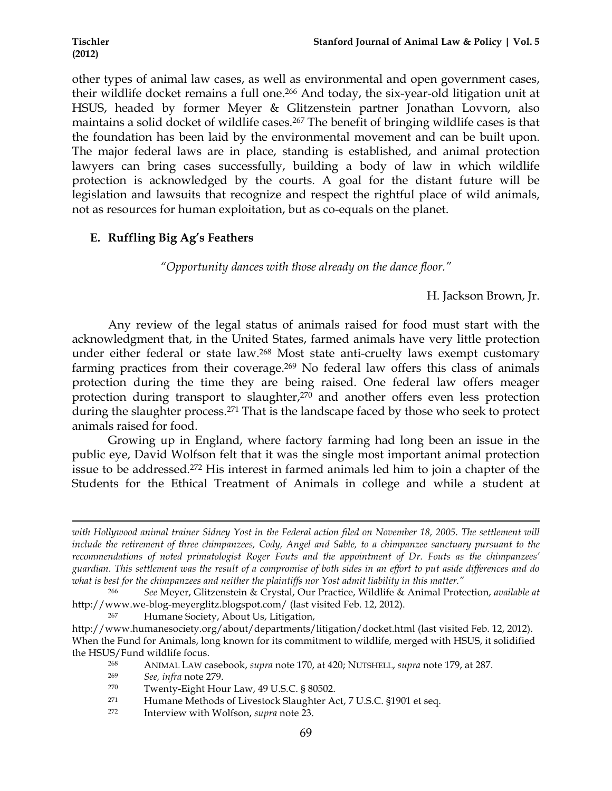other types of animal law cases, as well as environmental and open government cases, their wildlife docket remains a full one.<sup>266</sup> And today, the six-year-old litigation unit at HSUS, headed by former Meyer & Glitzenstein partner Jonathan Lovvorn, also maintains a solid docket of wildlife cases.<sup>267</sup> The benefit of bringing wildlife cases is that the foundation has been laid by the environmental movement and can be built upon. The major federal laws are in place, standing is established, and animal protection lawyers can bring cases successfully, building a body of law in which wildlife protection is acknowledged by the courts. A goal for the distant future will be legislation and lawsuits that recognize and respect the rightful place of wild animals, not as resources for human exploitation, but as co-equals on the planet.

# **E. Ruffling Big Ag's Feathers**

*"Opportunity dances with those already on the dance floor."*

H. Jackson Brown, Jr.

Any review of the legal status of animals raised for food must start with the acknowledgment that, in the United States, farmed animals have very little protection under either federal or state law.268 Most state anti-cruelty laws exempt customary farming practices from their coverage.269 No federal law offers this class of animals protection during the time they are being raised. One federal law offers meager protection during transport to slaughter, $270$  and another offers even less protection during the slaughter process.<sup>271</sup> That is the landscape faced by those who seek to protect animals raised for food.

Growing up in England, where factory farming had long been an issue in the public eye, David Wolfson felt that it was the single most important animal protection issue to be addressed.272 His interest in farmed animals led him to join a chapter of the Students for the Ethical Treatment of Animals in college and while a student at

!!!!!!!!!!!!!!!!!!!!!!!!!!!!!!!!!!!!!!!!!!!!!!!!!!!!!!!!!!!!!!!!!!!!!!!!!!!!!!!!!!!!!!!!!!!!!!!!!!!!!!!!!!!!!!!!!!!!!!!!!!!!!!!!!!!!!!!!!!!!!!!!!!!!!!!!!!!!!!!!!!!!!!!!!!!!!!!!!!!!!!!!!!!!!!!!!!!

- <sup>268</sup> ANIMAL LAW casebook, *supra* note 170, at 420; NUTSHELL, *supra* note 179, at 287.
- <sup>269</sup> *See, infra* note 279.

<sup>271</sup> Humane Methods of Livestock Slaughter Act, 7 U.S.C. §1901 et seq.

*with Hollywood animal trainer Sidney Yost in the Federal action filed on November 18, 2005. The settlement will include the retirement of three chimpanzees, Cody, Angel and Sable, to a chimpanzee sanctuary pursuant to the recommendations of noted primatologist Roger Fouts and the appointment of Dr. Fouts as the chimpanzees' guardian. This settlement was the result of a compromise of both sides in an effort to put aside differences and do what is best for the chimpanzees and neither the plaintiffs nor Yost admit liability in this matter."*

<sup>266</sup> *See* Meyer, Glitzenstein & Crystal, Our Practice, Wildlife & Animal Protection, *available at* http://www.we-blog-meyerglitz.blogspot.com/ (last visited Feb. 12, 2012).

<sup>267</sup> Humane Society, About Us, Litigation,

http://www.humanesociety.org/about/departments/litigation/docket.html (last visited Feb. 12, 2012). When the Fund for Animals, long known for its commitment to wildlife, merged with HSUS, it solidified the HSUS/Fund wildlife focus.

<sup>270</sup> Twenty-Eight Hour Law, 49 U.S.C. § 80502.

<sup>272</sup> Interview with Wolfson, *supra* note 23.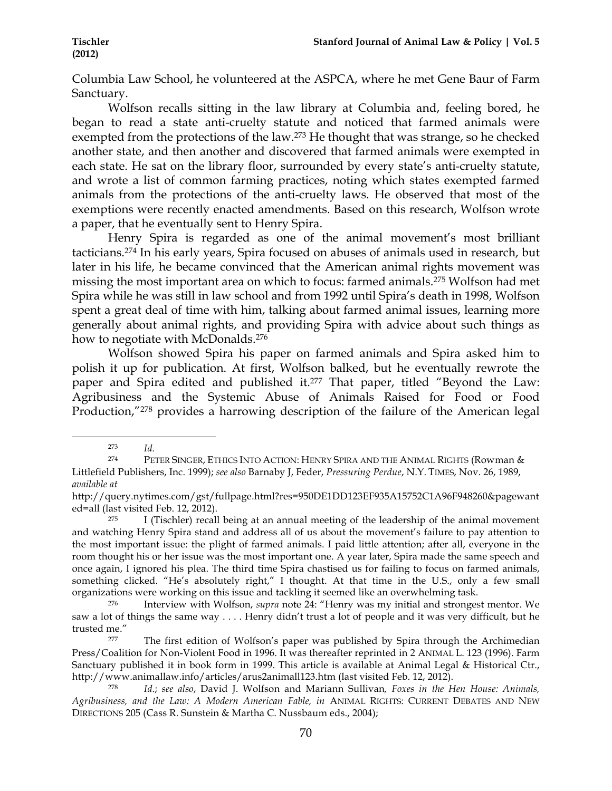Columbia Law School, he volunteered at the ASPCA, where he met Gene Baur of Farm Sanctuary.

Wolfson recalls sitting in the law library at Columbia and, feeling bored, he began to read a state anti-cruelty statute and noticed that farmed animals were exempted from the protections of the law.273 He thought that was strange, so he checked another state, and then another and discovered that farmed animals were exempted in each state. He sat on the library floor, surrounded by every state's anti-cruelty statute, and wrote a list of common farming practices, noting which states exempted farmed animals from the protections of the anti-cruelty laws. He observed that most of the exemptions were recently enacted amendments. Based on this research, Wolfson wrote a paper, that he eventually sent to Henry Spira.

Henry Spira is regarded as one of the animal movement's most brilliant tacticians.274 In his early years, Spira focused on abuses of animals used in research, but later in his life, he became convinced that the American animal rights movement was missing the most important area on which to focus: farmed animals.275 Wolfson had met Spira while he was still in law school and from 1992 until Spira's death in 1998, Wolfson spent a great deal of time with him, talking about farmed animal issues, learning more generally about animal rights, and providing Spira with advice about such things as how to negotiate with McDonalds.<sup>276</sup>

Wolfson showed Spira his paper on farmed animals and Spira asked him to polish it up for publication. At first, Wolfson balked, but he eventually rewrote the paper and Spira edited and published it.277 That paper, titled "Beyond the Law: Agribusiness and the Systemic Abuse of Animals Raised for Food or Food Production,"278 provides a harrowing description of the failure of the American legal

<sup>!!!!!!!!!!!!!!!!!!!!!!!!!!!!!!!!!!!!!!!!!!!!!!!!!!!!!!!!!!!!</sup> <sup>273</sup> *Id.*

<sup>274</sup> PETER SINGER, ETHICS INTO ACTION: HENRY SPIRA AND THE ANIMAL RIGHTS (Rowman & Littlefield Publishers, Inc. 1999); *see also* Barnaby J, Feder, *Pressuring Perdue*, N.Y. TIMES, Nov. 26, 1989, *available at*

http://query.nytimes.com/gst/fullpage.html?res=950DE1DD123EF935A15752C1A96F948260&pagewant ed=all (last visited Feb. 12, 2012).

<sup>&</sup>lt;sup>275</sup> I (Tischler) recall being at an annual meeting of the leadership of the animal movement and watching Henry Spira stand and address all of us about the movement's failure to pay attention to the most important issue: the plight of farmed animals. I paid little attention; after all, everyone in the room thought his or her issue was the most important one. A year later, Spira made the same speech and once again, I ignored his plea. The third time Spira chastised us for failing to focus on farmed animals, something clicked. "He's absolutely right," I thought. At that time in the U.S., only a few small organizations were working on this issue and tackling it seemed like an overwhelming task.

<sup>276</sup> Interview with Wolfson, *supra* note 24: "Henry was my initial and strongest mentor. We saw a lot of things the same way . . . . Henry didn't trust a lot of people and it was very difficult, but he trusted me."

<sup>&</sup>lt;sup>277</sup> The first edition of Wolfson's paper was published by Spira through the Archimedian Press/Coalition for Non-Violent Food in 1996. It was thereafter reprinted in 2 ANIMAL L. 123 (1996). Farm Sanctuary published it in book form in 1999. This article is available at Animal Legal & Historical Ctr., http://www.animallaw.info/articles/arus2animall123.htm (last visited Feb. 12, 2012).

<sup>278</sup> *Id*.; *see also*, David J. Wolfson and Mariann Sullivan*, Foxes in the Hen House: Animals, Agribusiness, and the Law: A Modern American Fable, in* ANIMAL RIGHTS: CURRENT DEBATES AND NEW DIRECTIONS 205 (Cass R. Sunstein & Martha C. Nussbaum eds., 2004);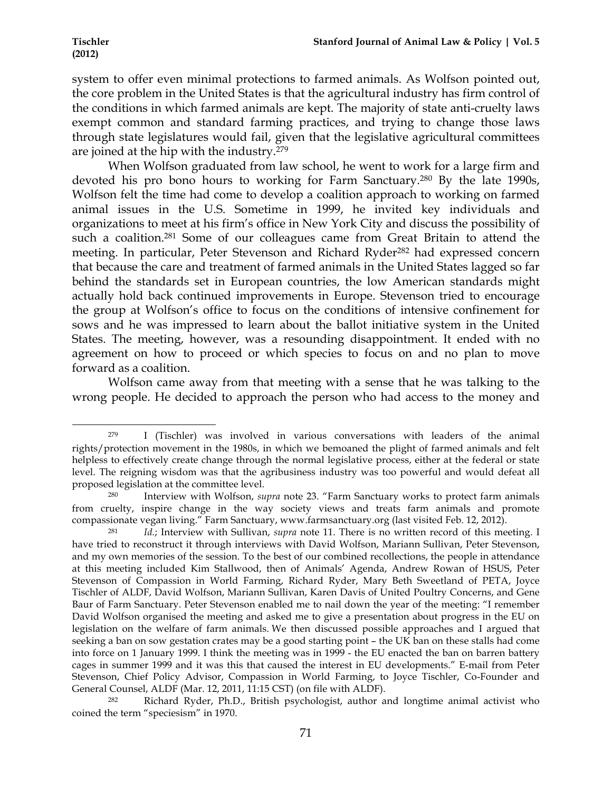!!!!!!!!!!!!!!!!!!!!!!!!!!!!!!!!!!!!!!!!!!!!!!!!!!!!!!!!!!!!

system to offer even minimal protections to farmed animals. As Wolfson pointed out, the core problem in the United States is that the agricultural industry has firm control of the conditions in which farmed animals are kept. The majority of state anti-cruelty laws exempt common and standard farming practices, and trying to change those laws through state legislatures would fail, given that the legislative agricultural committees are joined at the hip with the industry.279

When Wolfson graduated from law school, he went to work for a large firm and devoted his pro bono hours to working for Farm Sanctuary.280 By the late 1990s, Wolfson felt the time had come to develop a coalition approach to working on farmed animal issues in the U.S. Sometime in 1999, he invited key individuals and organizations to meet at his firm's office in New York City and discuss the possibility of such a coalition.281 Some of our colleagues came from Great Britain to attend the meeting. In particular, Peter Stevenson and Richard Ryder282 had expressed concern that because the care and treatment of farmed animals in the United States lagged so far behind the standards set in European countries, the low American standards might actually hold back continued improvements in Europe. Stevenson tried to encourage the group at Wolfson's office to focus on the conditions of intensive confinement for sows and he was impressed to learn about the ballot initiative system in the United States. The meeting, however, was a resounding disappointment. It ended with no agreement on how to proceed or which species to focus on and no plan to move forward as a coalition.

Wolfson came away from that meeting with a sense that he was talking to the wrong people. He decided to approach the person who had access to the money and

<sup>279</sup> I (Tischler) was involved in various conversations with leaders of the animal rights/protection movement in the 1980s, in which we bemoaned the plight of farmed animals and felt helpless to effectively create change through the normal legislative process, either at the federal or state level. The reigning wisdom was that the agribusiness industry was too powerful and would defeat all proposed legislation at the committee level.

<sup>280</sup> Interview with Wolfson, *supra* note 23. "Farm Sanctuary works to protect farm animals from cruelty, inspire change in the way society views and treats farm animals and promote compassionate vegan living." Farm Sanctuary, www.farmsanctuary.org (last visited Feb. 12, 2012).

<sup>281</sup> *Id.*; Interview with Sullivan, *supra* note 11. There is no written record of this meeting. I have tried to reconstruct it through interviews with David Wolfson, Mariann Sullivan, Peter Stevenson, and my own memories of the session. To the best of our combined recollections, the people in attendance at this meeting included Kim Stallwood, then of Animals' Agenda, Andrew Rowan of HSUS, Peter Stevenson of Compassion in World Farming, Richard Ryder, Mary Beth Sweetland of PETA, Joyce Tischler of ALDF, David Wolfson, Mariann Sullivan, Karen Davis of United Poultry Concerns, and Gene Baur of Farm Sanctuary. Peter Stevenson enabled me to nail down the year of the meeting: "I remember David Wolfson organised the meeting and asked me to give a presentation about progress in the EU on legislation on the welfare of farm animals. We then discussed possible approaches and I argued that seeking a ban on sow gestation crates may be a good starting point – the UK ban on these stalls had come into force on 1 January 1999. I think the meeting was in 1999 - the EU enacted the ban on barren battery cages in summer 1999 and it was this that caused the interest in EU developments." E-mail from Peter Stevenson, Chief Policy Advisor, Compassion in World Farming, to Joyce Tischler, Co-Founder and General Counsel, ALDF (Mar. 12, 2011, 11:15 CST) (on file with ALDF).

<sup>282</sup> Richard Ryder, Ph.D., British psychologist, author and longtime animal activist who coined the term "speciesism" in 1970.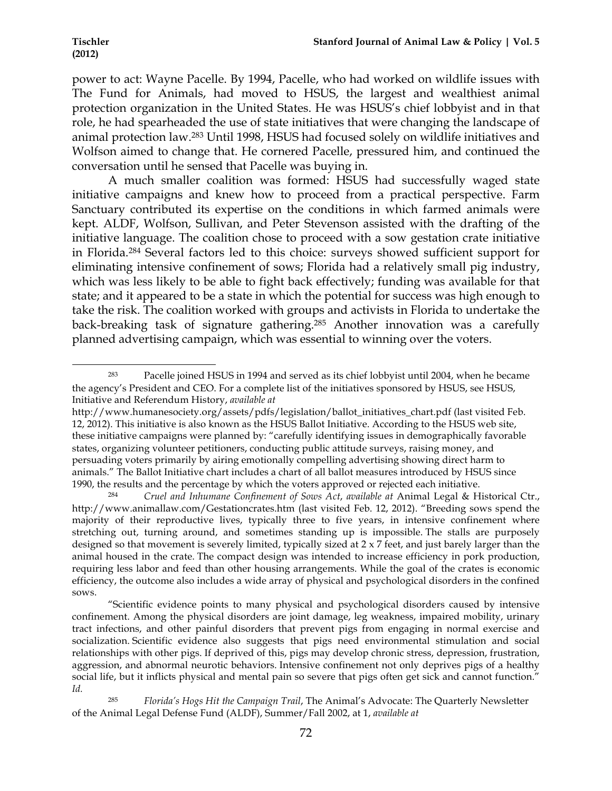!!!!!!!!!!!!!!!!!!!!!!!!!!!!!!!!!!!!!!!!!!!!!!!!!!!!!!!!!!!!

power to act: Wayne Pacelle. By 1994, Pacelle, who had worked on wildlife issues with The Fund for Animals, had moved to HSUS, the largest and wealthiest animal protection organization in the United States. He was HSUS's chief lobbyist and in that role, he had spearheaded the use of state initiatives that were changing the landscape of animal protection law.283 Until 1998, HSUS had focused solely on wildlife initiatives and Wolfson aimed to change that. He cornered Pacelle, pressured him, and continued the conversation until he sensed that Pacelle was buying in.

A much smaller coalition was formed: HSUS had successfully waged state initiative campaigns and knew how to proceed from a practical perspective. Farm Sanctuary contributed its expertise on the conditions in which farmed animals were kept. ALDF, Wolfson, Sullivan, and Peter Stevenson assisted with the drafting of the initiative language. The coalition chose to proceed with a sow gestation crate initiative in Florida.284 Several factors led to this choice: surveys showed sufficient support for eliminating intensive confinement of sows; Florida had a relatively small pig industry, which was less likely to be able to fight back effectively; funding was available for that state; and it appeared to be a state in which the potential for success was high enough to take the risk. The coalition worked with groups and activists in Florida to undertake the back-breaking task of signature gathering.285 Another innovation was a carefully planned advertising campaign, which was essential to winning over the voters.

Pacelle joined HSUS in 1994 and served as its chief lobbyist until 2004, when he became the agency's President and CEO. For a complete list of the initiatives sponsored by HSUS, see HSUS, Initiative and Referendum History, *available at*

http://www.humanesociety.org/assets/pdfs/legislation/ballot\_initiatives\_chart.pdf (last visited Feb. 12, 2012). This initiative is also known as the HSUS Ballot Initiative. According to the HSUS web site, these initiative campaigns were planned by: "carefully identifying issues in demographically favorable states, organizing volunteer petitioners, conducting public attitude surveys, raising money, and persuading voters primarily by airing emotionally compelling advertising showing direct harm to animals." The Ballot Initiative chart includes a chart of all ballot measures introduced by HSUS since 1990, the results and the percentage by which the voters approved or rejected each initiative.

<sup>284</sup> *Cruel and Inhumane Confinement of Sows Act*, *available at* Animal Legal & Historical Ctr., http://www.animallaw.com/Gestationcrates.htm (last visited Feb. 12, 2012). "Breeding sows spend the majority of their reproductive lives, typically three to five years, in intensive confinement where stretching out, turning around, and sometimes standing up is impossible. The stalls are purposely designed so that movement is severely limited, typically sized at 2 x 7 feet, and just barely larger than the animal housed in the crate. The compact design was intended to increase efficiency in pork production, requiring less labor and feed than other housing arrangements. While the goal of the crates is economic efficiency, the outcome also includes a wide array of physical and psychological disorders in the confined sows.

 <sup>&</sup>quot;Scientific evidence points to many physical and psychological disorders caused by intensive confinement. Among the physical disorders are joint damage, leg weakness, impaired mobility, urinary tract infections, and other painful disorders that prevent pigs from engaging in normal exercise and socialization. Scientific evidence also suggests that pigs need environmental stimulation and social relationships with other pigs. If deprived of this, pigs may develop chronic stress, depression, frustration, aggression, and abnormal neurotic behaviors. Intensive confinement not only deprives pigs of a healthy social life, but it inflicts physical and mental pain so severe that pigs often get sick and cannot function." *Id.*

<sup>285</sup> *Florida's Hogs Hit the Campaign Trail*, The Animal's Advocate: The Quarterly Newsletter of the Animal Legal Defense Fund (ALDF), Summer/Fall 2002, at 1, *available at*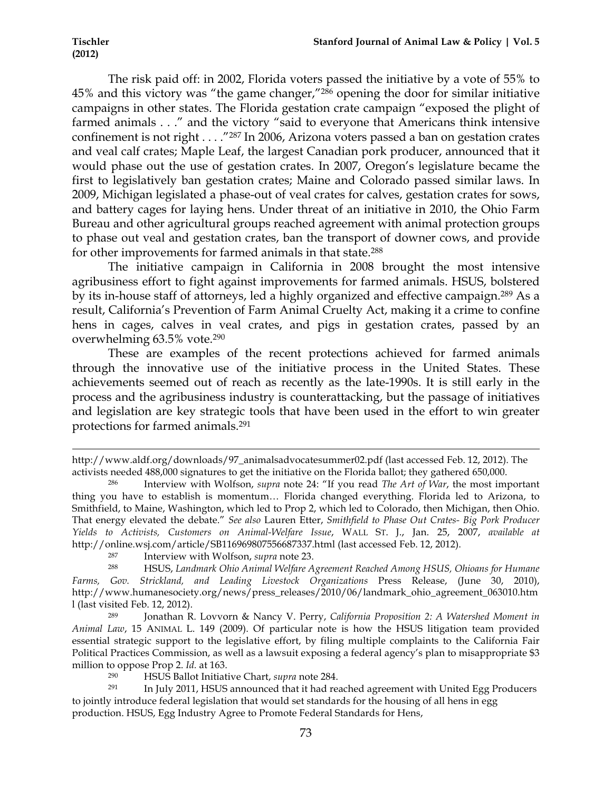The risk paid off: in 2002, Florida voters passed the initiative by a vote of 55% to 45% and this victory was "the game changer,"286 opening the door for similar initiative campaigns in other states. The Florida gestation crate campaign "exposed the plight of farmed animals . . ." and the victory "said to everyone that Americans think intensive confinement is not right . . . ."287 In 2006, Arizona voters passed a ban on gestation crates and veal calf crates; Maple Leaf, the largest Canadian pork producer, announced that it would phase out the use of gestation crates. In 2007, Oregon's legislature became the first to legislatively ban gestation crates; Maine and Colorado passed similar laws. In 2009, Michigan legislated a phase-out of veal crates for calves, gestation crates for sows, and battery cages for laying hens. Under threat of an initiative in 2010, the Ohio Farm Bureau and other agricultural groups reached agreement with animal protection groups to phase out veal and gestation crates, ban the transport of downer cows, and provide for other improvements for farmed animals in that state.288

The initiative campaign in California in 2008 brought the most intensive agribusiness effort to fight against improvements for farmed animals. HSUS, bolstered by its in-house staff of attorneys, led a highly organized and effective campaign.289 As a result, California's Prevention of Farm Animal Cruelty Act, making it a crime to confine hens in cages, calves in veal crates, and pigs in gestation crates, passed by an overwhelming 63.5% vote.290

These are examples of the recent protections achieved for farmed animals through the innovative use of the initiative process in the United States. These achievements seemed out of reach as recently as the late-1990s. It is still early in the process and the agribusiness industry is counterattacking, but the passage of initiatives and legislation are key strategic tools that have been used in the effort to win greater protections for farmed animals.291

!!!!!!!!!!!!!!!!!!!!!!!!!!!!!!!!!!!!!!!!!!!!!!!!!!!!!!!!!!!!!!!!!!!!!!!!!!!!!!!!!!!!!!!!!!!!!!!!!!!!!!!!!!!!!!!!!!!!!!!!!!!!!!!!!!!!!!!!!!!!!!!!!!!!!!!!!!!!!!!!!!!!!!!!!!!!!!!!!!!!!!!!!!!!!!!!!!!

http://www.aldf.org/downloads/97\_animalsadvocatesummer02.pdf (last accessed Feb. 12, 2012). The activists needed 488,000 signatures to get the initiative on the Florida ballot; they gathered 650,000.

<sup>286</sup> Interview with Wolfson, *supra* note 24: "If you read *The Art of War*, the most important thing you have to establish is momentum… Florida changed everything. Florida led to Arizona, to Smithfield, to Maine, Washington, which led to Prop 2, which led to Colorado, then Michigan, then Ohio. That energy elevated the debate." *See also* Lauren Etter, *Smithfield to Phase Out Crates- Big Pork Producer Yields to Activists, Customers on Animal-Welfare Issue*, WALL ST. J., Jan. 25, 2007, *available at*  http://online.wsj.com/article/SB116969807556687337.html (last accessed Feb. 12, 2012).<br><sup>287</sup> Interview with Wolfson, *sunra* note 23

<sup>287</sup> Interview with Wolfson, *supra* note 23. 288 HSUS, *Landmark Ohio Animal Welfare Agreement Reached Among HSUS, Ohioans for Humane Farms, Gov. Strickland, and Leading Livestock Organizations* Press Release, (June 30, 2010), http://www.humanesociety.org/news/press\_releases/2010/06/landmark\_ohio\_agreement\_063010.htm l (last visited Feb. 12, 2012).<br> $\frac{289}{1000}$  Ionathan R

<sup>289</sup> Jonathan R. Lovvorn & Nancy V. Perry, *California Proposition 2: A Watershed Moment in Animal Law*, 15 ANIMAL L. 149 (2009). Of particular note is how the HSUS litigation team provided essential strategic support to the legislative effort, by filing multiple complaints to the California Fair Political Practices Commission, as well as a lawsuit exposing a federal agency's plan to misappropriate \$3 million to oppose Prop 2. *Id.* at 163.<br>HSI IS Ballot Initiati

<sup>290</sup> HSUS Ballot Initiative Chart, *supra* note 284.

<sup>291</sup> In July 2011, HSUS announced that it had reached agreement with United Egg Producers to jointly introduce federal legislation that would set standards for the housing of all hens in egg production. HSUS, Egg Industry Agree to Promote Federal Standards for Hens,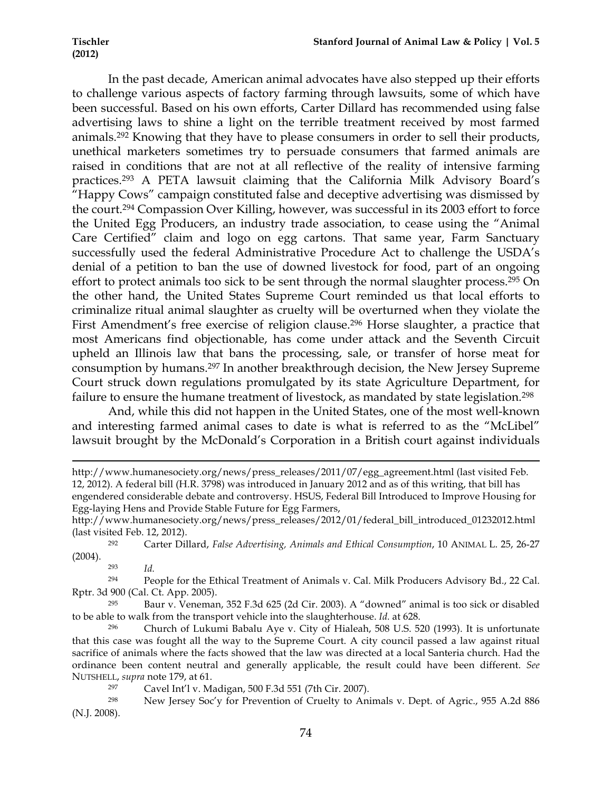In the past decade, American animal advocates have also stepped up their efforts to challenge various aspects of factory farming through lawsuits, some of which have been successful. Based on his own efforts, Carter Dillard has recommended using false advertising laws to shine a light on the terrible treatment received by most farmed animals.292 Knowing that they have to please consumers in order to sell their products, unethical marketers sometimes try to persuade consumers that farmed animals are raised in conditions that are not at all reflective of the reality of intensive farming practices.293 A PETA lawsuit claiming that the California Milk Advisory Board's "Happy Cows" campaign constituted false and deceptive advertising was dismissed by the court.294 Compassion Over Killing, however, was successful in its 2003 effort to force the United Egg Producers, an industry trade association, to cease using the "Animal Care Certified" claim and logo on egg cartons. That same year, Farm Sanctuary successfully used the federal Administrative Procedure Act to challenge the USDA's denial of a petition to ban the use of downed livestock for food, part of an ongoing effort to protect animals too sick to be sent through the normal slaughter process.<sup>295</sup> On the other hand, the United States Supreme Court reminded us that local efforts to criminalize ritual animal slaughter as cruelty will be overturned when they violate the First Amendment's free exercise of religion clause.<sup>296</sup> Horse slaughter, a practice that most Americans find objectionable, has come under attack and the Seventh Circuit upheld an Illinois law that bans the processing, sale, or transfer of horse meat for consumption by humans.297 In another breakthrough decision, the New Jersey Supreme Court struck down regulations promulgated by its state Agriculture Department, for failure to ensure the humane treatment of livestock, as mandated by state legislation.<sup>298</sup>

And, while this did not happen in the United States, one of the most well-known and interesting farmed animal cases to date is what is referred to as the "McLibel" lawsuit brought by the McDonald's Corporation in a British court against individuals

!!!!!!!!!!!!!!!!!!!!!!!!!!!!!!!!!!!!!!!!!!!!!!!!!!!!!!!!!!!!!!!!!!!!!!!!!!!!!!!!!!!!!!!!!!!!!!!!!!!!!!!!!!!!!!!!!!!!!!!!!!!!!!!!!!!!!!!!!!!!!!!!!!!!!!!!!!!!!!!!!!!!!!!!!!!!!!!!!!!!!!!!!!!!!!!!!!!

<sup>294</sup> People for the Ethical Treatment of Animals v. Cal. Milk Producers Advisory Bd., 22 Cal. Rptr. 3d 900 (Cal. Ct. App. 2005).

<sup>295</sup> Baur v. Veneman, 352 F.3d 625 (2d Cir. 2003). A "downed" animal is too sick or disabled to be able to walk from the transport vehicle into the slaughterhouse. *Id.* at 628.

<sup>296</sup> Church of Lukumi Babalu Aye v. City of Hialeah, 508 U.S. 520 (1993). It is unfortunate that this case was fought all the way to the Supreme Court. A city council passed a law against ritual sacrifice of animals where the facts showed that the law was directed at a local Santeria church. Had the ordinance been content neutral and generally applicable, the result could have been different. *See* NUTSHELL, *supra* note 179, at 61.

<sup>297</sup> Cavel Int'l v. Madigan, 500 F.3d 551 (7th Cir. 2007).

<sup>298</sup> New Jersey Soc'y for Prevention of Cruelty to Animals v. Dept. of Agric., 955 A.2d 886 (N.J. 2008).

http://www.humanesociety.org/news/press\_releases/2011/07/egg\_agreement.html (last visited Feb. 12, 2012). A federal bill (H.R. 3798) was introduced in January 2012 and as of this writing, that bill has engendered considerable debate and controversy. HSUS, Federal Bill Introduced to Improve Housing for Egg-laying Hens and Provide Stable Future for Egg Farmers,

http://www.humanesociety.org/news/press\_releases/2012/01/federal\_bill\_introduced\_01232012.html (last visited Feb. 12, 2012).

<sup>292</sup> Carter Dillard, *False Advertising, Animals and Ethical Consumption*, 10 ANIMAL L. 25, 26-27 (2004).

<sup>293</sup> *Id.*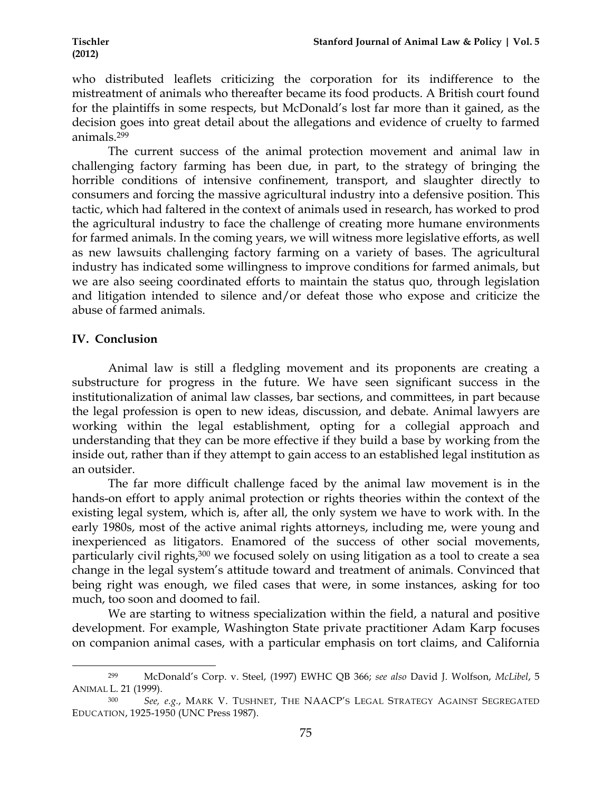who distributed leaflets criticizing the corporation for its indifference to the mistreatment of animals who thereafter became its food products. A British court found for the plaintiffs in some respects, but McDonald's lost far more than it gained, as the decision goes into great detail about the allegations and evidence of cruelty to farmed animals.299

The current success of the animal protection movement and animal law in challenging factory farming has been due, in part, to the strategy of bringing the horrible conditions of intensive confinement, transport, and slaughter directly to consumers and forcing the massive agricultural industry into a defensive position. This tactic, which had faltered in the context of animals used in research, has worked to prod the agricultural industry to face the challenge of creating more humane environments for farmed animals. In the coming years, we will witness more legislative efforts, as well as new lawsuits challenging factory farming on a variety of bases. The agricultural industry has indicated some willingness to improve conditions for farmed animals, but we are also seeing coordinated efforts to maintain the status quo, through legislation and litigation intended to silence and/or defeat those who expose and criticize the abuse of farmed animals.

# **IV. Conclusion**

!!!!!!!!!!!!!!!!!!!!!!!!!!!!!!!!!!!!!!!!!!!!!!!!!!!!!!!!!!!!

Animal law is still a fledgling movement and its proponents are creating a substructure for progress in the future. We have seen significant success in the institutionalization of animal law classes, bar sections, and committees, in part because the legal profession is open to new ideas, discussion, and debate. Animal lawyers are working within the legal establishment, opting for a collegial approach and understanding that they can be more effective if they build a base by working from the inside out, rather than if they attempt to gain access to an established legal institution as an outsider.

The far more difficult challenge faced by the animal law movement is in the hands-on effort to apply animal protection or rights theories within the context of the existing legal system, which is, after all, the only system we have to work with. In the early 1980s, most of the active animal rights attorneys, including me, were young and inexperienced as litigators. Enamored of the success of other social movements, particularly civil rights,<sup>300</sup> we focused solely on using litigation as a tool to create a sea change in the legal system's attitude toward and treatment of animals. Convinced that being right was enough, we filed cases that were, in some instances, asking for too much, too soon and doomed to fail.

We are starting to witness specialization within the field, a natural and positive development. For example, Washington State private practitioner Adam Karp focuses on companion animal cases, with a particular emphasis on tort claims, and California

<sup>299</sup> McDonald's Corp. v. Steel, (1997) EWHC QB 366; *see also* David J. Wolfson, *McLibel*, 5 ANIMAL L. 21 (1999).

<sup>300</sup> *See, e.g.*, MARK V. TUSHNET, THE NAACP'S LEGAL STRATEGY AGAINST SEGREGATED EDUCATION, 1925-1950 (UNC Press 1987).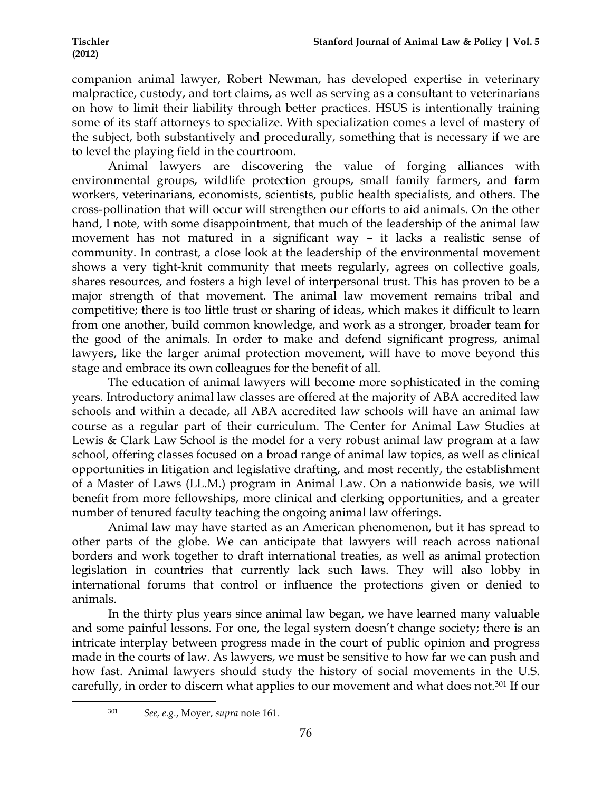companion animal lawyer, Robert Newman, has developed expertise in veterinary malpractice, custody, and tort claims, as well as serving as a consultant to veterinarians on how to limit their liability through better practices. HSUS is intentionally training some of its staff attorneys to specialize. With specialization comes a level of mastery of the subject, both substantively and procedurally, something that is necessary if we are to level the playing field in the courtroom.

Animal lawyers are discovering the value of forging alliances with environmental groups, wildlife protection groups, small family farmers, and farm workers, veterinarians, economists, scientists, public health specialists, and others. The cross-pollination that will occur will strengthen our efforts to aid animals. On the other hand, I note, with some disappointment, that much of the leadership of the animal law movement has not matured in a significant way – it lacks a realistic sense of community. In contrast, a close look at the leadership of the environmental movement shows a very tight-knit community that meets regularly, agrees on collective goals, shares resources, and fosters a high level of interpersonal trust. This has proven to be a major strength of that movement. The animal law movement remains tribal and competitive; there is too little trust or sharing of ideas, which makes it difficult to learn from one another, build common knowledge, and work as a stronger, broader team for the good of the animals. In order to make and defend significant progress, animal lawyers, like the larger animal protection movement, will have to move beyond this stage and embrace its own colleagues for the benefit of all.

The education of animal lawyers will become more sophisticated in the coming years. Introductory animal law classes are offered at the majority of ABA accredited law schools and within a decade, all ABA accredited law schools will have an animal law course as a regular part of their curriculum. The Center for Animal Law Studies at Lewis & Clark Law School is the model for a very robust animal law program at a law school, offering classes focused on a broad range of animal law topics, as well as clinical opportunities in litigation and legislative drafting, and most recently, the establishment of a Master of Laws (LL.M.) program in Animal Law. On a nationwide basis, we will benefit from more fellowships, more clinical and clerking opportunities, and a greater number of tenured faculty teaching the ongoing animal law offerings.

Animal law may have started as an American phenomenon, but it has spread to other parts of the globe. We can anticipate that lawyers will reach across national borders and work together to draft international treaties, as well as animal protection legislation in countries that currently lack such laws. They will also lobby in international forums that control or influence the protections given or denied to animals.

In the thirty plus years since animal law began, we have learned many valuable and some painful lessons. For one, the legal system doesn't change society; there is an intricate interplay between progress made in the court of public opinion and progress made in the courts of law. As lawyers, we must be sensitive to how far we can push and how fast. Animal lawyers should study the history of social movements in the U.S. carefully, in order to discern what applies to our movement and what does not.301 If our

<sup>301</sup> *See, e.g.*, Moyer, *supra* note 161.